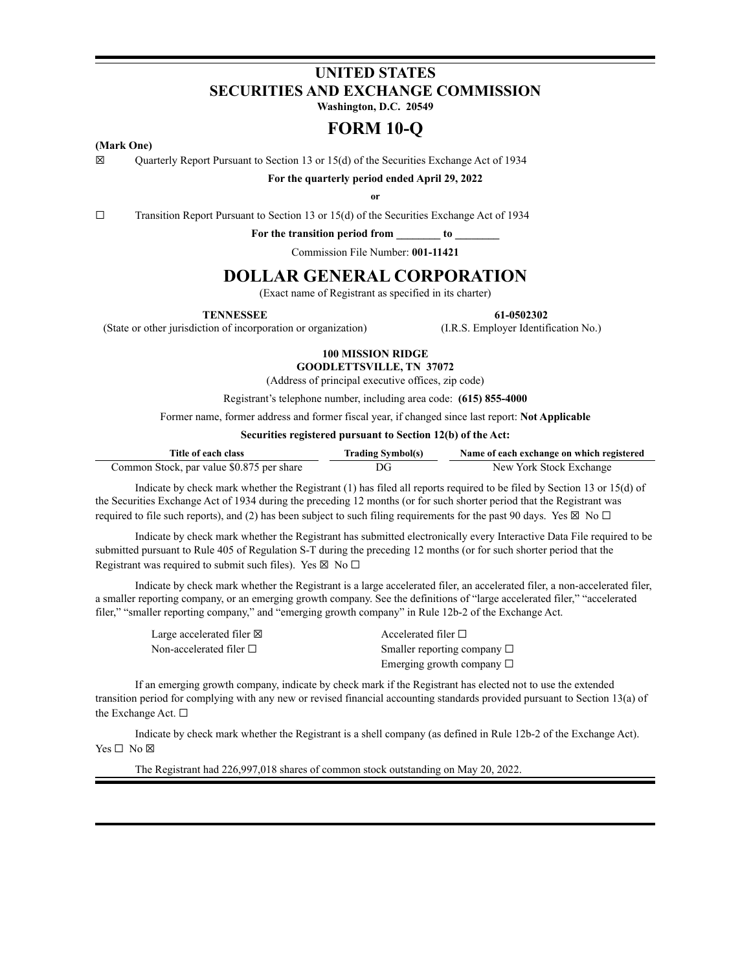# **UNITED STATES SECURITIES AND EXCHANGE COMMISSION**

**Washington, D.C. 20549**

# **FORM 10-Q**

### **(Mark One)**

☒ Quarterly Report Pursuant to Section 13 or 15(d) of the Securities Exchange Act of 1934

**For the quarterly period ended April 29, 2022**

**or**

☐ Transition Report Pursuant to Section 13 or 15(d) of the Securities Exchange Act of 1934

**For the transition period from \_\_\_\_\_\_\_\_ to \_\_\_\_\_\_\_\_**

Commission File Number: **001-11421**

# **DOLLAR GENERAL CORPORATION**

(Exact name of Registrant as specified in its charter)

**TENNESSEE 61-0502302**

(State or other jurisdiction of incorporation or organization) (I.R.S. Employer Identification No.)

# **100 MISSION RIDGE**

**GOODLETTSVILLE, TN 37072** (Address of principal executive offices, zip code)

Registrant's telephone number, including area code: **(615) 855-4000**

Former name, former address and former fiscal year, if changed since last report: **Not Applicable**

**Securities registered pursuant to Section 12(b) of the Act:**

| Title of each class                       | <b>Trading Symbol(s)</b> | Name of each exchange on which registered |
|-------------------------------------------|--------------------------|-------------------------------------------|
| Common Stock, par value \$0.875 per share | DG                       | New York Stock Exchange                   |

Indicate by check mark whether the Registrant (1) has filed all reports required to be filed by Section 13 or 15(d) of the Securities Exchange Act of 1934 during the preceding 12 months (or for such shorter period that the Registrant was required to file such reports), and (2) has been subject to such filing requirements for the past 90 days. Yes  $\boxtimes$  No  $\Box$ 

Indicate by check mark whether the Registrant has submitted electronically every Interactive Data File required to be submitted pursuant to Rule 405 of Regulation S-T during the preceding 12 months (or for such shorter period that the Registrant was required to submit such files). Yes  $\boxtimes$  No  $\Box$ 

Indicate by check mark whether the Registrant is a large accelerated filer, an accelerated filer, a non-accelerated filer, a smaller reporting company, or an emerging growth company. See the definitions of "large accelerated filer," "accelerated filer," "smaller reporting company," and "emerging growth company" in Rule 12b-2 of the Exchange Act.

| Large accelerated filer ⊠ | Accelerated filer $\square$      |
|---------------------------|----------------------------------|
| Non-accelerated filer □   | Smaller reporting company $\Box$ |
|                           | Emerging growth company $\Box$   |

If an emerging growth company, indicate by check mark if the Registrant has elected not to use the extended transition period for complying with any new or revised financial accounting standards provided pursuant to Section 13(a) of the Exchange Act. □

Indicate by check mark whether the Registrant is a shell company (as defined in Rule 12b-2 of the Exchange Act). Yes □ No ⊠

The Registrant had 226,997,018 shares of common stock outstanding on May 20, 2022.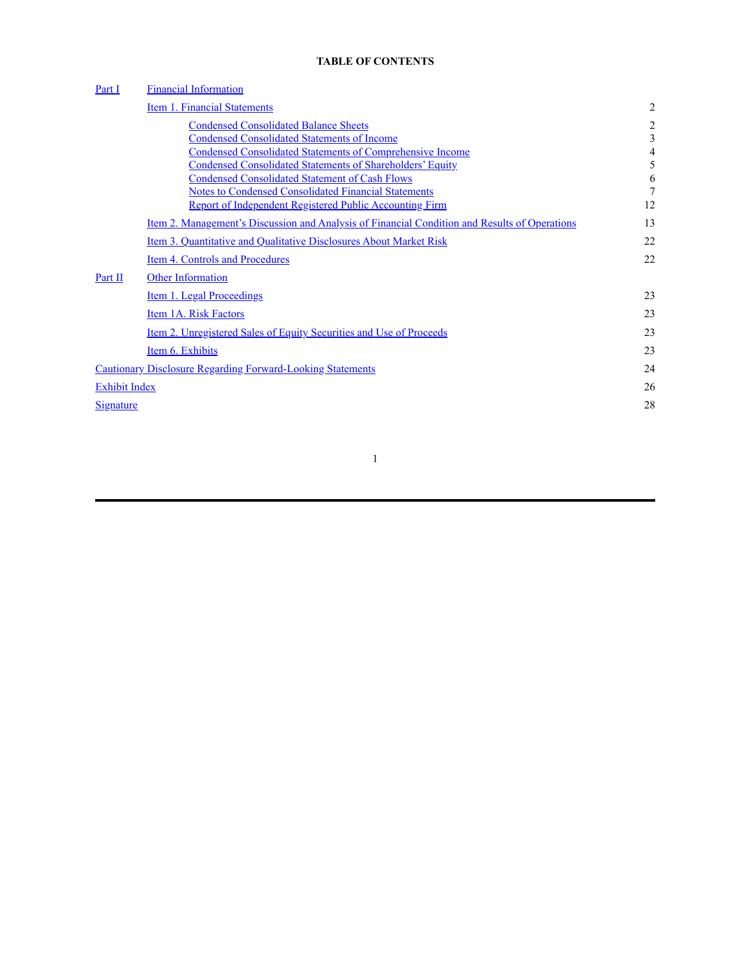# **TABLE OF CONTENTS**

| Part I               | <b>Financial Information</b>                                                                         |                |
|----------------------|------------------------------------------------------------------------------------------------------|----------------|
|                      | <b>Item 1. Financial Statements</b>                                                                  | $\overline{2}$ |
|                      | <b>Condensed Consolidated Balance Sheets</b>                                                         | 2              |
|                      | <b>Condensed Consolidated Statements of Income</b>                                                   | 3              |
|                      | <b>Condensed Consolidated Statements of Comprehensive Income</b>                                     | 4              |
|                      | <b>Condensed Consolidated Statements of Shareholders' Equity</b>                                     | 5              |
|                      | <b>Condensed Consolidated Statement of Cash Flows</b>                                                | 6              |
|                      | <b>Notes to Condensed Consolidated Financial Statements</b>                                          | 7              |
|                      | Report of Independent Registered Public Accounting Firm                                              | 12             |
|                      | <u>Item 2. Management's Discussion and Analysis of Financial Condition and Results of Operations</u> | 13             |
|                      | Item 3. Quantitative and Qualitative Disclosures About Market Risk                                   | 22             |
|                      | Item 4. Controls and Procedures                                                                      | 22             |
| Part II              | <b>Other Information</b>                                                                             |                |
|                      | Item 1. Legal Proceedings                                                                            | 23             |
|                      | Item 1A. Risk Factors                                                                                | 23             |
|                      | <u>Item 2. Unregistered Sales of Equity Securities and Use of Proceeds</u>                           | 23             |
|                      | Item 6. Exhibits                                                                                     | 23             |
|                      | <b>Cautionary Disclosure Regarding Forward-Looking Statements</b>                                    | 24             |
| <b>Exhibit Index</b> |                                                                                                      | 26             |
| Signature            |                                                                                                      | 28             |
|                      |                                                                                                      |                |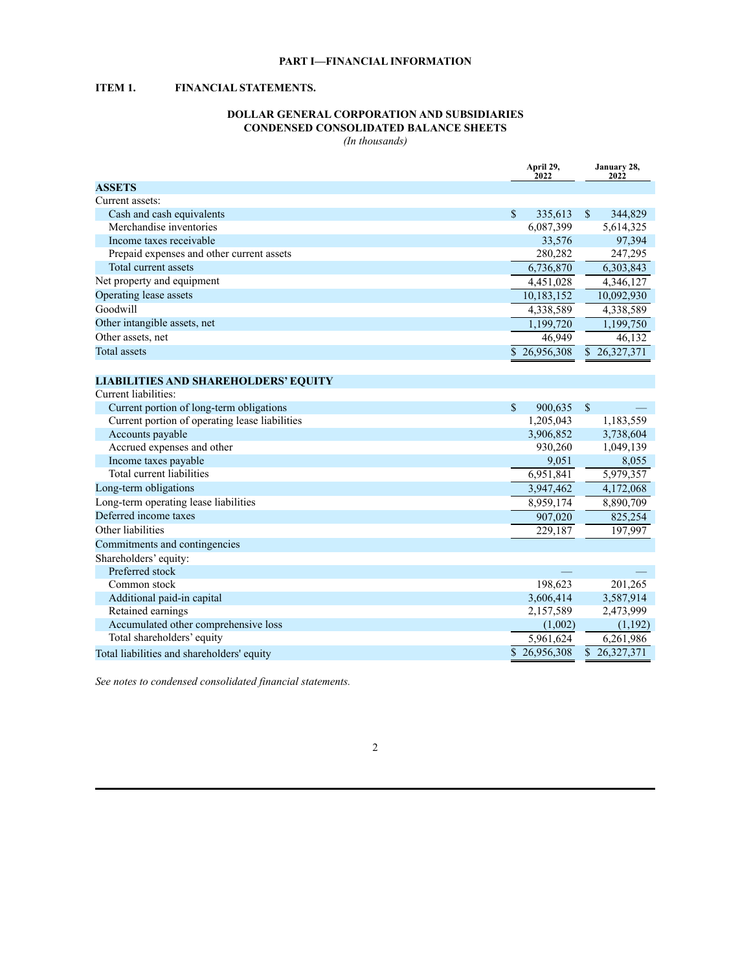## **PART I—FINANCIAL INFORMATION**

# <span id="page-2-2"></span><span id="page-2-1"></span><span id="page-2-0"></span>**ITEM 1. FINANCIAL STATEMENTS.**

# **DOLLAR GENERAL CORPORATION AND SUBSIDIARIES CONDENSED CONSOLIDATED BALANCE SHEETS**

*(In thousands)*

|                                                | April 29,<br>2022       | January 28,<br>2022      |
|------------------------------------------------|-------------------------|--------------------------|
| <b>ASSETS</b>                                  |                         |                          |
| Current assets:                                |                         |                          |
| Cash and cash equivalents                      | $\mathbb{S}$<br>335,613 | $\mathbb{S}$<br>344,829  |
| Merchandise inventories                        | 6,087,399               | 5,614,325                |
| Income taxes receivable                        | 33,576                  | 97,394                   |
| Prepaid expenses and other current assets      | 280,282                 | 247,295                  |
| Total current assets                           | 6,736,870               | 6,303,843                |
| Net property and equipment                     | 4,451,028               | 4,346,127                |
| Operating lease assets                         | 10,183,152              | 10,092,930               |
| Goodwill                                       | 4,338,589               | 4,338,589                |
| Other intangible assets, net                   | 1,199,720               | 1,199,750                |
| Other assets, net                              | 46,949                  | 46,132                   |
| <b>Total assets</b>                            | \$26,956,308            | \$26,327,371             |
|                                                |                         |                          |
| <b>LIABILITIES AND SHAREHOLDERS' EQUITY</b>    |                         |                          |
| Current liabilities:                           |                         |                          |
| Current portion of long-term obligations       | $\mathbf S$<br>900,635  | $\mathsf{\$}$            |
| Current portion of operating lease liabilities | 1,205,043               | 1,183,559                |
| Accounts payable                               | 3,906,852               | 3,738,604                |
| Accrued expenses and other                     | 930,260                 | 1,049,139                |
| Income taxes payable                           | 9,051                   | 8,055                    |
| Total current liabilities                      | 6,951,841               | 5,979,357                |
| Long-term obligations                          | 3,947,462               | 4,172,068                |
| Long-term operating lease liabilities          | 8,959,174               | 8,890,709                |
| Deferred income taxes                          | 907,020                 | 825,254                  |
| Other liabilities                              | 229,187                 | 197,997                  |
| Commitments and contingencies                  |                         |                          |
| Shareholders' equity:                          |                         |                          |
| Preferred stock                                |                         |                          |
| Common stock                                   | 198,623                 | 201,265                  |
| Additional paid-in capital                     | 3,606,414               | 3,587,914                |
| Retained earnings                              | 2,157,589               | 2,473,999                |
| Accumulated other comprehensive loss           | (1,002)                 | (1,192)                  |
| Total shareholders' equity                     | 5,961,624               | 6,261,986                |
| Total liabilities and shareholders' equity     | \$26,956,308            | $\overline{$}26,327,371$ |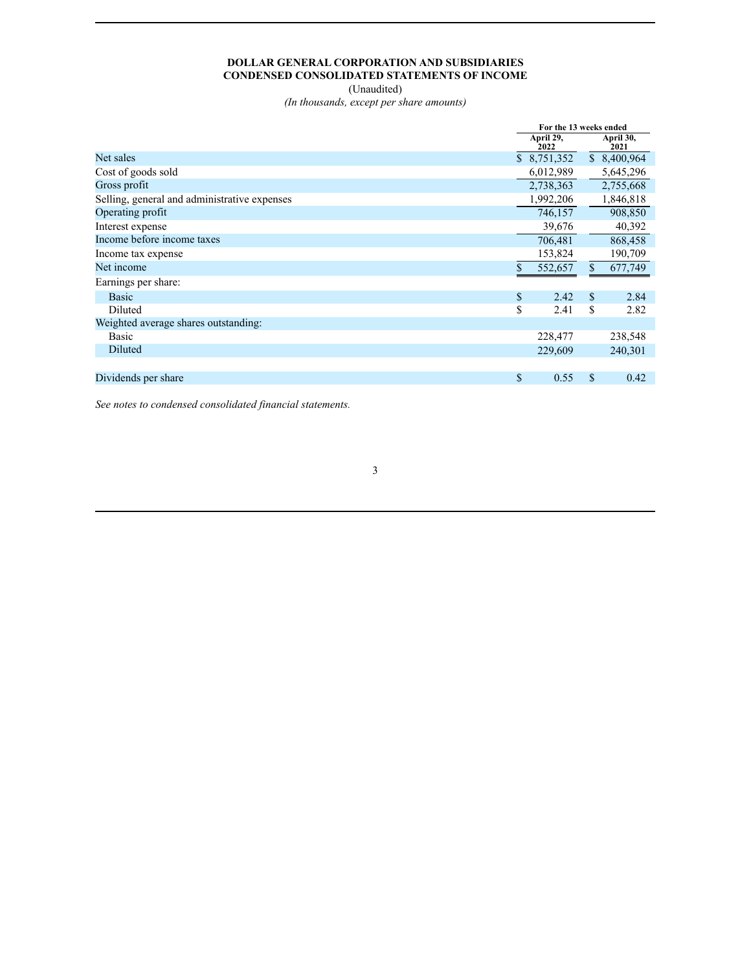# **DOLLAR GENERAL CORPORATION AND SUBSIDIARIES CONDENSED CONSOLIDATED STATEMENTS OF INCOME**

(Unaudited)

*(In thousands, except per share amounts)*

<span id="page-3-0"></span>

|                                              | For the 13 weeks ended |                   |    |                   |
|----------------------------------------------|------------------------|-------------------|----|-------------------|
|                                              |                        | April 29,<br>2022 |    | April 30,<br>2021 |
| Net sales                                    |                        | \$8,751,352       |    | \$8,400,964       |
| Cost of goods sold                           |                        | 6,012,989         |    | 5,645,296         |
| Gross profit                                 |                        | 2,738,363         |    | 2,755,668         |
| Selling, general and administrative expenses |                        | 1,992,206         |    | 1,846,818         |
| Operating profit                             |                        | 746,157           |    | 908,850           |
| Interest expense                             |                        | 39,676            |    | 40,392            |
| Income before income taxes                   |                        | 706,481           |    | 868,458           |
| Income tax expense                           |                        | 153,824           |    | 190,709           |
| Net income                                   | \$                     | 552,657           | \$ | 677,749           |
| Earnings per share:                          |                        |                   |    |                   |
| <b>Basic</b>                                 | \$                     | 2.42              | \$ | 2.84              |
| Diluted                                      | \$                     | 2.41              | \$ | 2.82              |
| Weighted average shares outstanding:         |                        |                   |    |                   |
| Basic                                        |                        | 228,477           |    | 238,548           |
| Diluted                                      |                        | 229,609           |    | 240,301           |
|                                              |                        |                   |    |                   |
| Dividends per share                          | \$                     | 0.55              | \$ | 0.42              |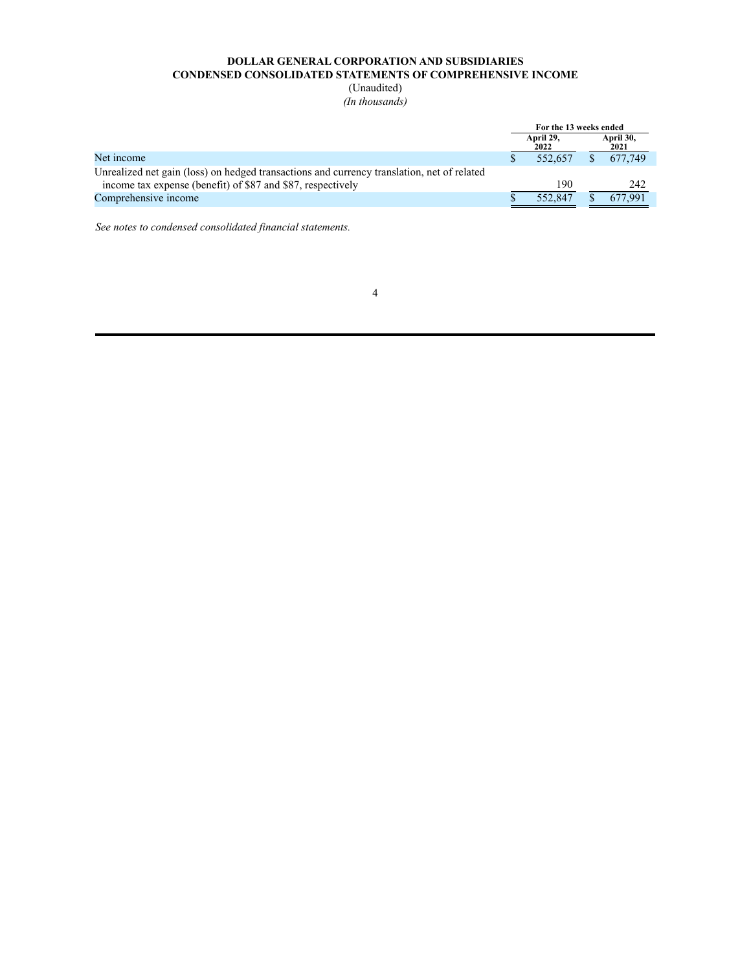# **DOLLAR GENERAL CORPORATION AND SUBSIDIARIES CONDENSED CONSOLIDATED STATEMENTS OF COMPREHENSIVE INCOME**

(Unaudited) *(In thousands)*

<span id="page-4-0"></span>

|                                                                                            | For the 13 weeks ended |         |  |         |  |                   |  |  |
|--------------------------------------------------------------------------------------------|------------------------|---------|--|---------|--|-------------------|--|--|
|                                                                                            | April 29.<br>2022      |         |  |         |  | April 30,<br>2021 |  |  |
| Net income                                                                                 |                        | 552.657 |  | 677.749 |  |                   |  |  |
| Unrealized net gain (loss) on hedged transactions and currency translation, net of related |                        |         |  |         |  |                   |  |  |
| income tax expense (benefit) of \$87 and \$87, respectively                                |                        | 190     |  | 242     |  |                   |  |  |
| Comprehensive income                                                                       |                        | 552.847 |  | 677.991 |  |                   |  |  |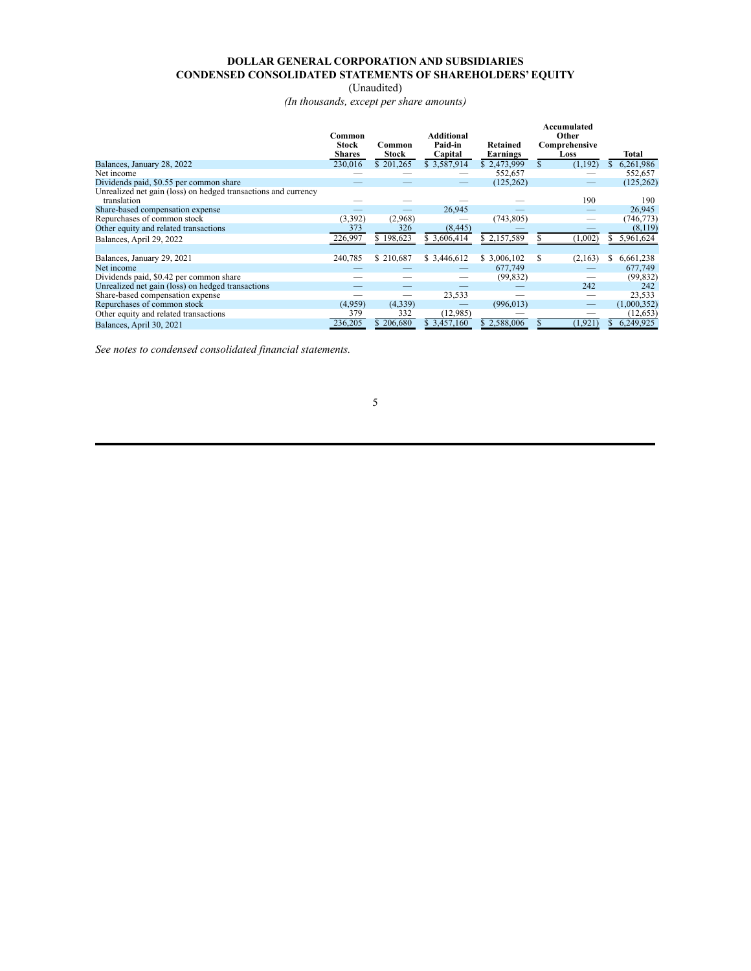# **DOLLAR GENERAL CORPORATION AND SUBSIDIARIES CONDENSED CONSOLIDATED STATEMENTS OF SHAREHOLDERS' EQUITY**

(Unaudited)

*(In thousands, except per share amounts)*

<span id="page-5-0"></span>

|                                                                | Common<br><b>Stock</b> | Common    | Additional<br>Paid-in | Retained     | Accumulated<br>Other<br>Comprehensive |                 |
|----------------------------------------------------------------|------------------------|-----------|-----------------------|--------------|---------------------------------------|-----------------|
|                                                                | <b>Shares</b>          | Stock     | Capital               | Earnings     | Loss                                  | Total           |
| Balances, January 28, 2022                                     | 230,016                | \$201,265 | \$3,587,914           | \$2,473,999  | (1,192)                               | 6,261,986<br>S. |
| Net income                                                     |                        |           |                       | 552,657      |                                       | 552,657         |
| Dividends paid, \$0.55 per common share                        |                        |           |                       | (125, 262)   |                                       | (125, 262)      |
| Unrealized net gain (loss) on hedged transactions and currency |                        |           |                       |              |                                       |                 |
| translation                                                    |                        |           |                       |              | 190                                   | 190             |
| Share-based compensation expense                               |                        |           | 26,945                |              |                                       | 26,945          |
| Repurchases of common stock                                    | (3,392)                | (2,968)   |                       | (743, 805)   |                                       | (746, 773)      |
| Other equity and related transactions                          | 373                    | 326       | (8, 445)              |              |                                       | (8,119)         |
| Balances, April 29, 2022                                       | 226,997                | \$198,623 | \$ 3,606,414          | \$2,157,589  | (1,002)                               | 5,961,624<br>Ъ. |
|                                                                |                        |           |                       |              |                                       |                 |
| Balances, January 29, 2021                                     | 240,785                | \$210,687 | \$ 3,446,612          | \$ 3,006,102 | (2,163)                               | 6,661,238<br>S. |
| Net income                                                     |                        |           |                       | 677,749      |                                       | 677,749         |
| Dividends paid, \$0.42 per common share                        |                        |           |                       | (99, 832)    |                                       | (99, 832)       |
| Unrealized net gain (loss) on hedged transactions              |                        |           |                       |              | 242                                   | 242             |
| Share-based compensation expense                               |                        |           | 23,533                |              |                                       | 23,533          |
| Repurchases of common stock                                    | (4,959)                | (4,339)   |                       | (996, 013)   | $\overline{\phantom{m}}$              | (1,000,352)     |
| Other equity and related transactions                          | 379                    | 332       | (12,985)              |              |                                       | (12, 653)       |
| Balances, April 30, 2021                                       | 236,205                | \$206,680 | \$3,457,160           | \$2,588,006  | (1, 921)                              | 6,249,925       |

*See notes to condensed consolidated financial statements.*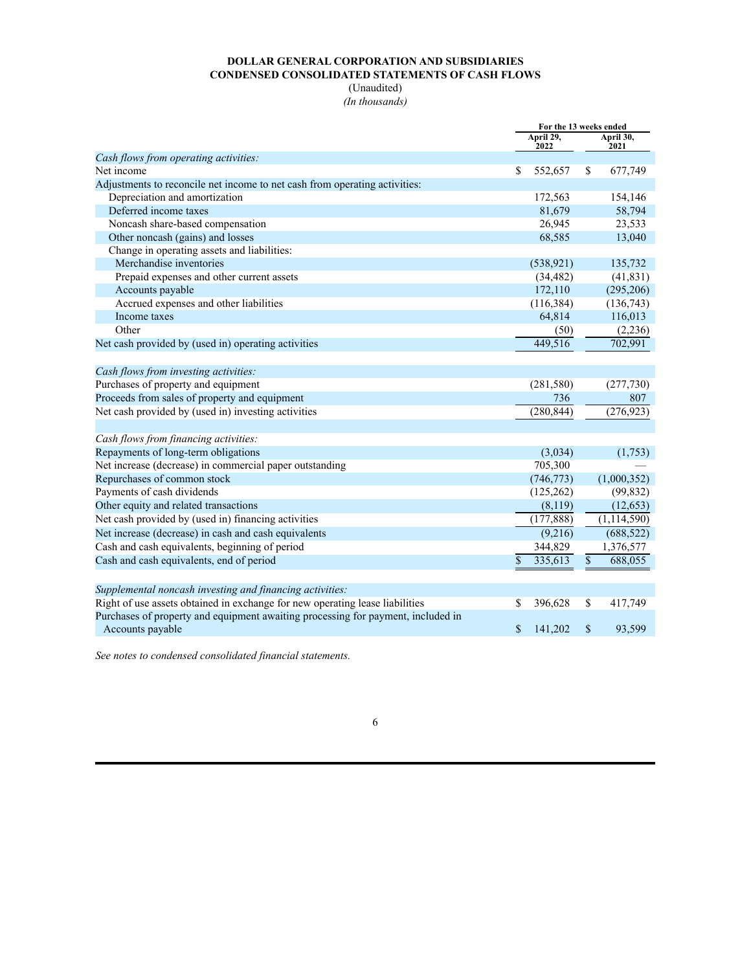# **DOLLAR GENERAL CORPORATION AND SUBSIDIARIES CONDENSED CONSOLIDATED STATEMENTS OF CASH FLOWS**

(Unaudited) *(In thousands)*

<span id="page-6-0"></span>

|                                                                                  | For the 13 weeks ended |                   |                 |                   |
|----------------------------------------------------------------------------------|------------------------|-------------------|-----------------|-------------------|
|                                                                                  |                        | April 29,<br>2022 |                 | April 30,<br>2021 |
| Cash flows from operating activities:                                            |                        |                   |                 |                   |
| Net income                                                                       | \$                     | 552,657           | \$              | 677,749           |
| Adjustments to reconcile net income to net cash from operating activities:       |                        |                   |                 |                   |
| Depreciation and amortization                                                    |                        | 172,563           |                 | 154,146           |
| Deferred income taxes                                                            |                        | 81,679            |                 | 58,794            |
| Noncash share-based compensation                                                 |                        | 26,945            |                 | 23,533            |
| Other noncash (gains) and losses                                                 |                        | 68,585            |                 | 13,040            |
| Change in operating assets and liabilities:                                      |                        |                   |                 |                   |
| Merchandise inventories                                                          |                        | (538, 921)        |                 | 135,732           |
| Prepaid expenses and other current assets                                        |                        | (34, 482)         |                 | (41, 831)         |
| Accounts payable                                                                 |                        | 172,110           |                 | (295, 206)        |
| Accrued expenses and other liabilities                                           |                        | (116, 384)        |                 | (136, 743)        |
| Income taxes                                                                     |                        | 64,814            |                 | 116,013           |
| Other                                                                            |                        | (50)              |                 | (2,236)           |
| Net cash provided by (used in) operating activities                              |                        | 449,516           |                 | 702,991           |
|                                                                                  |                        |                   |                 |                   |
| Cash flows from investing activities:                                            |                        |                   |                 |                   |
| Purchases of property and equipment                                              |                        | (281, 580)        |                 | (277, 730)        |
| Proceeds from sales of property and equipment                                    |                        | 736               |                 | 807               |
| Net cash provided by (used in) investing activities                              |                        | (280, 844)        |                 | (276, 923)        |
|                                                                                  |                        |                   |                 |                   |
| Cash flows from financing activities:                                            |                        |                   |                 |                   |
| Repayments of long-term obligations                                              |                        | (3,034)           |                 | (1,753)           |
| Net increase (decrease) in commercial paper outstanding                          |                        | 705,300           |                 |                   |
| Repurchases of common stock                                                      |                        | (746, 773)        |                 | (1,000,352)       |
| Payments of cash dividends                                                       |                        | (125, 262)        |                 | (99, 832)         |
| Other equity and related transactions                                            |                        | (8,119)           |                 | (12, 653)         |
| Net cash provided by (used in) financing activities                              |                        | (177, 888)        |                 | (1, 114, 590)     |
| Net increase (decrease) in cash and cash equivalents                             |                        | (9,216)           |                 | (688, 522)        |
| Cash and cash equivalents, beginning of period                                   |                        | 344,829           |                 | 1,376,577         |
| Cash and cash equivalents, end of period                                         | \$                     | 335,613           | $\overline{\$}$ | 688,055           |
|                                                                                  |                        |                   |                 |                   |
| Supplemental noncash investing and financing activities:                         |                        |                   |                 |                   |
| Right of use assets obtained in exchange for new operating lease liabilities     | \$                     | 396,628           | \$              | 417,749           |
| Purchases of property and equipment awaiting processing for payment, included in |                        |                   |                 |                   |
| Accounts payable                                                                 | \$                     | 141,202           | $\mathbf S$     | 93,599            |
|                                                                                  |                        |                   |                 |                   |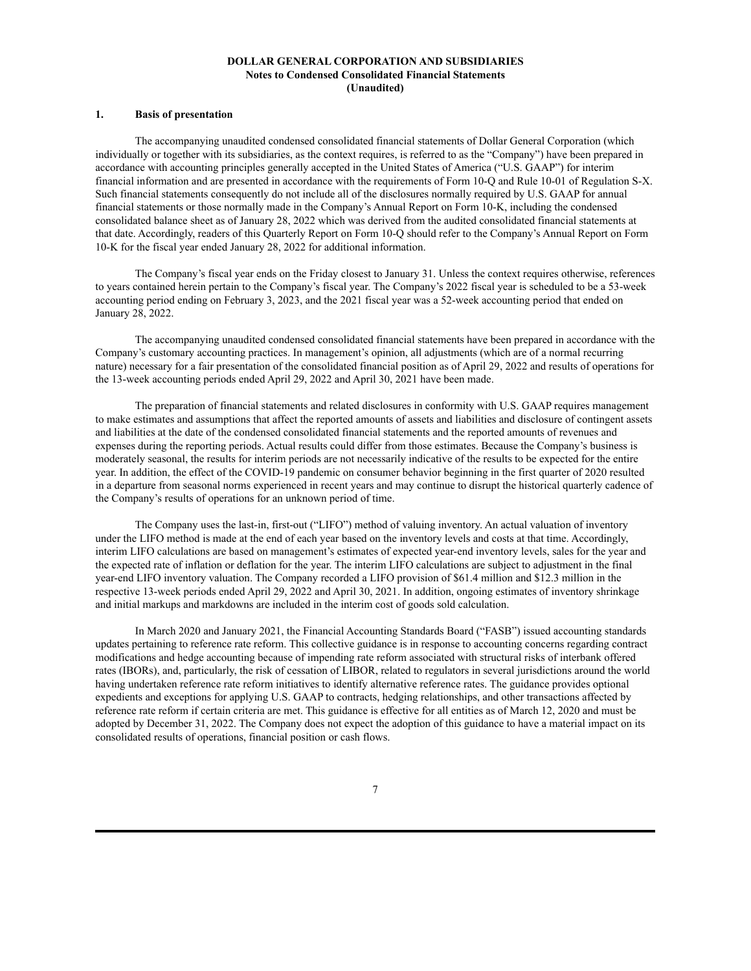### **DOLLAR GENERAL CORPORATION AND SUBSIDIARIES Notes to Condensed Consolidated Financial Statements (Unaudited)**

## <span id="page-7-0"></span>**1. Basis of presentation**

The accompanying unaudited condensed consolidated financial statements of Dollar General Corporation (which individually or together with its subsidiaries, as the context requires, is referred to as the "Company") have been prepared in accordance with accounting principles generally accepted in the United States of America ("U.S. GAAP") for interim financial information and are presented in accordance with the requirements of Form 10-Q and Rule 10-01 of Regulation S-X. Such financial statements consequently do not include all of the disclosures normally required by U.S. GAAP for annual financial statements or those normally made in the Company's Annual Report on Form 10-K, including the condensed consolidated balance sheet as of January 28, 2022 which was derived from the audited consolidated financial statements at that date. Accordingly, readers of this Quarterly Report on Form 10-Q should refer to the Company's Annual Report on Form 10-K for the fiscal year ended January 28, 2022 for additional information.

The Company's fiscal year ends on the Friday closest to January 31. Unless the context requires otherwise, references to years contained herein pertain to the Company's fiscal year. The Company's 2022 fiscal year is scheduled to be a 53-week accounting period ending on February 3, 2023, and the 2021 fiscal year was a 52-week accounting period that ended on January 28, 2022.

The accompanying unaudited condensed consolidated financial statements have been prepared in accordance with the Company's customary accounting practices. In management's opinion, all adjustments (which are of a normal recurring nature) necessary for a fair presentation of the consolidated financial position as of April 29, 2022 and results of operations for the 13-week accounting periods ended April 29, 2022 and April 30, 2021 have been made.

The preparation of financial statements and related disclosures in conformity with U.S. GAAP requires management to make estimates and assumptions that affect the reported amounts of assets and liabilities and disclosure of contingent assets and liabilities at the date of the condensed consolidated financial statements and the reported amounts of revenues and expenses during the reporting periods. Actual results could differ from those estimates. Because the Company's business is moderately seasonal, the results for interim periods are not necessarily indicative of the results to be expected for the entire year. In addition, the effect of the COVID-19 pandemic on consumer behavior beginning in the first quarter of 2020 resulted in a departure from seasonal norms experienced in recent years and may continue to disrupt the historical quarterly cadence of the Company's results of operations for an unknown period of time.

The Company uses the last-in, first-out ("LIFO") method of valuing inventory. An actual valuation of inventory under the LIFO method is made at the end of each year based on the inventory levels and costs at that time. Accordingly, interim LIFO calculations are based on management's estimates of expected year-end inventory levels, sales for the year and the expected rate of inflation or deflation for the year. The interim LIFO calculations are subject to adjustment in the final year-end LIFO inventory valuation. The Company recorded a LIFO provision of \$61.4 million and \$12.3 million in the respective 13-week periods ended April 29, 2022 and April 30, 2021. In addition, ongoing estimates of inventory shrinkage and initial markups and markdowns are included in the interim cost of goods sold calculation.

In March 2020 and January 2021, the Financial Accounting Standards Board ("FASB") issued accounting standards updates pertaining to reference rate reform. This collective guidance is in response to accounting concerns regarding contract modifications and hedge accounting because of impending rate reform associated with structural risks of interbank offered rates (IBORs), and, particularly, the risk of cessation of LIBOR, related to regulators in several jurisdictions around the world having undertaken reference rate reform initiatives to identify alternative reference rates. The guidance provides optional expedients and exceptions for applying U.S. GAAP to contracts, hedging relationships, and other transactions affected by reference rate reform if certain criteria are met. This guidance is effective for all entities as of March 12, 2020 and must be adopted by December 31, 2022. The Company does not expect the adoption of this guidance to have a material impact on its consolidated results of operations, financial position or cash flows.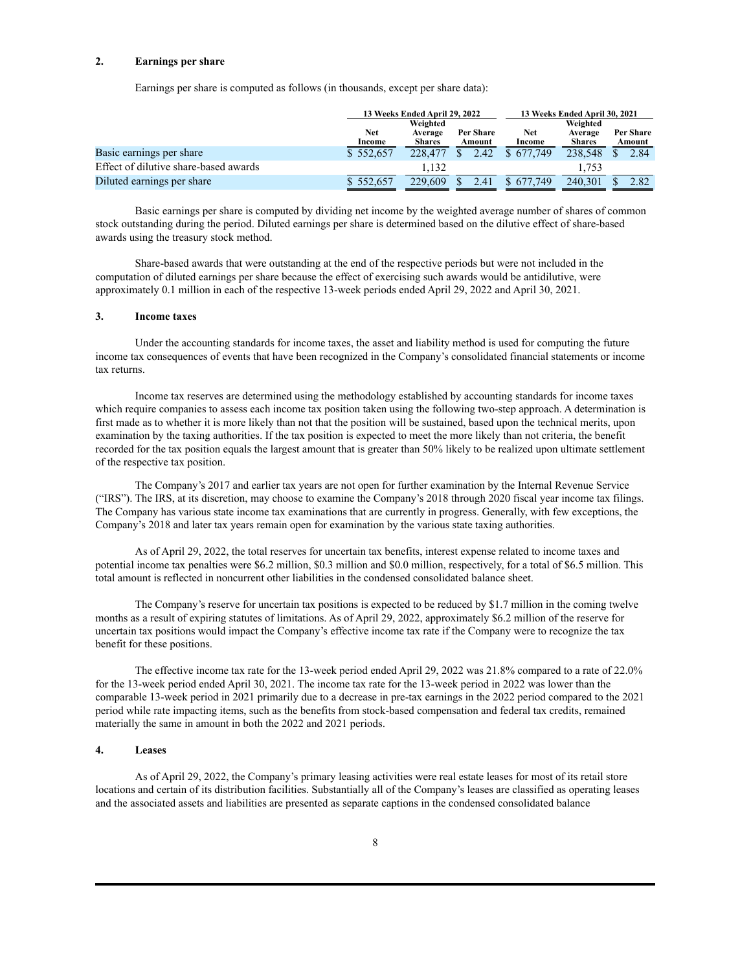### **2. Earnings per share**

Earnings per share is computed as follows (in thousands, except per share data):

|                                       |               | 13 Weeks Ended April 29, 2022 |                            |               | 13 Weeks Ended April 30, 2021 |                     |  |  |
|---------------------------------------|---------------|-------------------------------|----------------------------|---------------|-------------------------------|---------------------|--|--|
|                                       |               | Weighted                      |                            |               | Weighted                      |                     |  |  |
|                                       | Net<br>Income | Average<br><b>Shares</b>      | <b>Per Share</b><br>Amount | Net<br>Income | Average<br><b>Shares</b>      | Per Share<br>Amount |  |  |
| Basic earnings per share              | \$552,657     | 228,477                       | 2.42                       | \$677.749     | 238,548                       | 2.84                |  |  |
| Effect of dilutive share-based awards |               | 1.132                         |                            |               | 1.753                         |                     |  |  |
| Diluted earnings per share            | \$552,657     | 229.609                       | 2.41                       | \$677.749     | 240.301                       | 2.82                |  |  |

Basic earnings per share is computed by dividing net income by the weighted average number of shares of common stock outstanding during the period. Diluted earnings per share is determined based on the dilutive effect of share-based awards using the treasury stock method.

Share-based awards that were outstanding at the end of the respective periods but were not included in the computation of diluted earnings per share because the effect of exercising such awards would be antidilutive, were approximately 0.1 million in each of the respective 13-week periods ended April 29, 2022 and April 30, 2021.

### **3. Income taxes**

Under the accounting standards for income taxes, the asset and liability method is used for computing the future income tax consequences of events that have been recognized in the Company's consolidated financial statements or income tax returns.

Income tax reserves are determined using the methodology established by accounting standards for income taxes which require companies to assess each income tax position taken using the following two-step approach. A determination is first made as to whether it is more likely than not that the position will be sustained, based upon the technical merits, upon examination by the taxing authorities. If the tax position is expected to meet the more likely than not criteria, the benefit recorded for the tax position equals the largest amount that is greater than 50% likely to be realized upon ultimate settlement of the respective tax position.

The Company's 2017 and earlier tax years are not open for further examination by the Internal Revenue Service ("IRS"). The IRS, at its discretion, may choose to examine the Company's 2018 through 2020 fiscal year income tax filings. The Company has various state income tax examinations that are currently in progress. Generally, with few exceptions, the Company's 2018 and later tax years remain open for examination by the various state taxing authorities.

As of April 29, 2022, the total reserves for uncertain tax benefits, interest expense related to income taxes and potential income tax penalties were \$6.2 million, \$0.3 million and \$0.0 million, respectively, for a total of \$6.5 million. This total amount is reflected in noncurrent other liabilities in the condensed consolidated balance sheet.

The Company's reserve for uncertain tax positions is expected to be reduced by \$1.7 million in the coming twelve months as a result of expiring statutes of limitations. As of April 29, 2022, approximately \$6.2 million of the reserve for uncertain tax positions would impact the Company's effective income tax rate if the Company were to recognize the tax benefit for these positions.

The effective income tax rate for the 13-week period ended April 29, 2022 was 21.8% compared to a rate of 22.0% for the 13-week period ended April 30, 2021. The income tax rate for the 13-week period in 2022 was lower than the comparable 13-week period in 2021 primarily due to a decrease in pre-tax earnings in the 2022 period compared to the 2021 period while rate impacting items, such as the benefits from stock-based compensation and federal tax credits, remained materially the same in amount in both the 2022 and 2021 periods.

### **4. Leases**

As of April 29, 2022, the Company's primary leasing activities were real estate leases for most of its retail store locations and certain of its distribution facilities. Substantially all of the Company's leases are classified as operating leases and the associated assets and liabilities are presented as separate captions in the condensed consolidated balance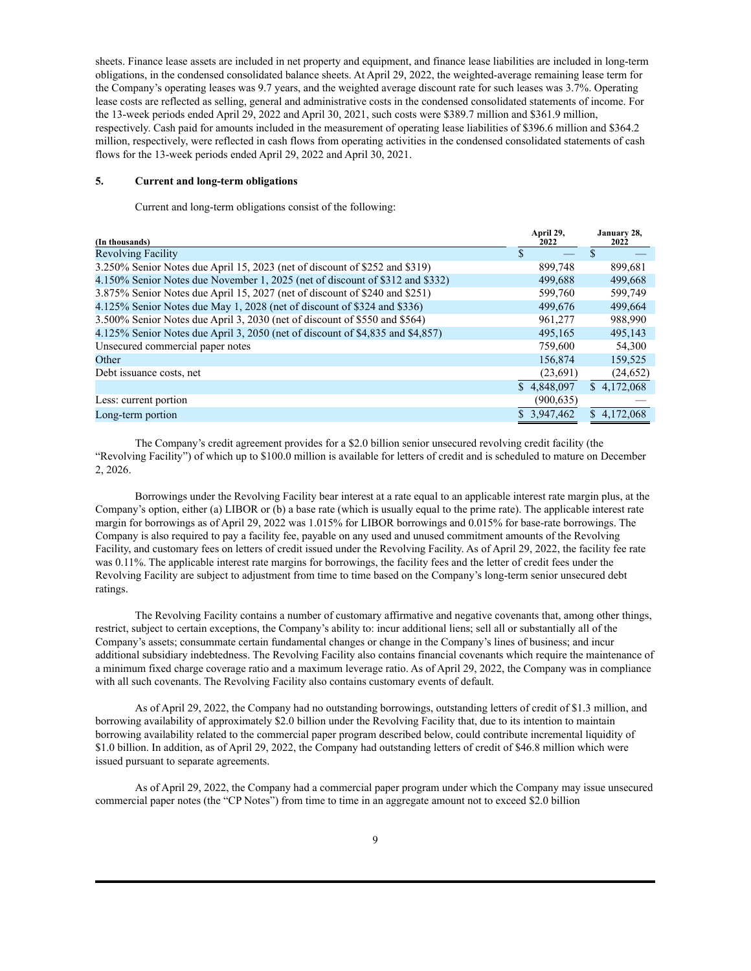sheets. Finance lease assets are included in net property and equipment, and finance lease liabilities are included in long-term obligations, in the condensed consolidated balance sheets. At April 29, 2022, the weighted-average remaining lease term for the Company's operating leases was 9.7 years, and the weighted average discount rate for such leases was 3.7%. Operating lease costs are reflected as selling, general and administrative costs in the condensed consolidated statements of income. For the 13-week periods ended April 29, 2022 and April 30, 2021, such costs were \$389.7 million and \$361.9 million, respectively. Cash paid for amounts included in the measurement of operating lease liabilities of \$396.6 million and \$364.2 million, respectively, were reflected in cash flows from operating activities in the condensed consolidated statements of cash flows for the 13-week periods ended April 29, 2022 and April 30, 2021.

### **5. Current and long-term obligations**

Current and long-term obligations consist of the following:

| (In thousands)                                                                 | April 29,<br>2022 | January 28,<br>2022 |
|--------------------------------------------------------------------------------|-------------------|---------------------|
| <b>Revolving Facility</b>                                                      | S                 | \$.                 |
| 3.250% Senior Notes due April 15, 2023 (net of discount of \$252 and \$319)    | 899,748           | 899,681             |
| 4.150% Senior Notes due November 1, 2025 (net of discount of \$312 and \$332)  | 499,688           | 499,668             |
| 3.875% Senior Notes due April 15, 2027 (net of discount of \$240 and \$251)    | 599,760           | 599,749             |
| 4.125% Senior Notes due May 1, 2028 (net of discount of \$324 and \$336)       | 499,676           | 499,664             |
| 3.500% Senior Notes due April 3, 2030 (net of discount of \$550 and \$564)     | 961,277           | 988,990             |
| 4.125% Senior Notes due April 3, 2050 (net of discount of \$4,835 and \$4,857) | 495.165           | 495.143             |
| Unsecured commercial paper notes                                               | 759,600           | 54,300              |
| Other                                                                          | 156,874           | 159,525             |
| Debt issuance costs, net                                                       | (23,691)          | (24, 652)           |
|                                                                                | \$4.848,097       | \$4.172.068         |
| Less: current portion                                                          | (900, 635)        |                     |
| Long-term portion                                                              | \$3,947,462       | \$4,172,068         |

The Company's credit agreement provides for a \$2.0 billion senior unsecured revolving credit facility (the "Revolving Facility") of which up to \$100.0 million is available for letters of credit and is scheduled to mature on December 2, 2026.

Borrowings under the Revolving Facility bear interest at a rate equal to an applicable interest rate margin plus, at the Company's option, either (a) LIBOR or (b) a base rate (which is usually equal to the prime rate). The applicable interest rate margin for borrowings as of April 29, 2022 was 1.015% for LIBOR borrowings and 0.015% for base-rate borrowings. The Company is also required to pay a facility fee, payable on any used and unused commitment amounts of the Revolving Facility, and customary fees on letters of credit issued under the Revolving Facility. As of April 29, 2022, the facility fee rate was 0.11%. The applicable interest rate margins for borrowings, the facility fees and the letter of credit fees under the Revolving Facility are subject to adjustment from time to time based on the Company's long-term senior unsecured debt ratings.

The Revolving Facility contains a number of customary affirmative and negative covenants that, among other things, restrict, subject to certain exceptions, the Company's ability to: incur additional liens; sell all or substantially all of the Company's assets; consummate certain fundamental changes or change in the Company's lines of business; and incur additional subsidiary indebtedness. The Revolving Facility also contains financial covenants which require the maintenance of a minimum fixed charge coverage ratio and a maximum leverage ratio. As of April 29, 2022, the Company was in compliance with all such covenants. The Revolving Facility also contains customary events of default.

As of April 29, 2022, the Company had no outstanding borrowings, outstanding letters of credit of \$1.3 million, and borrowing availability of approximately \$2.0 billion under the Revolving Facility that, due to its intention to maintain borrowing availability related to the commercial paper program described below, could contribute incremental liquidity of \$1.0 billion. In addition, as of April 29, 2022, the Company had outstanding letters of credit of \$46.8 million which were issued pursuant to separate agreements.

As of April 29, 2022, the Company had a commercial paper program under which the Company may issue unsecured commercial paper notes (the "CP Notes") from time to time in an aggregate amount not to exceed \$2.0 billion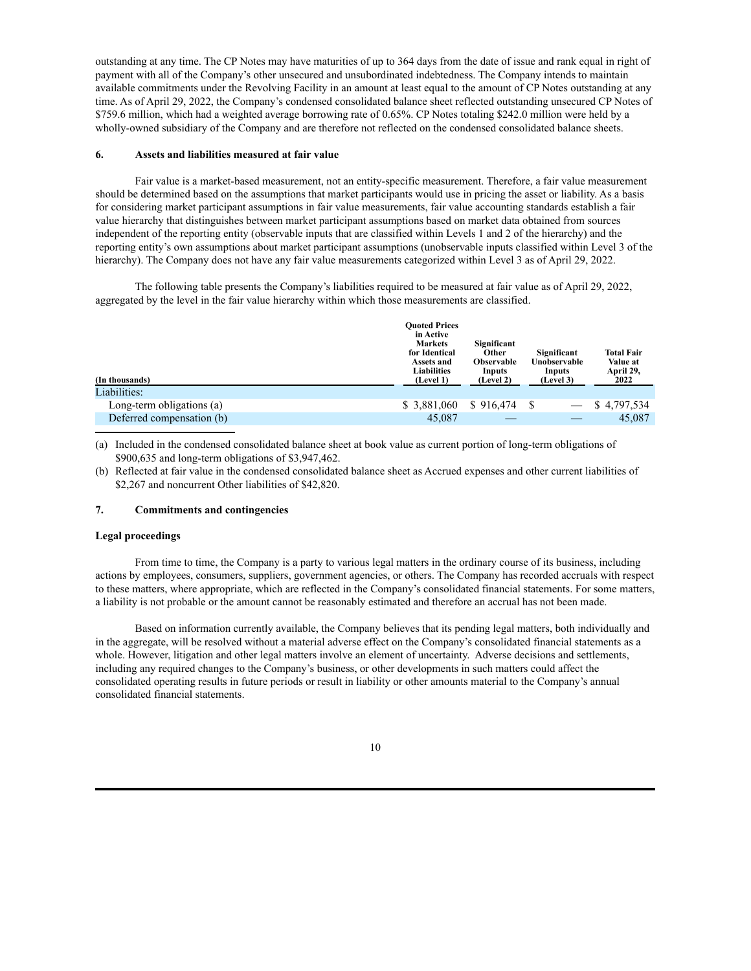outstanding at any time. The CP Notes may have maturities of up to 364 days from the date of issue and rank equal in right of payment with all of the Company's other unsecured and unsubordinated indebtedness. The Company intends to maintain available commitments under the Revolving Facility in an amount at least equal to the amount of CP Notes outstanding at any time. As of April 29, 2022, the Company's condensed consolidated balance sheet reflected outstanding unsecured CP Notes of \$759.6 million, which had a weighted average borrowing rate of 0.65%. CP Notes totaling \$242.0 million were held by a wholly-owned subsidiary of the Company and are therefore not reflected on the condensed consolidated balance sheets.

#### **6. Assets and liabilities measured at fair value**

Fair value is a market-based measurement, not an entity-specific measurement. Therefore, a fair value measurement should be determined based on the assumptions that market participants would use in pricing the asset or liability. As a basis for considering market participant assumptions in fair value measurements, fair value accounting standards establish a fair value hierarchy that distinguishes between market participant assumptions based on market data obtained from sources independent of the reporting entity (observable inputs that are classified within Levels 1 and 2 of the hierarchy) and the reporting entity's own assumptions about market participant assumptions (unobservable inputs classified within Level 3 of the hierarchy). The Company does not have any fair value measurements categorized within Level 3 as of April 29, 2022.

The following table presents the Company's liabilities required to be measured at fair value as of April 29, 2022, aggregated by the level in the fair value hierarchy within which those measurements are classified.

| <b>Ouoted Prices</b><br>in Active<br><b>Markets</b><br>for Identical<br>Assets and<br><b>Liabilities</b><br>(Level 1) | Significant<br>Other<br><b>Observable</b><br>Inputs<br>(Level 2) | Significant<br>Unobservable<br>Inputs<br>(Level 3) | <b>Total Fair</b><br>Value at<br>April 29,<br>2022 |
|-----------------------------------------------------------------------------------------------------------------------|------------------------------------------------------------------|----------------------------------------------------|----------------------------------------------------|
|                                                                                                                       |                                                                  |                                                    |                                                    |
| \$ 3,881,060                                                                                                          | \$916,474                                                        |                                                    | \$4,797,534                                        |
| 45,087                                                                                                                |                                                                  |                                                    | 45,087                                             |
|                                                                                                                       |                                                                  |                                                    |                                                    |

(a) Included in the condensed consolidated balance sheet at book value as current portion of long-term obligations of \$900,635 and long-term obligations of \$3,947,462.

(b) Reflected at fair value in the condensed consolidated balance sheet as Accrued expenses and other current liabilities of \$2,267 and noncurrent Other liabilities of \$42,820.

### **7. Commitments and contingencies**

### **Legal proceedings**

From time to time, the Company is a party to various legal matters in the ordinary course of its business, including actions by employees, consumers, suppliers, government agencies, or others. The Company has recorded accruals with respect to these matters, where appropriate, which are reflected in the Company's consolidated financial statements. For some matters, a liability is not probable or the amount cannot be reasonably estimated and therefore an accrual has not been made.

Based on information currently available, the Company believes that its pending legal matters, both individually and in the aggregate, will be resolved without a material adverse effect on the Company's consolidated financial statements as a whole. However, litigation and other legal matters involve an element of uncertainty. Adverse decisions and settlements, including any required changes to the Company's business, or other developments in such matters could affect the consolidated operating results in future periods or result in liability or other amounts material to the Company's annual consolidated financial statements.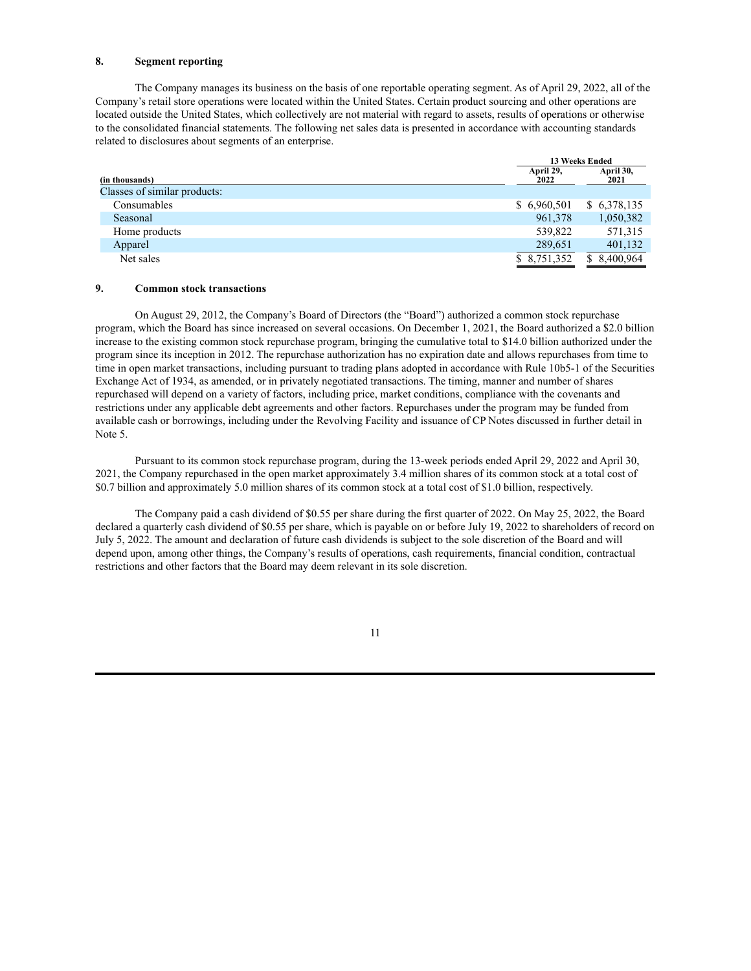### **8. Segment reporting**

The Company manages its business on the basis of one reportable operating segment. As of April 29, 2022, all of the Company's retail store operations were located within the United States. Certain product sourcing and other operations are located outside the United States, which collectively are not material with regard to assets, results of operations or otherwise to the consolidated financial statements. The following net sales data is presented in accordance with accounting standards related to disclosures about segments of an enterprise.

|                              | 13 Weeks Ended    |                   |
|------------------------------|-------------------|-------------------|
| (in thousands)               | April 29,<br>2022 | April 30,<br>2021 |
| Classes of similar products: |                   |                   |
| Consumables                  | \$6,960,501       | \$6,378,135       |
| Seasonal                     | 961,378           | 1,050,382         |
| Home products                | 539,822           | 571,315           |
| Apparel                      | 289,651           | 401,132           |
| Net sales                    | \$8,751,352       | \$ 8,400,964      |

### **9. Common stock transactions**

On August 29, 2012, the Company's Board of Directors (the "Board") authorized a common stock repurchase program, which the Board has since increased on several occasions. On December 1, 2021, the Board authorized a \$2.0 billion increase to the existing common stock repurchase program, bringing the cumulative total to \$14.0 billion authorized under the program since its inception in 2012. The repurchase authorization has no expiration date and allows repurchases from time to time in open market transactions, including pursuant to trading plans adopted in accordance with Rule 10b5-1 of the Securities Exchange Act of 1934, as amended, or in privately negotiated transactions. The timing, manner and number of shares repurchased will depend on a variety of factors, including price, market conditions, compliance with the covenants and restrictions under any applicable debt agreements and other factors. Repurchases under the program may be funded from available cash or borrowings, including under the Revolving Facility and issuance of CP Notes discussed in further detail in Note 5.

Pursuant to its common stock repurchase program, during the 13-week periods ended April 29, 2022 and April 30, 2021, the Company repurchased in the open market approximately 3.4 million shares of its common stock at a total cost of \$0.7 billion and approximately 5.0 million shares of its common stock at a total cost of \$1.0 billion, respectively.

The Company paid a cash dividend of \$0.55 per share during the first quarter of 2022. On May 25, 2022, the Board declared a quarterly cash dividend of \$0.55 per share, which is payable on or before July 19, 2022 to shareholders of record on July 5, 2022. The amount and declaration of future cash dividends is subject to the sole discretion of the Board and will depend upon, among other things, the Company's results of operations, cash requirements, financial condition, contractual restrictions and other factors that the Board may deem relevant in its sole discretion.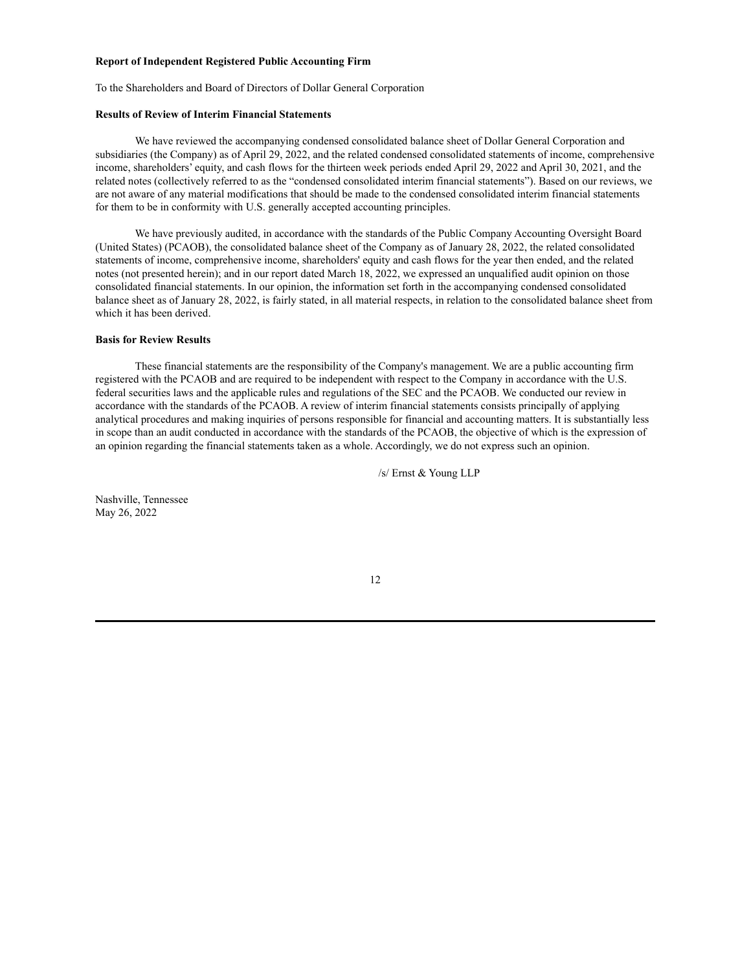### <span id="page-12-0"></span>**Report of Independent Registered Public Accounting Firm**

To the Shareholders and Board of Directors of Dollar General Corporation

### **Results of Review of Interim Financial Statements**

We have reviewed the accompanying condensed consolidated balance sheet of Dollar General Corporation and subsidiaries (the Company) as of April 29, 2022, and the related condensed consolidated statements of income, comprehensive income, shareholders' equity, and cash flows for the thirteen week periods ended April 29, 2022 and April 30, 2021, and the related notes (collectively referred to as the "condensed consolidated interim financial statements"). Based on our reviews, we are not aware of any material modifications that should be made to the condensed consolidated interim financial statements for them to be in conformity with U.S. generally accepted accounting principles.

We have previously audited, in accordance with the standards of the Public Company Accounting Oversight Board (United States) (PCAOB), the consolidated balance sheet of the Company as of January 28, 2022, the related consolidated statements of income, comprehensive income, shareholders' equity and cash flows for the year then ended, and the related notes (not presented herein); and in our report dated March 18, 2022, we expressed an unqualified audit opinion on those consolidated financial statements. In our opinion, the information set forth in the accompanying condensed consolidated balance sheet as of January 28, 2022, is fairly stated, in all material respects, in relation to the consolidated balance sheet from which it has been derived.

### **Basis for Review Results**

These financial statements are the responsibility of the Company's management. We are a public accounting firm registered with the PCAOB and are required to be independent with respect to the Company in accordance with the U.S. federal securities laws and the applicable rules and regulations of the SEC and the PCAOB. We conducted our review in accordance with the standards of the PCAOB. A review of interim financial statements consists principally of applying analytical procedures and making inquiries of persons responsible for financial and accounting matters. It is substantially less in scope than an audit conducted in accordance with the standards of the PCAOB, the objective of which is the expression of an opinion regarding the financial statements taken as a whole. Accordingly, we do not express such an opinion.

/s/ Ernst & Young LLP

Nashville, Tennessee May 26, 2022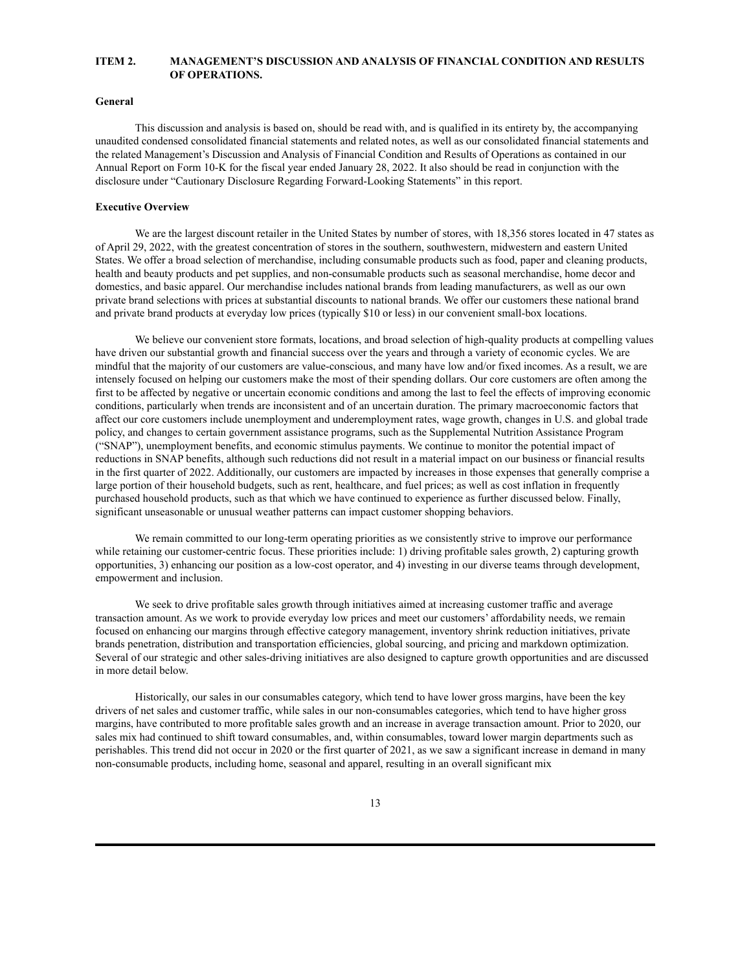## <span id="page-13-0"></span>**ITEM 2. MANAGEMENT'S DISCUSSION AND ANALYSIS OF FINANCIAL CONDITION AND RESULTS OF OPERATIONS.**

### **General**

This discussion and analysis is based on, should be read with, and is qualified in its entirety by, the accompanying unaudited condensed consolidated financial statements and related notes, as well as our consolidated financial statements and the related Management's Discussion and Analysis of Financial Condition and Results of Operations as contained in our Annual Report on Form 10-K for the fiscal year ended January 28, 2022. It also should be read in conjunction with the disclosure under "Cautionary Disclosure Regarding Forward-Looking Statements" in this report.

### **Executive Overview**

We are the largest discount retailer in the United States by number of stores, with 18,356 stores located in 47 states as of April 29, 2022, with the greatest concentration of stores in the southern, southwestern, midwestern and eastern United States. We offer a broad selection of merchandise, including consumable products such as food, paper and cleaning products, health and beauty products and pet supplies, and non-consumable products such as seasonal merchandise, home decor and domestics, and basic apparel. Our merchandise includes national brands from leading manufacturers, as well as our own private brand selections with prices at substantial discounts to national brands. We offer our customers these national brand and private brand products at everyday low prices (typically \$10 or less) in our convenient small-box locations.

We believe our convenient store formats, locations, and broad selection of high-quality products at compelling values have driven our substantial growth and financial success over the years and through a variety of economic cycles. We are mindful that the majority of our customers are value-conscious, and many have low and/or fixed incomes. As a result, we are intensely focused on helping our customers make the most of their spending dollars. Our core customers are often among the first to be affected by negative or uncertain economic conditions and among the last to feel the effects of improving economic conditions, particularly when trends are inconsistent and of an uncertain duration. The primary macroeconomic factors that affect our core customers include unemployment and underemployment rates, wage growth, changes in U.S. and global trade policy, and changes to certain government assistance programs, such as the Supplemental Nutrition Assistance Program ("SNAP"), unemployment benefits, and economic stimulus payments. We continue to monitor the potential impact of reductions in SNAP benefits, although such reductions did not result in a material impact on our business or financial results in the first quarter of 2022. Additionally, our customers are impacted by increases in those expenses that generally comprise a large portion of their household budgets, such as rent, healthcare, and fuel prices; as well as cost inflation in frequently purchased household products, such as that which we have continued to experience as further discussed below. Finally, significant unseasonable or unusual weather patterns can impact customer shopping behaviors.

We remain committed to our long-term operating priorities as we consistently strive to improve our performance while retaining our customer-centric focus. These priorities include: 1) driving profitable sales growth, 2) capturing growth opportunities, 3) enhancing our position as a low-cost operator, and 4) investing in our diverse teams through development, empowerment and inclusion.

We seek to drive profitable sales growth through initiatives aimed at increasing customer traffic and average transaction amount. As we work to provide everyday low prices and meet our customers' affordability needs, we remain focused on enhancing our margins through effective category management, inventory shrink reduction initiatives, private brands penetration, distribution and transportation efficiencies, global sourcing, and pricing and markdown optimization. Several of our strategic and other sales-driving initiatives are also designed to capture growth opportunities and are discussed in more detail below.

Historically, our sales in our consumables category, which tend to have lower gross margins, have been the key drivers of net sales and customer traffic, while sales in our non-consumables categories, which tend to have higher gross margins, have contributed to more profitable sales growth and an increase in average transaction amount. Prior to 2020, our sales mix had continued to shift toward consumables, and, within consumables, toward lower margin departments such as perishables. This trend did not occur in 2020 or the first quarter of 2021, as we saw a significant increase in demand in many non-consumable products, including home, seasonal and apparel, resulting in an overall significant mix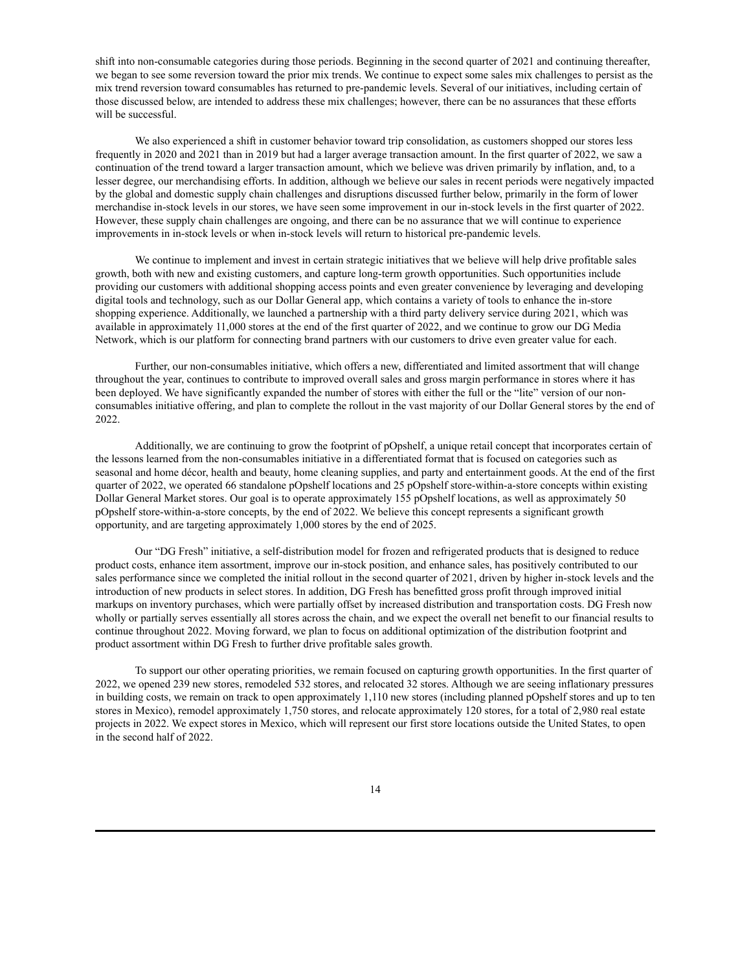shift into non-consumable categories during those periods. Beginning in the second quarter of 2021 and continuing thereafter, we began to see some reversion toward the prior mix trends. We continue to expect some sales mix challenges to persist as the mix trend reversion toward consumables has returned to pre-pandemic levels. Several of our initiatives, including certain of those discussed below, are intended to address these mix challenges; however, there can be no assurances that these efforts will be successful.

We also experienced a shift in customer behavior toward trip consolidation, as customers shopped our stores less frequently in 2020 and 2021 than in 2019 but had a larger average transaction amount. In the first quarter of 2022, we saw a continuation of the trend toward a larger transaction amount, which we believe was driven primarily by inflation, and, to a lesser degree, our merchandising efforts. In addition, although we believe our sales in recent periods were negatively impacted by the global and domestic supply chain challenges and disruptions discussed further below, primarily in the form of lower merchandise in-stock levels in our stores, we have seen some improvement in our in-stock levels in the first quarter of 2022. However, these supply chain challenges are ongoing, and there can be no assurance that we will continue to experience improvements in in-stock levels or when in-stock levels will return to historical pre-pandemic levels.

We continue to implement and invest in certain strategic initiatives that we believe will help drive profitable sales growth, both with new and existing customers, and capture long-term growth opportunities. Such opportunities include providing our customers with additional shopping access points and even greater convenience by leveraging and developing digital tools and technology, such as our Dollar General app, which contains a variety of tools to enhance the in-store shopping experience. Additionally, we launched a partnership with a third party delivery service during 2021, which was available in approximately 11,000 stores at the end of the first quarter of 2022, and we continue to grow our DG Media Network, which is our platform for connecting brand partners with our customers to drive even greater value for each.

Further, our non-consumables initiative, which offers a new, differentiated and limited assortment that will change throughout the year, continues to contribute to improved overall sales and gross margin performance in stores where it has been deployed. We have significantly expanded the number of stores with either the full or the "lite" version of our nonconsumables initiative offering, and plan to complete the rollout in the vast majority of our Dollar General stores by the end of 2022.

Additionally, we are continuing to grow the footprint of pOpshelf, a unique retail concept that incorporates certain of the lessons learned from the non-consumables initiative in a differentiated format that is focused on categories such as seasonal and home décor, health and beauty, home cleaning supplies, and party and entertainment goods. At the end of the first quarter of 2022, we operated 66 standalone pOpshelf locations and 25 pOpshelf store-within-a-store concepts within existing Dollar General Market stores. Our goal is to operate approximately 155 pOpshelf locations, as well as approximately 50 pOpshelf store-within-a-store concepts, by the end of 2022. We believe this concept represents a significant growth opportunity, and are targeting approximately 1,000 stores by the end of 2025.

Our "DG Fresh" initiative, a self-distribution model for frozen and refrigerated products that is designed to reduce product costs, enhance item assortment, improve our in-stock position, and enhance sales, has positively contributed to our sales performance since we completed the initial rollout in the second quarter of 2021, driven by higher in-stock levels and the introduction of new products in select stores. In addition, DG Fresh has benefitted gross profit through improved initial markups on inventory purchases, which were partially offset by increased distribution and transportation costs. DG Fresh now wholly or partially serves essentially all stores across the chain, and we expect the overall net benefit to our financial results to continue throughout 2022. Moving forward, we plan to focus on additional optimization of the distribution footprint and product assortment within DG Fresh to further drive profitable sales growth.

To support our other operating priorities, we remain focused on capturing growth opportunities. In the first quarter of 2022, we opened 239 new stores, remodeled 532 stores, and relocated 32 stores. Although we are seeing inflationary pressures in building costs, we remain on track to open approximately 1,110 new stores (including planned pOpshelf stores and up to ten stores in Mexico), remodel approximately 1,750 stores, and relocate approximately 120 stores, for a total of 2,980 real estate projects in 2022. We expect stores in Mexico, which will represent our first store locations outside the United States, to open in the second half of 2022.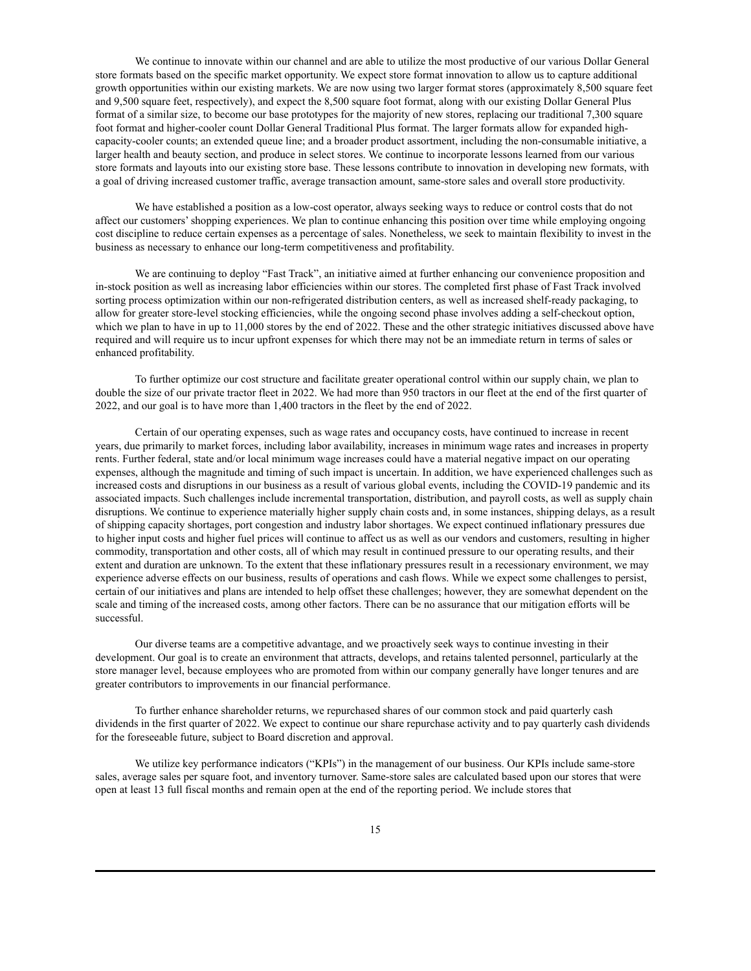We continue to innovate within our channel and are able to utilize the most productive of our various Dollar General store formats based on the specific market opportunity. We expect store format innovation to allow us to capture additional growth opportunities within our existing markets. We are now using two larger format stores (approximately 8,500 square feet and 9,500 square feet, respectively), and expect the 8,500 square foot format, along with our existing Dollar General Plus format of a similar size, to become our base prototypes for the majority of new stores, replacing our traditional 7,300 square foot format and higher-cooler count Dollar General Traditional Plus format. The larger formats allow for expanded highcapacity-cooler counts; an extended queue line; and a broader product assortment, including the non-consumable initiative, a larger health and beauty section, and produce in select stores. We continue to incorporate lessons learned from our various store formats and layouts into our existing store base. These lessons contribute to innovation in developing new formats, with a goal of driving increased customer traffic, average transaction amount, same-store sales and overall store productivity.

We have established a position as a low-cost operator, always seeking ways to reduce or control costs that do not affect our customers'shopping experiences. We plan to continue enhancing this position over time while employing ongoing cost discipline to reduce certain expenses as a percentage of sales. Nonetheless, we seek to maintain flexibility to invest in the business as necessary to enhance our long-term competitiveness and profitability.

We are continuing to deploy "Fast Track", an initiative aimed at further enhancing our convenience proposition and in-stock position as well as increasing labor efficiencies within our stores. The completed first phase of Fast Track involved sorting process optimization within our non-refrigerated distribution centers, as well as increased shelf-ready packaging, to allow for greater store-level stocking efficiencies, while the ongoing second phase involves adding a self-checkout option, which we plan to have in up to 11,000 stores by the end of 2022. These and the other strategic initiatives discussed above have required and will require us to incur upfront expenses for which there may not be an immediate return in terms of sales or enhanced profitability.

To further optimize our cost structure and facilitate greater operational control within our supply chain, we plan to double the size of our private tractor fleet in 2022. We had more than 950 tractors in our fleet at the end of the first quarter of 2022, and our goal is to have more than 1,400 tractors in the fleet by the end of 2022.

Certain of our operating expenses, such as wage rates and occupancy costs, have continued to increase in recent years, due primarily to market forces, including labor availability, increases in minimum wage rates and increases in property rents. Further federal, state and/or local minimum wage increases could have a material negative impact on our operating expenses, although the magnitude and timing of such impact is uncertain. In addition, we have experienced challenges such as increased costs and disruptions in our business as a result of various global events, including the COVID-19 pandemic and its associated impacts. Such challenges include incremental transportation, distribution, and payroll costs, as well as supply chain disruptions. We continue to experience materially higher supply chain costs and, in some instances, shipping delays, as a result of shipping capacity shortages, port congestion and industry labor shortages. We expect continued inflationary pressures due to higher input costs and higher fuel prices will continue to affect us as well as our vendors and customers, resulting in higher commodity, transportation and other costs, all of which may result in continued pressure to our operating results, and their extent and duration are unknown. To the extent that these inflationary pressures result in a recessionary environment, we may experience adverse effects on our business, results of operations and cash flows. While we expect some challenges to persist, certain of our initiatives and plans are intended to help offset these challenges; however, they are somewhat dependent on the scale and timing of the increased costs, among other factors. There can be no assurance that our mitigation efforts will be successful.

Our diverse teams are a competitive advantage, and we proactively seek ways to continue investing in their development. Our goal is to create an environment that attracts, develops, and retains talented personnel, particularly at the store manager level, because employees who are promoted from within our company generally have longer tenures and are greater contributors to improvements in our financial performance.

To further enhance shareholder returns, we repurchased shares of our common stock and paid quarterly cash dividends in the first quarter of 2022. We expect to continue our share repurchase activity and to pay quarterly cash dividends for the foreseeable future, subject to Board discretion and approval.

We utilize key performance indicators ("KPIs") in the management of our business. Our KPIs include same-store sales, average sales per square foot, and inventory turnover. Same-store sales are calculated based upon our stores that were open at least 13 full fiscal months and remain open at the end of the reporting period. We include stores that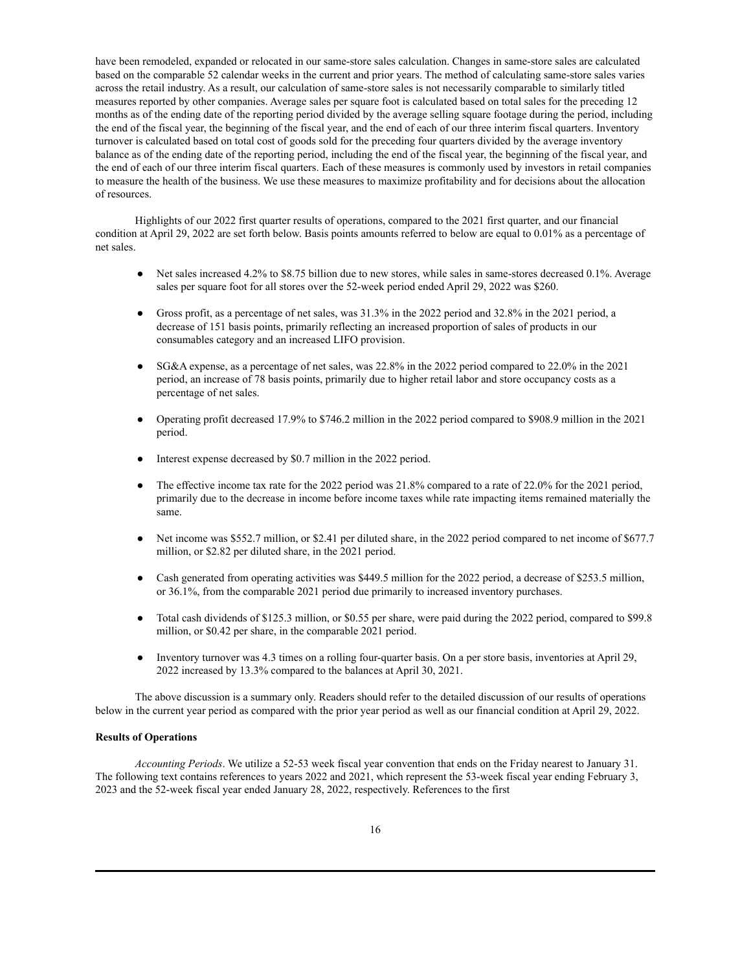have been remodeled, expanded or relocated in our same-store sales calculation. Changes in same-store sales are calculated based on the comparable 52 calendar weeks in the current and prior years. The method of calculating same-store sales varies across the retail industry. As a result, our calculation of same-store sales is not necessarily comparable to similarly titled measures reported by other companies. Average sales per square foot is calculated based on total sales for the preceding 12 months as of the ending date of the reporting period divided by the average selling square footage during the period, including the end of the fiscal year, the beginning of the fiscal year, and the end of each of our three interim fiscal quarters. Inventory turnover is calculated based on total cost of goods sold for the preceding four quarters divided by the average inventory balance as of the ending date of the reporting period, including the end of the fiscal year, the beginning of the fiscal year, and the end of each of our three interim fiscal quarters. Each of these measures is commonly used by investors in retail companies to measure the health of the business. We use these measures to maximize profitability and for decisions about the allocation of resources.

Highlights of our 2022 first quarter results of operations, compared to the 2021 first quarter, and our financial condition at April 29, 2022 are set forth below. Basis points amounts referred to below are equal to 0.01% as a percentage of net sales.

- Net sales increased 4.2% to \$8.75 billion due to new stores, while sales in same-stores decreased 0.1%. Average sales per square foot for all stores over the 52-week period ended April 29, 2022 was \$260.
- Gross profit, as a percentage of net sales, was  $31.3\%$  in the 2022 period and 32.8% in the 2021 period, a decrease of 151 basis points, primarily reflecting an increased proportion of sales of products in our consumables category and an increased LIFO provision.
- SG&A expense, as a percentage of net sales, was  $22.8\%$  in the 2022 period compared to  $22.0\%$  in the 2021 period, an increase of 78 basis points, primarily due to higher retail labor and store occupancy costs as a percentage of net sales.
- Operating profit decreased 17.9% to \$746.2 million in the 2022 period compared to \$908.9 million in the 2021 period.
- Interest expense decreased by \$0.7 million in the 2022 period.
- The effective income tax rate for the 2022 period was 21.8% compared to a rate of 22.0% for the 2021 period, primarily due to the decrease in income before income taxes while rate impacting items remained materially the same.
- Net income was \$552.7 million, or \$2.41 per diluted share, in the 2022 period compared to net income of \$677.7 million, or \$2.82 per diluted share, in the 2021 period.
- Cash generated from operating activities was \$449.5 million for the 2022 period, a decrease of \$253.5 million, or 36.1%, from the comparable 2021 period due primarily to increased inventory purchases.
- Total cash dividends of \$125.3 million, or \$0.55 per share, were paid during the 2022 period, compared to \$99.8 million, or \$0.42 per share, in the comparable 2021 period.
- Inventory turnover was 4.3 times on a rolling four-quarter basis. On a per store basis, inventories at April 29, 2022 increased by 13.3% compared to the balances at April 30, 2021.

The above discussion is a summary only. Readers should refer to the detailed discussion of our results of operations below in the current year period as compared with the prior year period as well as our financial condition at April 29, 2022.

#### **Results of Operations**

*Accounting Periods*. We utilize a 52-53 week fiscal year convention that ends on the Friday nearest to January 31. The following text contains references to years 2022 and 2021, which represent the 53-week fiscal year ending February 3, 2023 and the 52-week fiscal year ended January 28, 2022, respectively. References to the first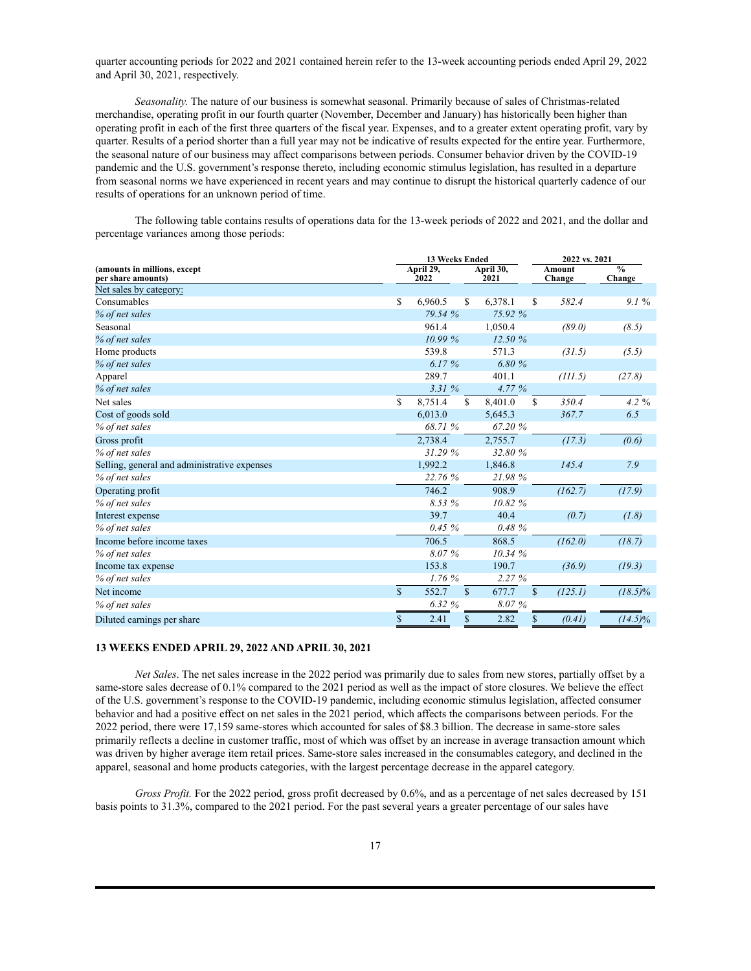quarter accounting periods for 2022 and 2021 contained herein refer to the 13-week accounting periods ended April 29, 2022 and April 30, 2021, respectively.

*Seasonality.* The nature of our business is somewhat seasonal. Primarily because of sales of Christmas-related merchandise, operating profit in our fourth quarter (November, December and January) has historically been higher than operating profit in each of the first three quarters of the fiscal year. Expenses, and to a greater extent operating profit, vary by quarter. Results of a period shorter than a full year may not be indicative of results expected for the entire year. Furthermore, the seasonal nature of our business may affect comparisons between periods. Consumer behavior driven by the COVID-19 pandemic and the U.S. government's response thereto, including economic stimulus legislation, has resulted in a departure from seasonal norms we have experienced in recent years and may continue to disrupt the historical quarterly cadence of our results of operations for an unknown period of time.

The following table contains results of operations data for the 13-week periods of 2022 and 2021, and the dollar and percentage variances among those periods:

|                                                    | 13 Weeks Ended |                   |              |                   |              | 2022 vs. 2021    |                         |
|----------------------------------------------------|----------------|-------------------|--------------|-------------------|--------------|------------------|-------------------------|
| (amounts in millions, except<br>per share amounts) |                | April 29,<br>2022 |              | April 30,<br>2021 |              | Amount<br>Change | $\frac{0}{0}$<br>Change |
| Net sales by category:                             |                |                   |              |                   |              |                  |                         |
| Consumables                                        | S              | 6,960.5           | S.           | 6,378.1           | S            | 582.4            | 9.1%                    |
| % of net sales                                     |                | 79.54 %           |              | 75.92 %           |              |                  |                         |
| Seasonal                                           |                | 961.4             |              | 1,050.4           |              | (89.0)           | (8.5)                   |
| % of net sales                                     |                | 10.99%            |              | 12.50%            |              |                  |                         |
| Home products                                      |                | 539.8             |              | 571.3             |              | (31.5)           | (5.5)                   |
| % of net sales                                     |                | 6.17%             |              | 6.80%             |              |                  |                         |
| Apparel                                            |                | 289.7             |              | 401.1             |              | (III.5)          | (27.8)                  |
| % of net sales                                     |                | 3.31%             |              | 4.77 %            |              |                  |                         |
| Net sales                                          | S.             | 8,751.4           | $\mathbb{S}$ | 8,401.0           | S            | 350.4            | $4.2\%$                 |
| Cost of goods sold                                 |                | 6,013.0           |              | 5,645.3           |              | 367.7            | 6.5                     |
| % of net sales                                     |                | 68.71 %           |              | 67.20%            |              |                  |                         |
| Gross profit                                       |                | 2,738.4           |              | 2,755.7           |              | (17.3)           | (0.6)                   |
| % of net sales                                     |                | 31.29%            |              | 32.80 %           |              |                  |                         |
| Selling, general and administrative expenses       |                | 1,992.2           |              | 1,846.8           |              | 145.4            | 7.9                     |
| % of net sales                                     |                | 22.76 %           |              | 21.98%            |              |                  |                         |
| Operating profit                                   |                | 746.2             |              | 908.9             |              | (162.7)          | (17.9)                  |
| % of net sales                                     |                | 8.53 %            |              | 10.82 %           |              |                  |                         |
| Interest expense                                   |                | 39.7              |              | 40.4              |              | (0.7)            | (1.8)                   |
| % of net sales                                     |                | 0.45%             |              | 0.48%             |              |                  |                         |
| Income before income taxes                         |                | 706.5             |              | 868.5             |              | (162.0)          | (18.7)                  |
| % of net sales                                     |                | 8.07%             |              | 10.34 %           |              |                  |                         |
| Income tax expense                                 |                | 153.8             |              | 190.7             |              | (36.9)           | (19.3)                  |
| % of net sales                                     |                | 1.76%             |              | 2.27%             |              |                  |                         |
| Net income                                         | $\mathbb{S}$   | 552.7             | $\mathbb{S}$ | 677.7             | $\mathbf{s}$ | (125.1)          | $(18.5)\%$              |
| % of net sales                                     |                | 6.32%             |              | 8.07%             |              |                  |                         |
| Diluted earnings per share                         | $\mathbf S$    | 2.41              | $\mathbf S$  | 2.82              | \$           | (0.41)           | $(14.5)\%$              |

### **13 WEEKS ENDED APRIL 29, 2022 AND APRIL 30, 2021**

*Net Sales*. The net sales increase in the 2022 period was primarily due to sales from new stores, partially offset by a same-store sales decrease of 0.1% compared to the 2021 period as well as the impact of store closures. We believe the effect of the U.S. government's response to the COVID-19 pandemic, including economic stimulus legislation, affected consumer behavior and had a positive effect on net sales in the 2021 period, which affects the comparisons between periods. For the 2022 period, there were 17,159 same-stores which accounted for sales of \$8.3 billion. The decrease in same-store sales primarily reflects a decline in customer traffic, most of which was offset by an increase in average transaction amount which was driven by higher average item retail prices. Same-store sales increased in the consumables category, and declined in the apparel, seasonal and home products categories, with the largest percentage decrease in the apparel category.

*Gross Profit.* For the 2022 period, gross profit decreased by 0.6%, and as a percentage of net sales decreased by 151 basis points to 31.3%, compared to the 2021 period. For the past several years a greater percentage of our sales have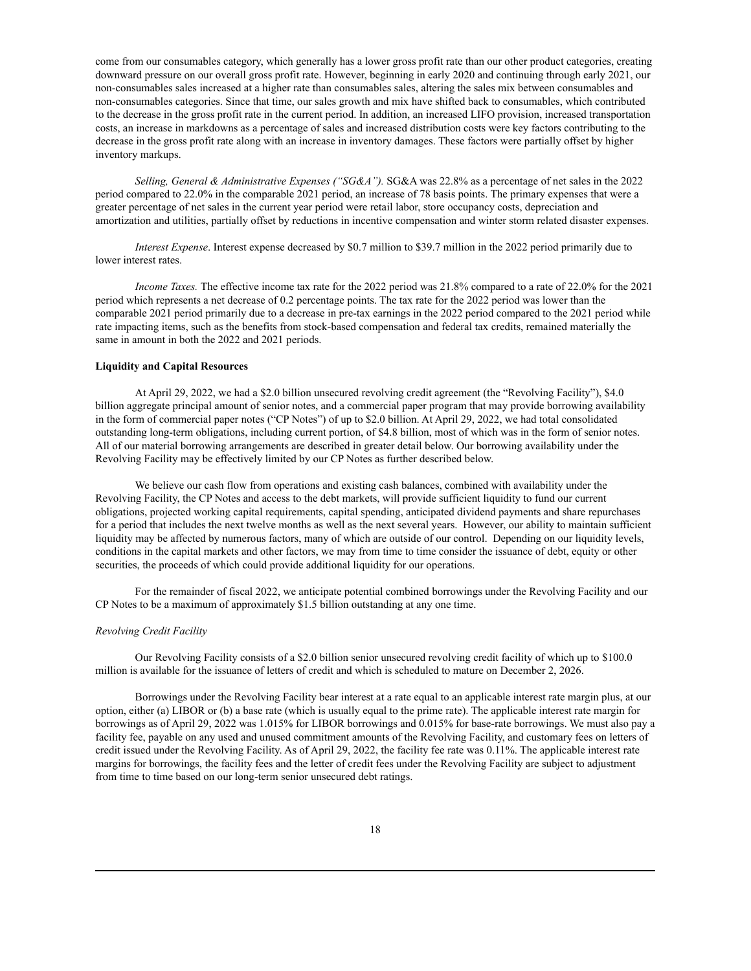come from our consumables category, which generally has a lower gross profit rate than our other product categories, creating downward pressure on our overall gross profit rate. However, beginning in early 2020 and continuing through early 2021, our non-consumables sales increased at a higher rate than consumables sales, altering the sales mix between consumables and non-consumables categories. Since that time, our sales growth and mix have shifted back to consumables, which contributed to the decrease in the gross profit rate in the current period. In addition, an increased LIFO provision, increased transportation costs, an increase in markdowns as a percentage of sales and increased distribution costs were key factors contributing to the decrease in the gross profit rate along with an increase in inventory damages. These factors were partially offset by higher inventory markups.

*Selling, General & Administrative Expenses ("SG&A").* SG&A was 22.8% as a percentage of net sales in the 2022 period compared to 22.0% in the comparable 2021 period, an increase of 78 basis points. The primary expenses that were a greater percentage of net sales in the current year period were retail labor, store occupancy costs, depreciation and amortization and utilities, partially offset by reductions in incentive compensation and winter storm related disaster expenses.

*Interest Expense*. Interest expense decreased by \$0.7 million to \$39.7 million in the 2022 period primarily due to lower interest rates.

*Income Taxes.* The effective income tax rate for the 2022 period was 21.8% compared to a rate of 22.0% for the 2021 period which represents a net decrease of 0.2 percentage points. The tax rate for the 2022 period was lower than the comparable 2021 period primarily due to a decrease in pre-tax earnings in the 2022 period compared to the 2021 period while rate impacting items, such as the benefits from stock-based compensation and federal tax credits, remained materially the same in amount in both the 2022 and 2021 periods.

### **Liquidity and Capital Resources**

At April 29, 2022, we had a \$2.0 billion unsecured revolving credit agreement (the "Revolving Facility"), \$4.0 billion aggregate principal amount of senior notes, and a commercial paper program that may provide borrowing availability in the form of commercial paper notes ("CP Notes") of up to \$2.0 billion. At April 29, 2022, we had total consolidated outstanding long-term obligations, including current portion, of \$4.8 billion, most of which was in the form of senior notes. All of our material borrowing arrangements are described in greater detail below. Our borrowing availability under the Revolving Facility may be effectively limited by our CP Notes as further described below.

We believe our cash flow from operations and existing cash balances, combined with availability under the Revolving Facility, the CP Notes and access to the debt markets, will provide sufficient liquidity to fund our current obligations, projected working capital requirements, capital spending, anticipated dividend payments and share repurchases for a period that includes the next twelve months as well as the next several years. However, our ability to maintain sufficient liquidity may be affected by numerous factors, many of which are outside of our control. Depending on our liquidity levels, conditions in the capital markets and other factors, we may from time to time consider the issuance of debt, equity or other securities, the proceeds of which could provide additional liquidity for our operations.

For the remainder of fiscal 2022, we anticipate potential combined borrowings under the Revolving Facility and our CP Notes to be a maximum of approximately \$1.5 billion outstanding at any one time.

#### *Revolving Credit Facility*

Our Revolving Facility consists of a \$2.0 billion senior unsecured revolving credit facility of which up to \$100.0 million is available for the issuance of letters of credit and which is scheduled to mature on December 2, 2026.

Borrowings under the Revolving Facility bear interest at a rate equal to an applicable interest rate margin plus, at our option, either (a) LIBOR or (b) a base rate (which is usually equal to the prime rate). The applicable interest rate margin for borrowings as of April 29, 2022 was 1.015% for LIBOR borrowings and 0.015% for base-rate borrowings. We must also pay a facility fee, payable on any used and unused commitment amounts of the Revolving Facility, and customary fees on letters of credit issued under the Revolving Facility. As of April 29, 2022, the facility fee rate was 0.11%. The applicable interest rate margins for borrowings, the facility fees and the letter of credit fees under the Revolving Facility are subject to adjustment from time to time based on our long-term senior unsecured debt ratings.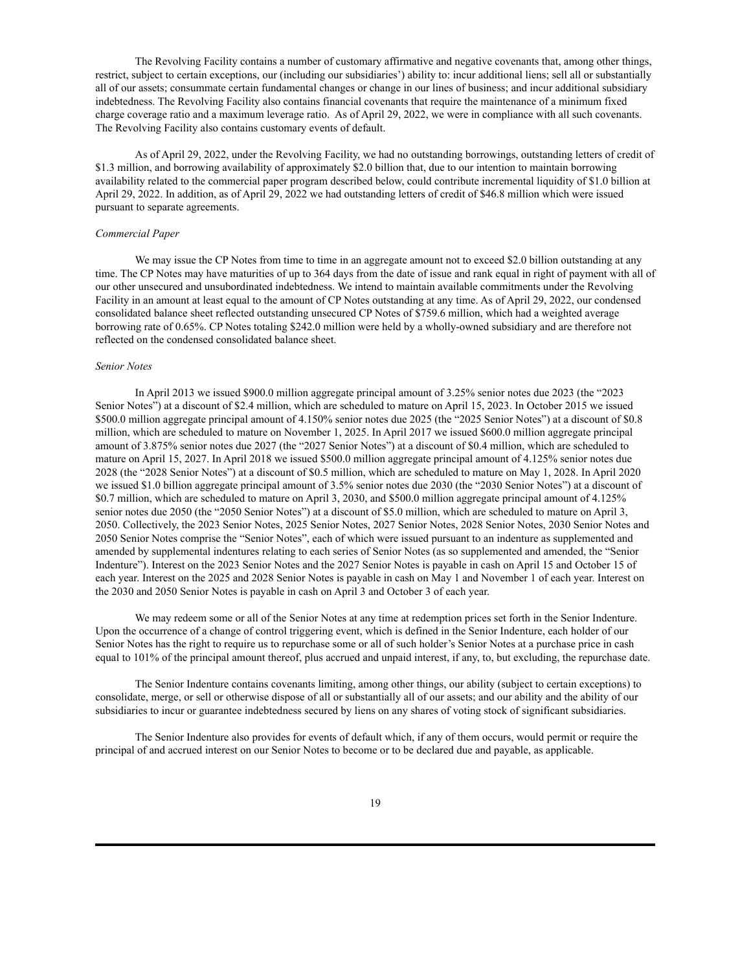The Revolving Facility contains a number of customary affirmative and negative covenants that, among other things, restrict, subject to certain exceptions, our (including our subsidiaries') ability to: incur additional liens; sell all or substantially all of our assets; consummate certain fundamental changes or change in our lines of business; and incur additional subsidiary indebtedness. The Revolving Facility also contains financial covenants that require the maintenance of a minimum fixed charge coverage ratio and a maximum leverage ratio. As of April 29, 2022, we were in compliance with all such covenants. The Revolving Facility also contains customary events of default.

As of April 29, 2022, under the Revolving Facility, we had no outstanding borrowings, outstanding letters of credit of \$1.3 million, and borrowing availability of approximately \$2.0 billion that, due to our intention to maintain borrowing availability related to the commercial paper program described below, could contribute incremental liquidity of \$1.0 billion at April 29, 2022. In addition, as of April 29, 2022 we had outstanding letters of credit of \$46.8 million which were issued pursuant to separate agreements.

#### *Commercial Paper*

We may issue the CP Notes from time to time in an aggregate amount not to exceed \$2.0 billion outstanding at any time. The CP Notes may have maturities of up to 364 days from the date of issue and rank equal in right of payment with all of our other unsecured and unsubordinated indebtedness. We intend to maintain available commitments under the Revolving Facility in an amount at least equal to the amount of CP Notes outstanding at any time. As of April 29, 2022, our condensed consolidated balance sheet reflected outstanding unsecured CP Notes of \$759.6 million, which had a weighted average borrowing rate of 0.65%. CP Notes totaling \$242.0 million were held by a wholly-owned subsidiary and are therefore not reflected on the condensed consolidated balance sheet.

### *Senior Notes*

In April 2013 we issued \$900.0 million aggregate principal amount of 3.25% senior notes due 2023 (the "2023 Senior Notes") at a discount of \$2.4 million, which are scheduled to mature on April 15, 2023. In October 2015 we issued \$500.0 million aggregate principal amount of 4.150% senior notes due 2025 (the "2025 Senior Notes") at a discount of \$0.8 million, which are scheduled to mature on November 1, 2025. In April 2017 we issued \$600.0 million aggregate principal amount of 3.875% senior notes due 2027 (the "2027 Senior Notes") at a discount of \$0.4 million, which are scheduled to mature on April 15, 2027. In April 2018 we issued \$500.0 million aggregate principal amount of 4.125% senior notes due 2028 (the "2028 Senior Notes") at a discount of \$0.5 million, which are scheduled to mature on May 1, 2028. In April 2020 we issued \$1.0 billion aggregate principal amount of 3.5% senior notes due 2030 (the "2030 Senior Notes") at a discount of \$0.7 million, which are scheduled to mature on April 3, 2030, and \$500.0 million aggregate principal amount of 4.125% senior notes due 2050 (the "2050 Senior Notes") at a discount of \$5.0 million, which are scheduled to mature on April 3, 2050. Collectively, the 2023 Senior Notes, 2025 Senior Notes, 2027 Senior Notes, 2028 Senior Notes, 2030 Senior Notes and 2050 Senior Notes comprise the "Senior Notes", each of which were issued pursuant to an indenture as supplemented and amended by supplemental indentures relating to each series of Senior Notes (as so supplemented and amended, the "Senior Indenture"). Interest on the 2023 Senior Notes and the 2027 Senior Notes is payable in cash on April 15 and October 15 of each year. Interest on the 2025 and 2028 Senior Notes is payable in cash on May 1 and November 1 of each year. Interest on the 2030 and 2050 Senior Notes is payable in cash on April 3 and October 3 of each year.

We may redeem some or all of the Senior Notes at any time at redemption prices set forth in the Senior Indenture. Upon the occurrence of a change of control triggering event, which is defined in the Senior Indenture, each holder of our Senior Notes has the right to require us to repurchase some or all of such holder's Senior Notes at a purchase price in cash equal to 101% of the principal amount thereof, plus accrued and unpaid interest, if any, to, but excluding, the repurchase date.

The Senior Indenture contains covenants limiting, among other things, our ability (subject to certain exceptions) to consolidate, merge, or sell or otherwise dispose of all or substantially all of our assets; and our ability and the ability of our subsidiaries to incur or guarantee indebtedness secured by liens on any shares of voting stock of significant subsidiaries.

The Senior Indenture also provides for events of default which, if any of them occurs, would permit or require the principal of and accrued interest on our Senior Notes to become or to be declared due and payable, as applicable.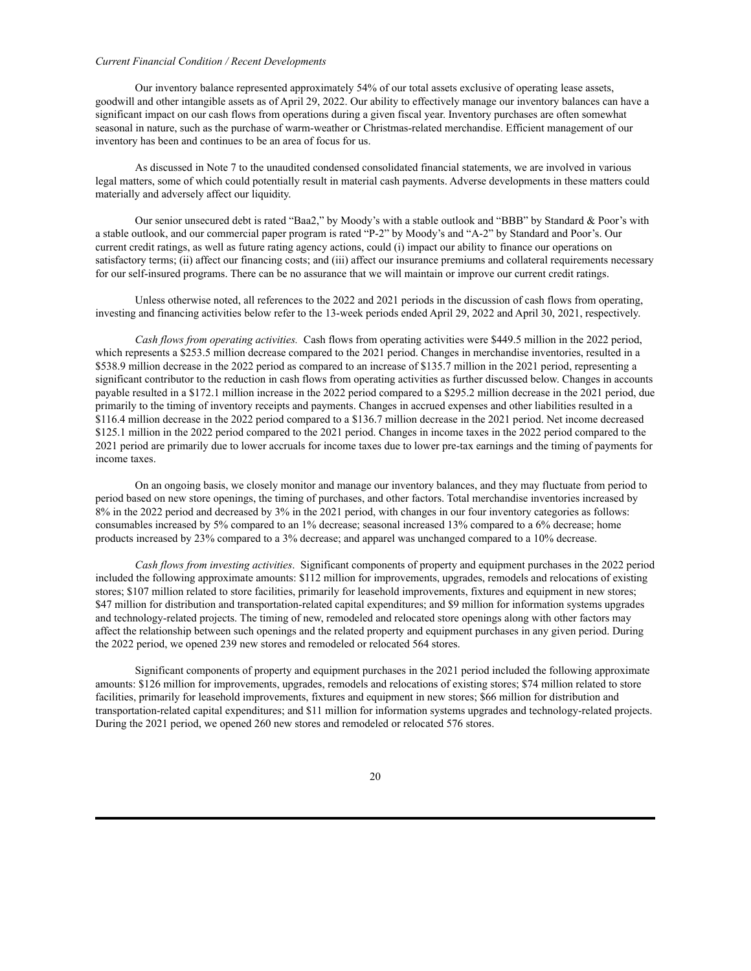### *Current Financial Condition / Recent Developments*

Our inventory balance represented approximately 54% of our total assets exclusive of operating lease assets, goodwill and other intangible assets as of April 29, 2022. Our ability to effectively manage our inventory balances can have a significant impact on our cash flows from operations during a given fiscal year. Inventory purchases are often somewhat seasonal in nature, such as the purchase of warm-weather or Christmas-related merchandise. Efficient management of our inventory has been and continues to be an area of focus for us.

As discussed in Note 7 to the unaudited condensed consolidated financial statements, we are involved in various legal matters, some of which could potentially result in material cash payments. Adverse developments in these matters could materially and adversely affect our liquidity.

Our senior unsecured debt is rated "Baa2," by Moody's with a stable outlook and "BBB" by Standard & Poor's with a stable outlook, and our commercial paper program is rated "P-2" by Moody's and "A-2" by Standard and Poor's. Our current credit ratings, as well as future rating agency actions, could (i) impact our ability to finance our operations on satisfactory terms; (ii) affect our financing costs; and (iii) affect our insurance premiums and collateral requirements necessary for our self-insured programs. There can be no assurance that we will maintain or improve our current credit ratings.

Unless otherwise noted, all references to the 2022 and 2021 periods in the discussion of cash flows from operating, investing and financing activities below refer to the 13-week periods ended April 29, 2022 and April 30, 2021, respectively.

*Cash flows from operating activities.* Cash flows from operating activities were \$449.5 million in the 2022 period, which represents a \$253.5 million decrease compared to the 2021 period. Changes in merchandise inventories, resulted in a \$538.9 million decrease in the 2022 period as compared to an increase of \$135.7 million in the 2021 period, representing a significant contributor to the reduction in cash flows from operating activities as further discussed below. Changes in accounts payable resulted in a \$172.1 million increase in the 2022 period compared to a \$295.2 million decrease in the 2021 period, due primarily to the timing of inventory receipts and payments. Changes in accrued expenses and other liabilities resulted in a \$116.4 million decrease in the 2022 period compared to a \$136.7 million decrease in the 2021 period. Net income decreased \$125.1 million in the 2022 period compared to the 2021 period. Changes in income taxes in the 2022 period compared to the 2021 period are primarily due to lower accruals for income taxes due to lower pre-tax earnings and the timing of payments for income taxes.

On an ongoing basis, we closely monitor and manage our inventory balances, and they may fluctuate from period to period based on new store openings, the timing of purchases, and other factors. Total merchandise inventories increased by 8% in the 2022 period and decreased by 3% in the 2021 period, with changes in our four inventory categories as follows: consumables increased by 5% compared to an 1% decrease; seasonal increased 13% compared to a 6% decrease; home products increased by 23% compared to a 3% decrease; and apparel was unchanged compared to a 10% decrease.

*Cash flows from investing activities*. Significant components of property and equipment purchases in the 2022 period included the following approximate amounts: \$112 million for improvements, upgrades, remodels and relocations of existing stores; \$107 million related to store facilities, primarily for leasehold improvements, fixtures and equipment in new stores; \$47 million for distribution and transportation-related capital expenditures; and \$9 million for information systems upgrades and technology-related projects. The timing of new, remodeled and relocated store openings along with other factors may affect the relationship between such openings and the related property and equipment purchases in any given period. During the 2022 period, we opened 239 new stores and remodeled or relocated 564 stores.

Significant components of property and equipment purchases in the 2021 period included the following approximate amounts: \$126 million for improvements, upgrades, remodels and relocations of existing stores; \$74 million related to store facilities, primarily for leasehold improvements, fixtures and equipment in new stores; \$66 million for distribution and transportation-related capital expenditures; and \$11 million for information systems upgrades and technology-related projects. During the 2021 period, we opened 260 new stores and remodeled or relocated 576 stores.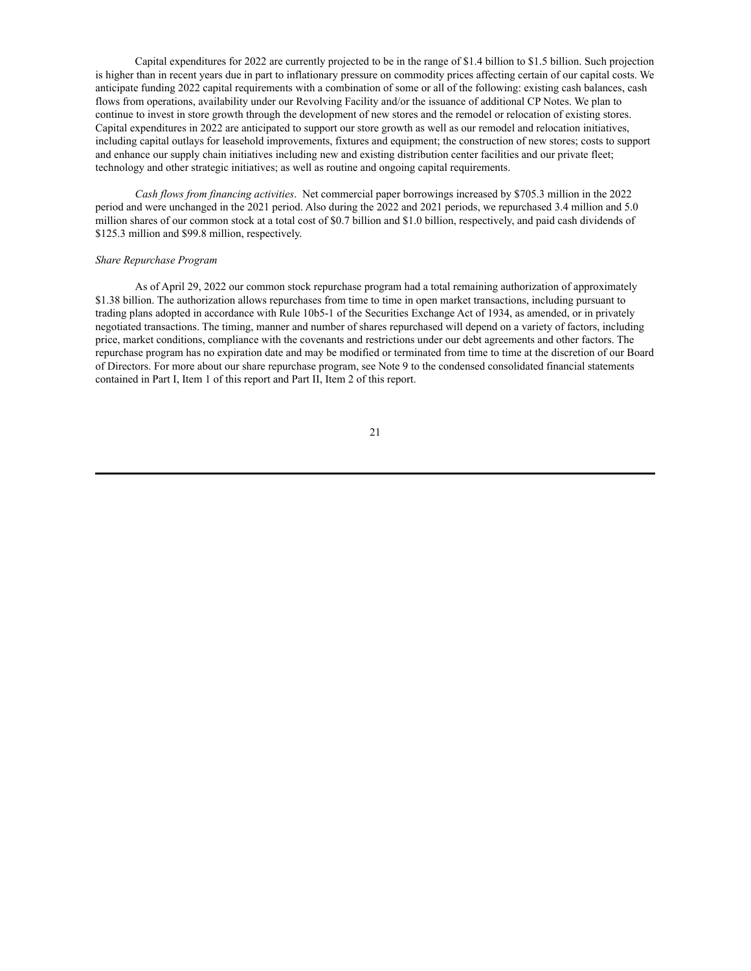Capital expenditures for 2022 are currently projected to be in the range of \$1.4 billion to \$1.5 billion. Such projection is higher than in recent years due in part to inflationary pressure on commodity prices affecting certain of our capital costs. We anticipate funding 2022 capital requirements with a combination of some or all of the following: existing cash balances, cash flows from operations, availability under our Revolving Facility and/or the issuance of additional CP Notes. We plan to continue to invest in store growth through the development of new stores and the remodel or relocation of existing stores. Capital expenditures in 2022 are anticipated to support our store growth as well as our remodel and relocation initiatives, including capital outlays for leasehold improvements, fixtures and equipment; the construction of new stores; costs to support and enhance our supply chain initiatives including new and existing distribution center facilities and our private fleet; technology and other strategic initiatives; as well as routine and ongoing capital requirements.

*Cash flows from financing activities*. Net commercial paper borrowings increased by \$705.3 million in the 2022 period and were unchanged in the 2021 period. Also during the 2022 and 2021 periods, we repurchased 3.4 million and 5.0 million shares of our common stock at a total cost of \$0.7 billion and \$1.0 billion, respectively, and paid cash dividends of \$125.3 million and \$99.8 million, respectively.

#### *Share Repurchase Program*

As of April 29, 2022 our common stock repurchase program had a total remaining authorization of approximately \$1.38 billion. The authorization allows repurchases from time to time in open market transactions, including pursuant to trading plans adopted in accordance with Rule 10b5-1 of the Securities Exchange Act of 1934, as amended, or in privately negotiated transactions. The timing, manner and number of shares repurchased will depend on a variety of factors, including price, market conditions, compliance with the covenants and restrictions under our debt agreements and other factors. The repurchase program has no expiration date and may be modified or terminated from time to time at the discretion of our Board of Directors. For more about our share repurchase program, see Note 9 to the condensed consolidated financial statements contained in Part I, Item 1 of this report and Part II, Item 2 of this report.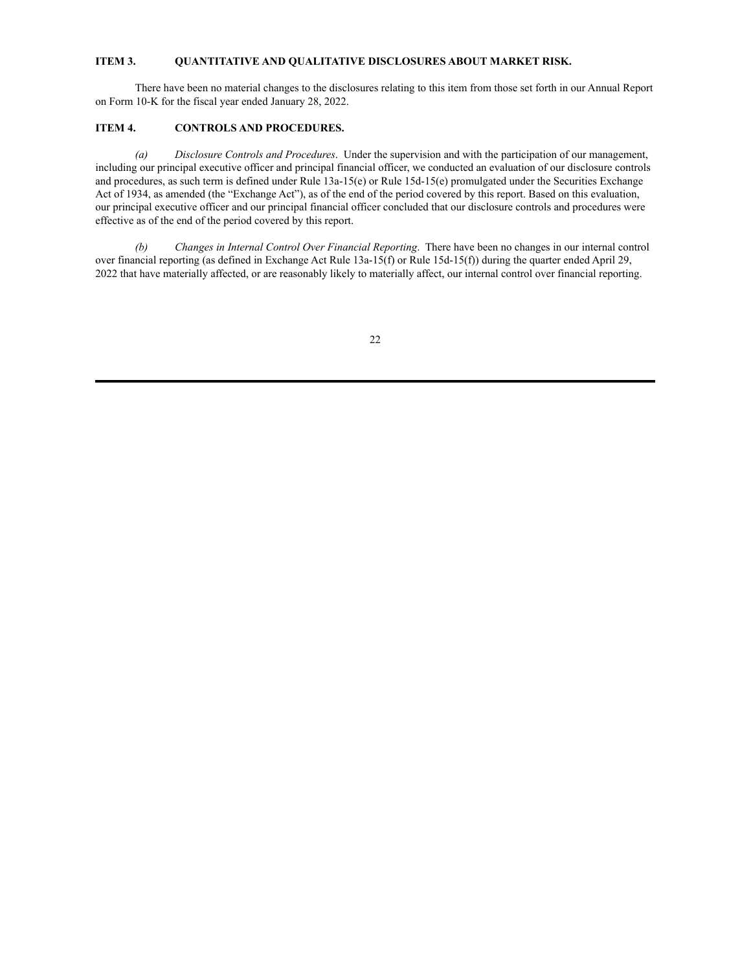## <span id="page-22-0"></span>**ITEM 3. QUANTITATIVE AND QUALITATIVE DISCLOSURES ABOUT MARKET RISK.**

There have been no material changes to the disclosures relating to this item from those set forth in our Annual Report on Form 10-K for the fiscal year ended January 28, 2022.

## <span id="page-22-1"></span>**ITEM 4. CONTROLS AND PROCEDURES.**

*(a) Disclosure Controls and Procedures*. Under the supervision and with the participation of our management, including our principal executive officer and principal financial officer, we conducted an evaluation of our disclosure controls and procedures, as such term is defined under Rule  $13a-15(e)$  or Rule  $15d-15(e)$  promulgated under the Securities Exchange Act of 1934, as amended (the "Exchange Act"), as of the end of the period covered by this report. Based on this evaluation, our principal executive officer and our principal financial officer concluded that our disclosure controls and procedures were effective as of the end of the period covered by this report.

*(b) Changes in Internal Control Over Financial Reporting*. There have been no changes in our internal control over financial reporting (as defined in Exchange Act Rule 13a-15(f) or Rule 15d-15(f)) during the quarter ended April 29, 2022 that have materially affected, or are reasonably likely to materially affect, our internal control over financial reporting.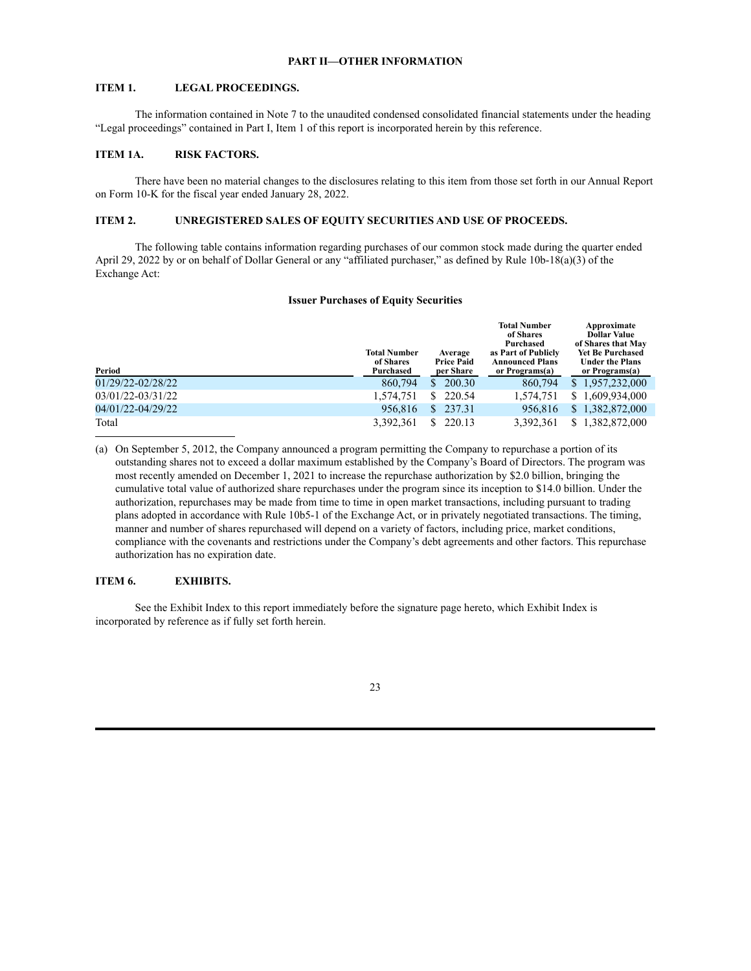### **PART II—OTHER INFORMATION**

## <span id="page-23-1"></span><span id="page-23-0"></span>**ITEM 1. LEGAL PROCEEDINGS.**

The information contained in Note 7 to the unaudited condensed consolidated financial statements under the heading "Legal proceedings" contained in Part I, Item 1 of this report is incorporated herein by this reference.

## <span id="page-23-2"></span>**ITEM 1A. RISK FACTORS.**

There have been no material changes to the disclosures relating to this item from those set forth in our Annual Report on Form 10-K for the fiscal year ended January 28, 2022.

### <span id="page-23-3"></span>**ITEM 2. UNREGISTERED SALES OF EQUITY SECURITIES AND USE OF PROCEEDS.**

The following table contains information regarding purchases of our common stock made during the quarter ended April 29, 2022 by or on behalf of Dollar General or any "affiliated purchaser," as defined by Rule 10b-18(a)(3) of the Exchange Act:

#### **Issuer Purchases of Equity Securities**

| Period            | <b>Total Number</b><br>of Shares<br>Purchased | Average<br><b>Price Paid</b><br>per Share | <b>Total Number</b><br>of Shares<br>Purchased<br>as Part of Publicly<br><b>Announced Plans</b><br>or Programs(a) | Approximate<br><b>Dollar Value</b><br>of Shares that May<br><b>Yet Be Purchased</b><br><b>Under the Plans</b><br>or Programs(a) |
|-------------------|-----------------------------------------------|-------------------------------------------|------------------------------------------------------------------------------------------------------------------|---------------------------------------------------------------------------------------------------------------------------------|
| 01/29/22-02/28/22 | 860,794                                       | 200.30<br>S.                              | 860,794                                                                                                          | \$1,957,232,000                                                                                                                 |
| 03/01/22-03/31/22 | 1,574,751                                     | S.<br>220.54                              | 1.574.751                                                                                                        | 1,609,934,000<br>S                                                                                                              |
| 04/01/22-04/29/22 | 956.816                                       | S.<br>237.31                              | 956.816                                                                                                          | \$1,382,872,000                                                                                                                 |
| Total             | 3,392,361                                     | 220.13<br>S.                              | 3.392.361                                                                                                        | \$1,382,872,000                                                                                                                 |

(a) On September 5, 2012, the Company announced a program permitting the Company to repurchase a portion of its outstanding shares not to exceed a dollar maximum established by the Company's Board of Directors. The program was most recently amended on December 1, 2021 to increase the repurchase authorization by \$2.0 billion, bringing the cumulative total value of authorized share repurchases under the program since its inception to \$14.0 billion. Under the authorization, repurchases may be made from time to time in open market transactions, including pursuant to trading plans adopted in accordance with Rule 10b5-1 of the Exchange Act, or in privately negotiated transactions. The timing, manner and number of shares repurchased will depend on a variety of factors, including price, market conditions, compliance with the covenants and restrictions under the Company's debt agreements and other factors. This repurchase authorization has no expiration date.

## <span id="page-23-4"></span>**ITEM 6. EXHIBITS.**

See the Exhibit Index to this report immediately before the signature page hereto, which Exhibit Index is incorporated by reference as if fully set forth herein.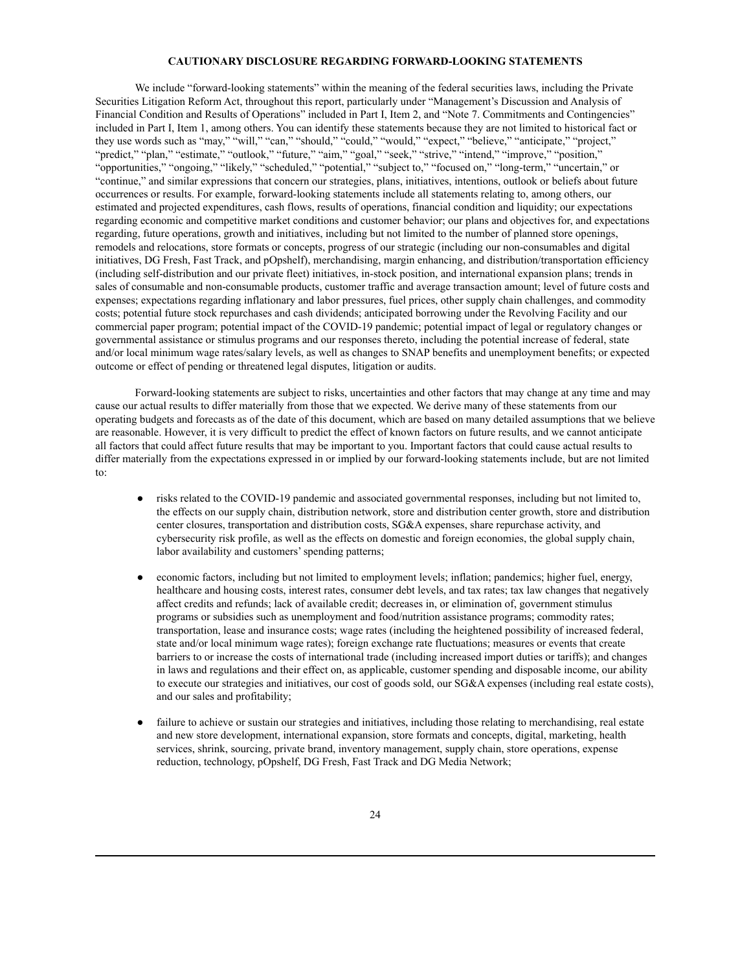### **CAUTIONARY DISCLOSURE REGARDING FORWARD-LOOKING STATEMENTS**

<span id="page-24-0"></span>We include "forward-looking statements" within the meaning of the federal securities laws, including the Private Securities Litigation Reform Act, throughout this report, particularly under "Management's Discussion and Analysis of Financial Condition and Results of Operations" included in Part I, Item 2, and "Note 7. Commitments and Contingencies" included in Part I, Item 1, among others. You can identify these statements because they are not limited to historical fact or they use words such as "may," "will," "can," "should," "could," "would," "expect," "believe," "anticipate," "project," "predict," "plan," "estimate," "outlook," "future," "aim," "goal," "seek," "strive," "intend," "improve," "position," "opportunities," "ongoing," "likely," "scheduled," "potential," "subject to," "focused on," "long-term," "uncertain," or "continue," and similar expressions that concern our strategies, plans, initiatives, intentions, outlook or beliefs about future occurrences or results. For example, forward-looking statements include all statements relating to, among others, our estimated and projected expenditures, cash flows, results of operations, financial condition and liquidity; our expectations regarding economic and competitive market conditions and customer behavior; our plans and objectives for, and expectations regarding, future operations, growth and initiatives, including but not limited to the number of planned store openings, remodels and relocations, store formats or concepts, progress of our strategic (including our non-consumables and digital initiatives, DG Fresh, Fast Track, and pOpshelf), merchandising, margin enhancing, and distribution/transportation efficiency (including self-distribution and our private fleet) initiatives, in-stock position, and international expansion plans; trends in sales of consumable and non-consumable products, customer traffic and average transaction amount; level of future costs and expenses; expectations regarding inflationary and labor pressures, fuel prices, other supply chain challenges, and commodity costs; potential future stock repurchases and cash dividends; anticipated borrowing under the Revolving Facility and our commercial paper program; potential impact of the COVID-19 pandemic; potential impact of legal or regulatory changes or governmental assistance or stimulus programs and our responses thereto, including the potential increase of federal, state and/or local minimum wage rates/salary levels, as well as changes to SNAP benefits and unemployment benefits; or expected outcome or effect of pending or threatened legal disputes, litigation or audits.

Forward-looking statements are subject to risks, uncertainties and other factors that may change at any time and may cause our actual results to differ materially from those that we expected. We derive many of these statements from our operating budgets and forecasts as of the date of this document, which are based on many detailed assumptions that we believe are reasonable. However, it is very difficult to predict the effect of known factors on future results, and we cannot anticipate all factors that could affect future results that may be important to you. Important factors that could cause actual results to differ materially from the expectations expressed in or implied by our forward-looking statements include, but are not limited to:

- risks related to the COVID-19 pandemic and associated governmental responses, including but not limited to, the effects on our supply chain, distribution network, store and distribution center growth, store and distribution center closures, transportation and distribution costs, SG&A expenses, share repurchase activity, and cybersecurity risk profile, as well as the effects on domestic and foreign economies, the global supply chain, labor availability and customers' spending patterns;
- economic factors, including but not limited to employment levels; inflation; pandemics; higher fuel, energy, healthcare and housing costs, interest rates, consumer debt levels, and tax rates; tax law changes that negatively affect credits and refunds; lack of available credit; decreases in, or elimination of, government stimulus programs or subsidies such as unemployment and food/nutrition assistance programs; commodity rates; transportation, lease and insurance costs; wage rates (including the heightened possibility of increased federal, state and/or local minimum wage rates); foreign exchange rate fluctuations; measures or events that create barriers to or increase the costs of international trade (including increased import duties or tariffs); and changes in laws and regulations and their effect on, as applicable, customer spending and disposable income, our ability to execute our strategies and initiatives, our cost of goods sold, our SG&A expenses (including real estate costs), and our sales and profitability;
- failure to achieve or sustain our strategies and initiatives, including those relating to merchandising, real estate and new store development, international expansion, store formats and concepts, digital, marketing, health services, shrink, sourcing, private brand, inventory management, supply chain, store operations, expense reduction, technology, pOpshelf, DG Fresh, Fast Track and DG Media Network;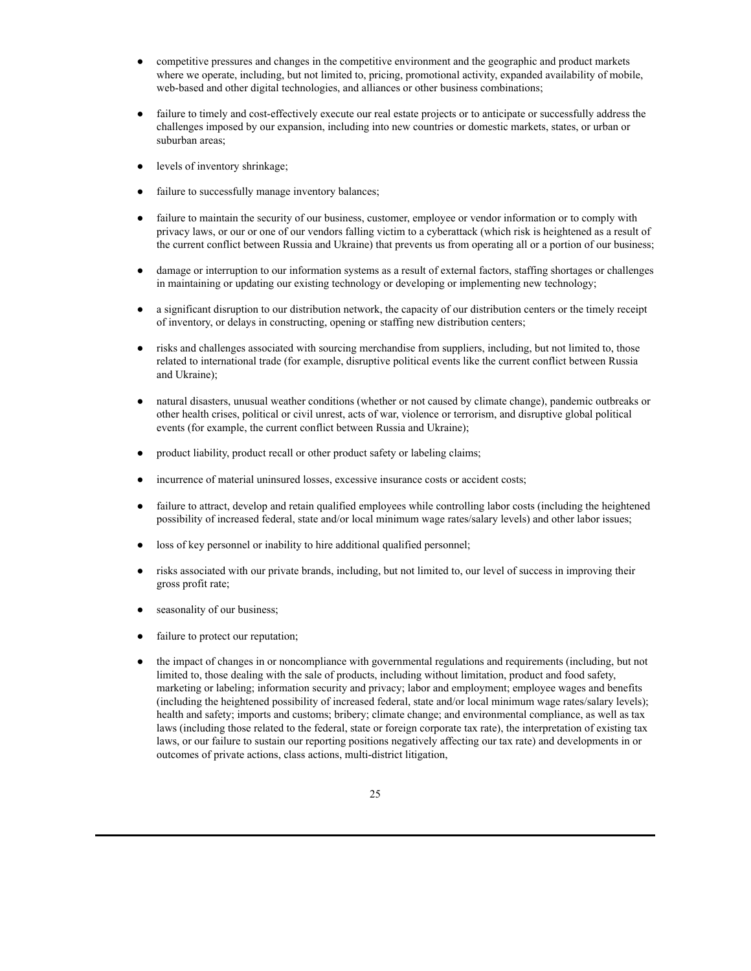- competitive pressures and changes in the competitive environment and the geographic and product markets where we operate, including, but not limited to, pricing, promotional activity, expanded availability of mobile, web-based and other digital technologies, and alliances or other business combinations;
- failure to timely and cost-effectively execute our real estate projects or to anticipate or successfully address the challenges imposed by our expansion, including into new countries or domestic markets, states, or urban or suburban areas;
- levels of inventory shrinkage;
- failure to successfully manage inventory balances;
- failure to maintain the security of our business, customer, employee or vendor information or to comply with privacy laws, or our or one of our vendors falling victim to a cyberattack (which risk is heightened as a result of the current conflict between Russia and Ukraine) that prevents us from operating all or a portion of our business;
- damage or interruption to our information systems as a result of external factors, staffing shortages or challenges in maintaining or updating our existing technology or developing or implementing new technology;
- a significant disruption to our distribution network, the capacity of our distribution centers or the timely receipt of inventory, or delays in constructing, opening or staffing new distribution centers;
- risks and challenges associated with sourcing merchandise from suppliers, including, but not limited to, those related to international trade (for example, disruptive political events like the current conflict between Russia and Ukraine);
- natural disasters, unusual weather conditions (whether or not caused by climate change), pandemic outbreaks or other health crises, political or civil unrest, acts of war, violence or terrorism, and disruptive global political events (for example, the current conflict between Russia and Ukraine);
- product liability, product recall or other product safety or labeling claims;
- incurrence of material uninsured losses, excessive insurance costs or accident costs;
- failure to attract, develop and retain qualified employees while controlling labor costs (including the heightened possibility of increased federal, state and/or local minimum wage rates/salary levels) and other labor issues;
- loss of key personnel or inability to hire additional qualified personnel;
- risks associated with our private brands, including, but not limited to, our level of success in improving their gross profit rate;
- seasonality of our business;
- failure to protect our reputation;
- the impact of changes in or noncompliance with governmental regulations and requirements (including, but not limited to, those dealing with the sale of products, including without limitation, product and food safety, marketing or labeling; information security and privacy; labor and employment; employee wages and benefits (including the heightened possibility of increased federal, state and/or local minimum wage rates/salary levels); health and safety; imports and customs; bribery; climate change; and environmental compliance, as well as tax laws (including those related to the federal, state or foreign corporate tax rate), the interpretation of existing tax laws, or our failure to sustain our reporting positions negatively affecting our tax rate) and developments in or outcomes of private actions, class actions, multi-district litigation,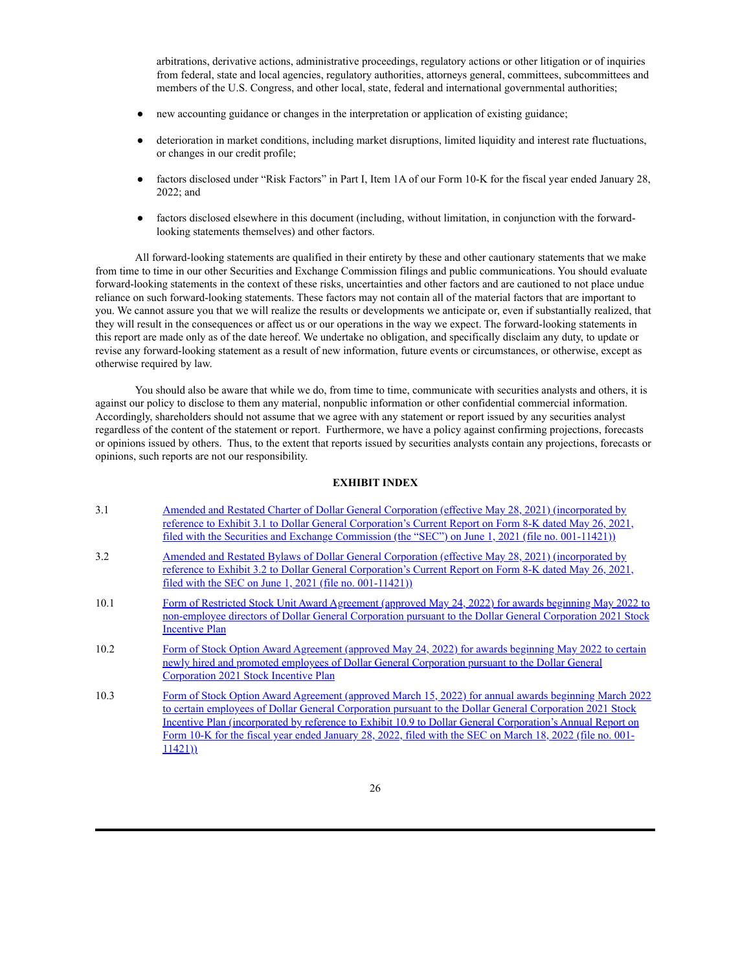arbitrations, derivative actions, administrative proceedings, regulatory actions or other litigation or of inquiries from federal, state and local agencies, regulatory authorities, attorneys general, committees, subcommittees and members of the U.S. Congress, and other local, state, federal and international governmental authorities;

- new accounting guidance or changes in the interpretation or application of existing guidance;
- deterioration in market conditions, including market disruptions, limited liquidity and interest rate fluctuations, or changes in our credit profile;
- factors disclosed under "Risk Factors" in Part I, Item 1A of our Form 10-K for the fiscal year ended January 28, 2022; and
- factors disclosed elsewhere in this document (including, without limitation, in conjunction with the forwardlooking statements themselves) and other factors.

All forward-looking statements are qualified in their entirety by these and other cautionary statements that we make from time to time in our other Securities and Exchange Commission filings and public communications. You should evaluate forward-looking statements in the context of these risks, uncertainties and other factors and are cautioned to not place undue reliance on such forward-looking statements. These factors may not contain all of the material factors that are important to you. We cannot assure you that we will realize the results or developments we anticipate or, even if substantially realized, that they will result in the consequences or affect us or our operations in the way we expect. The forward-looking statements in this report are made only as of the date hereof. We undertake no obligation, and specifically disclaim any duty, to update or revise any forward-looking statement as a result of new information, future events or circumstances, or otherwise, except as otherwise required by law.

You should also be aware that while we do, from time to time, communicate with securities analysts and others, it is against our policy to disclose to them any material, nonpublic information or other confidential commercial information. Accordingly, shareholders should not assume that we agree with any statement or report issued by any securities analyst regardless of the content of the statement or report. Furthermore, we have a policy against confirming projections, forecasts or opinions issued by others. Thus, to the extent that reports issued by securities analysts contain any projections, forecasts or opinions, such reports are not our responsibility.

### **EXHIBIT INDEX**

<span id="page-26-0"></span>

| 3.1  | Amended and Restated Charter of Dollar General Corporation (effective May 28, 2021) (incorporated by<br>reference to Exhibit 3.1 to Dollar General Corporation's Current Report on Form 8-K dated May 26, 2021,<br>filed with the Securities and Exchange Commission (the "SEC") on June 1, 2021 (file no. 001-11421))                                                                                                                                 |
|------|--------------------------------------------------------------------------------------------------------------------------------------------------------------------------------------------------------------------------------------------------------------------------------------------------------------------------------------------------------------------------------------------------------------------------------------------------------|
| 3.2  | <u>Amended and Restated Bylaws of Dollar General Corporation (effective May 28, 2021) (incorporated by</u><br>reference to Exhibit 3.2 to Dollar General Corporation's Current Report on Form 8-K dated May 26, 2021,<br>filed with the SEC on June $1, 2021$ (file no. 001-11421))                                                                                                                                                                    |
| 10.1 | Form of Restricted Stock Unit Award Agreement (approved May 24, 2022) for awards beginning May 2022 to<br>non-employee directors of Dollar General Corporation pursuant to the Dollar General Corporation 2021 Stock<br><b>Incentive Plan</b>                                                                                                                                                                                                          |
| 10.2 | Form of Stock Option Award Agreement (approved May 24, 2022) for awards beginning May 2022 to certain<br>newly hired and promoted employees of Dollar General Corporation pursuant to the Dollar General<br><b>Corporation 2021 Stock Incentive Plan</b>                                                                                                                                                                                               |
| 10.3 | Form of Stock Option Award Agreement (approved March 15, 2022) for annual awards beginning March 2022<br>to certain employees of Dollar General Corporation pursuant to the Dollar General Corporation 2021 Stock<br>Incentive Plan (incorporated by reference to Exhibit 10.9 to Dollar General Corporation's Annual Report on<br>Form 10-K for the fiscal year ended January 28, 2022, filed with the SEC on March 18, 2022 (file no. 001-<br>11421) |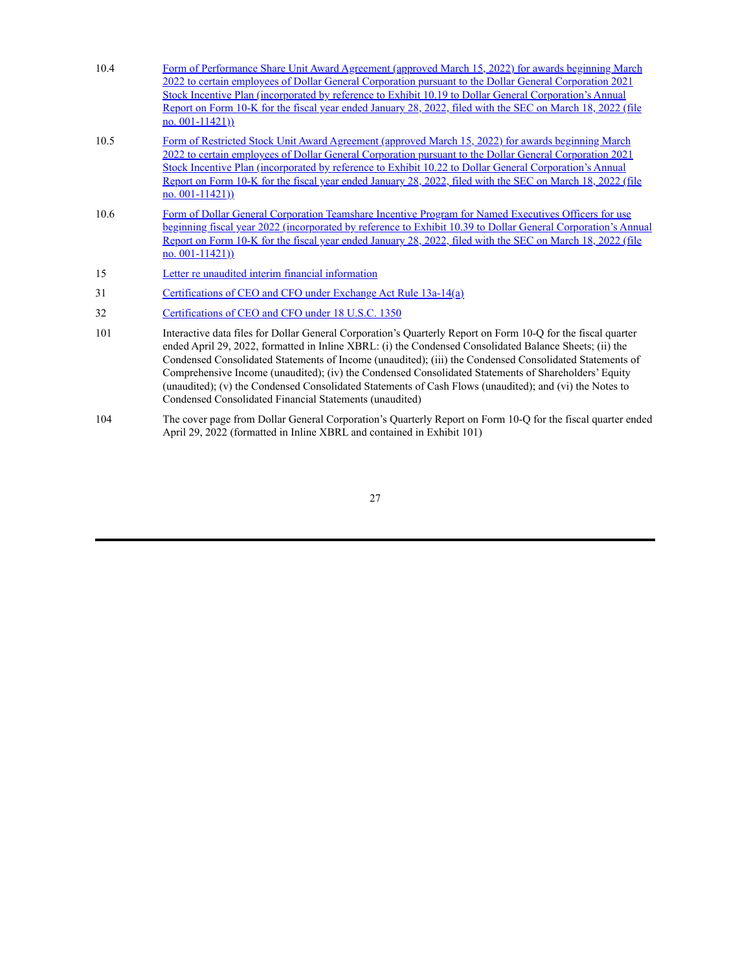| 10.4 | Form of Performance Share Unit Award Agreement (approved March 15, 2022) for awards beginning March<br>2022 to certain employees of Dollar General Corporation pursuant to the Dollar General Corporation 2021<br>Stock Incentive Plan (incorporated by reference to Exhibit 10.19 to Dollar General Corporation's Annual<br>Report on Form 10-K for the fiscal year ended January 28, 2022, filed with the SEC on March 18, 2022 (file<br>$\underline{no}$ . 001-11421))                                                                                                                                        |
|------|------------------------------------------------------------------------------------------------------------------------------------------------------------------------------------------------------------------------------------------------------------------------------------------------------------------------------------------------------------------------------------------------------------------------------------------------------------------------------------------------------------------------------------------------------------------------------------------------------------------|
| 10.5 | Form of Restricted Stock Unit Award Agreement (approved March 15, 2022) for awards beginning March<br>2022 to certain employees of Dollar General Corporation pursuant to the Dollar General Corporation 2021<br>Stock Incentive Plan (incorporated by reference to Exhibit 10.22 to Dollar General Corporation's Annual<br>Report on Form 10-K for the fiscal year ended January 28, 2022, filed with the SEC on March 18, 2022 (file<br>no. $001-11421$ )                                                                                                                                                      |
| 10.6 | Form of Dollar General Corporation Teamshare Incentive Program for Named Executives Officers for use<br>beginning fiscal year 2022 (incorporated by reference to Exhibit 10.39 to Dollar General Corporation's Annual<br>Report on Form 10-K for the fiscal year ended January 28, 2022, filed with the SEC on March 18, 2022 (file<br>no. $001-11421$ )                                                                                                                                                                                                                                                         |
| 15   | Letter re unaudited interim financial information                                                                                                                                                                                                                                                                                                                                                                                                                                                                                                                                                                |
| 31   | Certifications of CEO and CFO under Exchange Act Rule 13a-14(a)                                                                                                                                                                                                                                                                                                                                                                                                                                                                                                                                                  |
| 32   | Certifications of CEO and CFO under 18 U.S.C. 1350                                                                                                                                                                                                                                                                                                                                                                                                                                                                                                                                                               |
| 101  | Interactive data files for Dollar General Corporation's Quarterly Report on Form 10-Q for the fiscal quarter<br>ended April 29, 2022, formatted in Inline XBRL: (i) the Condensed Consolidated Balance Sheets; (ii) the<br>Condensed Consolidated Statements of Income (unaudited); (iii) the Condensed Consolidated Statements of<br>Comprehensive Income (unaudited); (iv) the Condensed Consolidated Statements of Shareholders' Equity<br>(unaudited); (v) the Condensed Consolidated Statements of Cash Flows (unaudited); and (vi) the Notes to<br>Condensed Consolidated Financial Statements (unaudited) |

104 The cover page from Dollar General Corporation's Quarterly Report on Form 10-Q for the fiscal quarter ended April 29, 2022 (formatted in Inline XBRL and contained in Exhibit 101)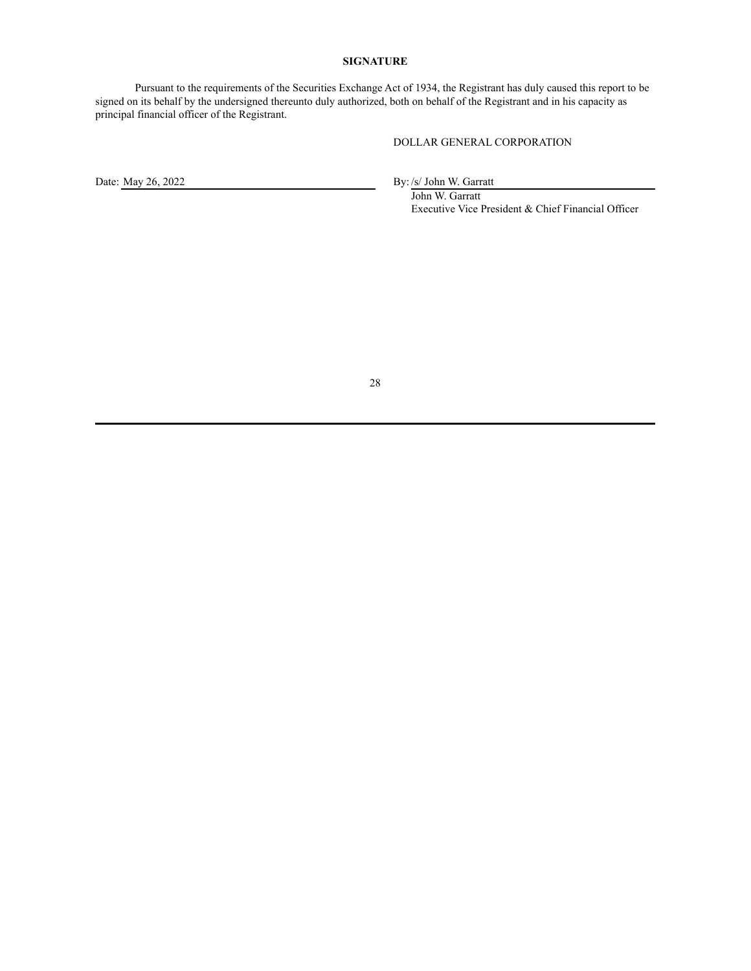## **SIGNATURE**

<span id="page-28-0"></span>Pursuant to the requirements of the Securities Exchange Act of 1934, the Registrant has duly caused this report to be signed on its behalf by the undersigned thereunto duly authorized, both on behalf of the Registrant and in his capacity as principal financial officer of the Registrant.

DOLLAR GENERAL CORPORATION

Date: May 26, 2022 By: /s/ John W. Garratt

John W. Garratt Executive Vice President & Chief Financial Officer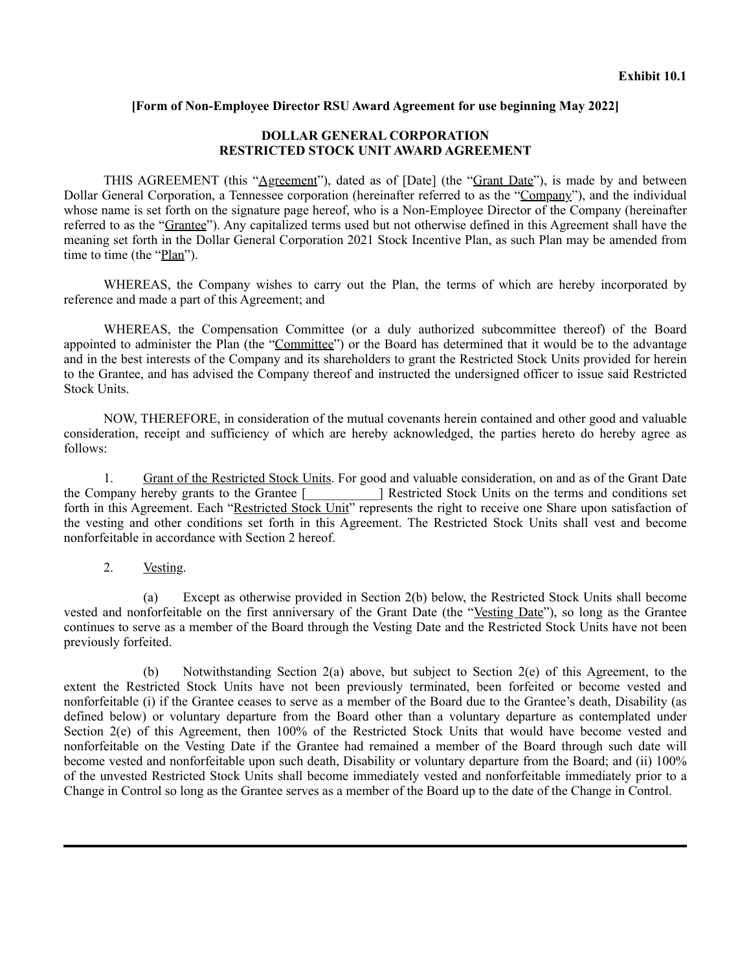# <span id="page-29-0"></span>**[Form of Non-Employee Director RSU Award Agreement for use beginning May 2022]**

# **DOLLAR GENERAL CORPORATION RESTRICTED STOCK UNIT AWARD AGREEMENT**

THIS AGREEMENT (this "Agreement"), dated as of [Date] (the "Grant Date"), is made by and between Dollar General Corporation, a Tennessee corporation (hereinafter referred to as the "Company"), and the individual whose name is set forth on the signature page hereof, who is a Non-Employee Director of the Company (hereinafter referred to as the "Grantee"). Any capitalized terms used but not otherwise defined in this Agreement shall have the meaning set forth in the Dollar General Corporation 2021 Stock Incentive Plan, as such Plan may be amended from time to time (the "Plan").

WHEREAS, the Company wishes to carry out the Plan, the terms of which are hereby incorporated by reference and made a part of this Agreement; and

WHEREAS, the Compensation Committee (or a duly authorized subcommittee thereof) of the Board appointed to administer the Plan (the "Committee") or the Board has determined that it would be to the advantage and in the best interests of the Company and its shareholders to grant the Restricted Stock Units provided for herein to the Grantee, and has advised the Company thereof and instructed the undersigned officer to issue said Restricted Stock Units.

NOW, THEREFORE, in consideration of the mutual covenants herein contained and other good and valuable consideration, receipt and sufficiency of which are hereby acknowledged, the parties hereto do hereby agree as follows:

1. Grant of the Restricted Stock Units. For good and valuable consideration, on and as of the Grant Date the Company hereby grants to the Grantee [\_\_\_\_\_\_\_\_\_\_\_] Restricted Stock Units on the terms and conditions set forth in this Agreement. Each "Restricted Stock Unit" represents the right to receive one Share upon satisfaction of the vesting and other conditions set forth in this Agreement. The Restricted Stock Units shall vest and become nonforfeitable in accordance with Section 2 hereof.

2. Vesting.

(a) Except as otherwise provided in Section 2(b) below, the Restricted Stock Units shall become vested and nonforfeitable on the first anniversary of the Grant Date (the "Vesting Date"), so long as the Grantee continues to serve as a member of the Board through the Vesting Date and the Restricted Stock Units have not been previously forfeited.

(b) Notwithstanding Section 2(a) above, but subject to Section 2(e) of this Agreement, to the extent the Restricted Stock Units have not been previously terminated, been forfeited or become vested and nonforfeitable (i) if the Grantee ceases to serve as a member of the Board due to the Grantee's death, Disability (as defined below) or voluntary departure from the Board other than a voluntary departure as contemplated under Section 2(e) of this Agreement, then 100% of the Restricted Stock Units that would have become vested and nonforfeitable on the Vesting Date if the Grantee had remained a member of the Board through such date will become vested and nonforfeitable upon such death, Disability or voluntary departure from the Board; and (ii) 100% of the unvested Restricted Stock Units shall become immediately vested and nonforfeitable immediately prior to a Change in Control so long as the Grantee serves as a member of the Board up to the date of the Change in Control.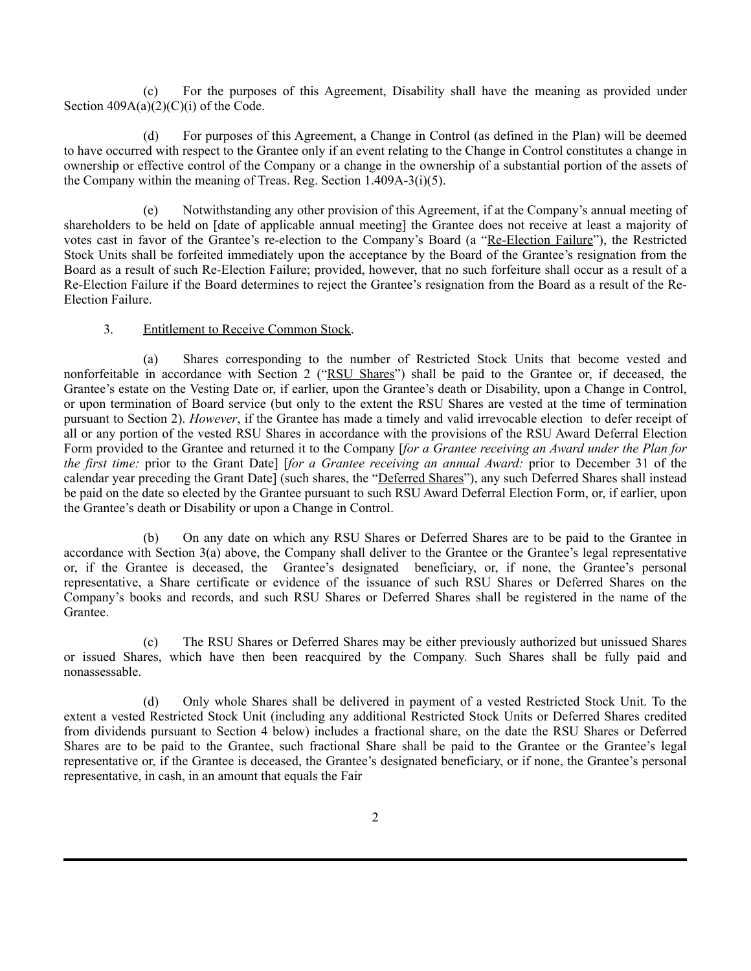(c) For the purposes of this Agreement, Disability shall have the meaning as provided under Section  $409A(a)(2)(C)(i)$  of the Code.

(d) For purposes of this Agreement, a Change in Control (as defined in the Plan) will be deemed to have occurred with respect to the Grantee only if an event relating to the Change in Control constitutes a change in ownership or effective control of the Company or a change in the ownership of a substantial portion of the assets of the Company within the meaning of Treas. Reg. Section 1.409A-3(i)(5).

(e) Notwithstanding any other provision of this Agreement, if at the Company's annual meeting of shareholders to be held on [date of applicable annual meeting] the Grantee does not receive at least a majority of votes cast in favor of the Grantee's re-election to the Company's Board (a "Re-Election Failure"), the Restricted Stock Units shall be forfeited immediately upon the acceptance by the Board of the Grantee's resignation from the Board as a result of such Re-Election Failure; provided, however, that no such forfeiture shall occur as a result of a Re-Election Failure if the Board determines to reject the Grantee's resignation from the Board as a result of the Re-Election Failure.

# 3. Entitlement to Receive Common Stock.

Shares corresponding to the number of Restricted Stock Units that become vested and nonforfeitable in accordance with Section 2 ("RSU Shares") shall be paid to the Grantee or, if deceased, the Grantee's estate on the Vesting Date or, if earlier, upon the Grantee's death or Disability, upon a Change in Control, or upon termination of Board service (but only to the extent the RSU Shares are vested at the time of termination pursuant to Section 2). *However*, if the Grantee has made a timely and valid irrevocable election to defer receipt of all or any portion of the vested RSU Shares in accordance with the provisions of the RSU Award Deferral Election Form provided to the Grantee and returned it to the Company [*for a Grantee receiving an Award under the Plan for the first time:* prior to the Grant Date] [*for a Grantee receiving an annual Award:* prior to December 31 of the calendar year preceding the Grant Date] (such shares, the "Deferred Shares"), any such Deferred Shares shall instead be paid on the date so elected by the Grantee pursuant to such RSU Award Deferral Election Form, or, if earlier, upon the Grantee's death or Disability or upon a Change in Control.

(b) On any date on which any RSU Shares or Deferred Shares are to be paid to the Grantee in accordance with Section 3(a) above, the Company shall deliver to the Grantee or the Grantee's legal representative or, if the Grantee is deceased, the Grantee's designated beneficiary, or, if none, the Grantee's personal representative, a Share certificate or evidence of the issuance of such RSU Shares or Deferred Shares on the Company's books and records, and such RSU Shares or Deferred Shares shall be registered in the name of the Grantee.

(c) The RSU Shares or Deferred Shares may be either previously authorized but unissued Shares or issued Shares, which have then been reacquired by the Company. Such Shares shall be fully paid and nonassessable.

(d) Only whole Shares shall be delivered in payment of a vested Restricted Stock Unit. To the extent a vested Restricted Stock Unit (including any additional Restricted Stock Units or Deferred Shares credited from dividends pursuant to Section 4 below) includes a fractional share, on the date the RSU Shares or Deferred Shares are to be paid to the Grantee, such fractional Share shall be paid to the Grantee or the Grantee's legal representative or, if the Grantee is deceased, the Grantee's designated beneficiary, or if none, the Grantee's personal representative, in cash, in an amount that equals the Fair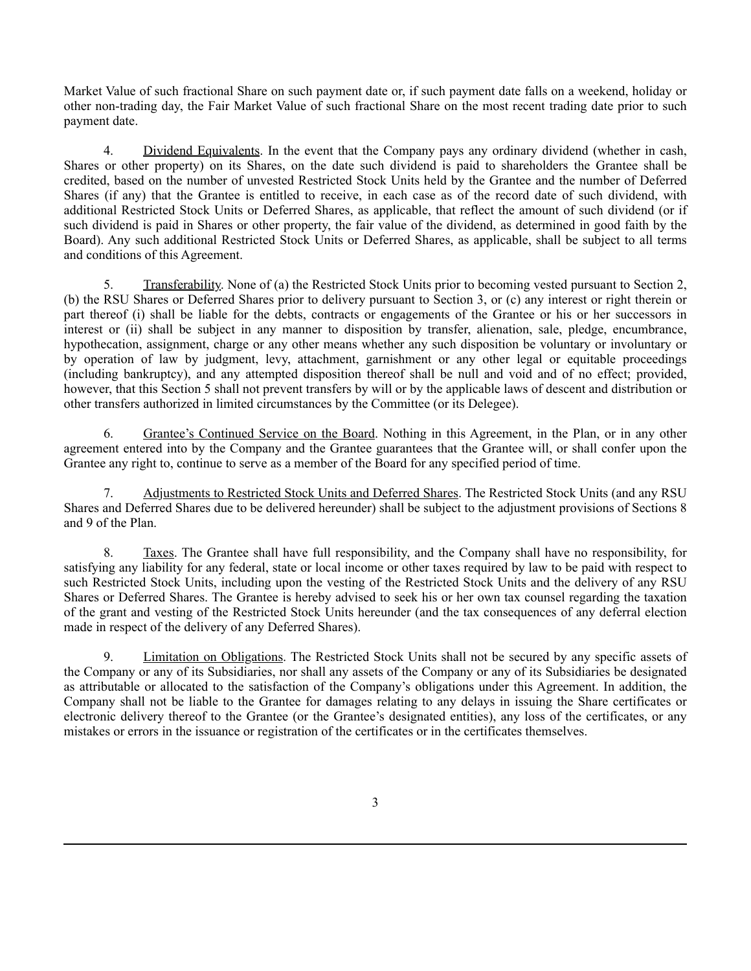Market Value of such fractional Share on such payment date or, if such payment date falls on a weekend, holiday or other non-trading day, the Fair Market Value of such fractional Share on the most recent trading date prior to such payment date.

4. Dividend Equivalents. In the event that the Company pays any ordinary dividend (whether in cash, Shares or other property) on its Shares, on the date such dividend is paid to shareholders the Grantee shall be credited, based on the number of unvested Restricted Stock Units held by the Grantee and the number of Deferred Shares (if any) that the Grantee is entitled to receive, in each case as of the record date of such dividend, with additional Restricted Stock Units or Deferred Shares, as applicable, that reflect the amount of such dividend (or if such dividend is paid in Shares or other property, the fair value of the dividend, as determined in good faith by the Board). Any such additional Restricted Stock Units or Deferred Shares, as applicable, shall be subject to all terms and conditions of this Agreement.

5. Transferability. None of (a) the Restricted Stock Units prior to becoming vested pursuant to Section 2, (b) the RSU Shares or Deferred Shares prior to delivery pursuant to Section 3, or (c) any interest or right therein or part thereof (i) shall be liable for the debts, contracts or engagements of the Grantee or his or her successors in interest or (ii) shall be subject in any manner to disposition by transfer, alienation, sale, pledge, encumbrance, hypothecation, assignment, charge or any other means whether any such disposition be voluntary or involuntary or by operation of law by judgment, levy, attachment, garnishment or any other legal or equitable proceedings (including bankruptcy), and any attempted disposition thereof shall be null and void and of no effect; provided, however, that this Section 5 shall not prevent transfers by will or by the applicable laws of descent and distribution or other transfers authorized in limited circumstances by the Committee (or its Delegee).

6. Grantee's Continued Service on the Board. Nothing in this Agreement, in the Plan, or in any other agreement entered into by the Company and the Grantee guarantees that the Grantee will, or shall confer upon the Grantee any right to, continue to serve as a member of the Board for any specified period of time.

7. Adjustments to Restricted Stock Units and Deferred Shares. The Restricted Stock Units (and any RSU Shares and Deferred Shares due to be delivered hereunder) shall be subject to the adjustment provisions of Sections 8 and 9 of the Plan.

8. Taxes. The Grantee shall have full responsibility, and the Company shall have no responsibility, for satisfying any liability for any federal, state or local income or other taxes required by law to be paid with respect to such Restricted Stock Units, including upon the vesting of the Restricted Stock Units and the delivery of any RSU Shares or Deferred Shares. The Grantee is hereby advised to seek his or her own tax counsel regarding the taxation of the grant and vesting of the Restricted Stock Units hereunder (and the tax consequences of any deferral election made in respect of the delivery of any Deferred Shares).

9. Limitation on Obligations. The Restricted Stock Units shall not be secured by any specific assets of the Company or any of its Subsidiaries, nor shall any assets of the Company or any of its Subsidiaries be designated as attributable or allocated to the satisfaction of the Company's obligations under this Agreement. In addition, the Company shall not be liable to the Grantee for damages relating to any delays in issuing the Share certificates or electronic delivery thereof to the Grantee (or the Grantee's designated entities), any loss of the certificates, or any mistakes or errors in the issuance or registration of the certificates or in the certificates themselves.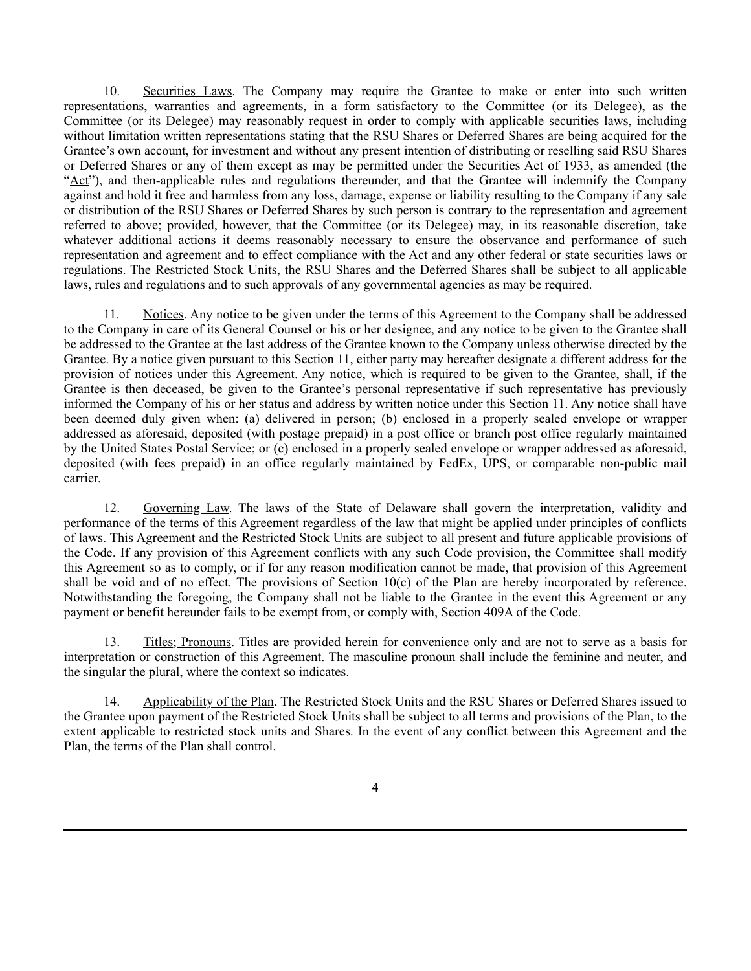10. Securities Laws. The Company may require the Grantee to make or enter into such written representations, warranties and agreements, in a form satisfactory to the Committee (or its Delegee), as the Committee (or its Delegee) may reasonably request in order to comply with applicable securities laws, including without limitation written representations stating that the RSU Shares or Deferred Shares are being acquired for the Grantee's own account, for investment and without any present intention of distributing or reselling said RSU Shares or Deferred Shares or any of them except as may be permitted under the Securities Act of 1933, as amended (the "Act"), and then-applicable rules and regulations thereunder, and that the Grantee will indemnify the Company against and hold it free and harmless from any loss, damage, expense or liability resulting to the Company if any sale or distribution of the RSU Shares or Deferred Shares by such person is contrary to the representation and agreement referred to above; provided, however, that the Committee (or its Delegee) may, in its reasonable discretion, take whatever additional actions it deems reasonably necessary to ensure the observance and performance of such representation and agreement and to effect compliance with the Act and any other federal or state securities laws or regulations. The Restricted Stock Units, the RSU Shares and the Deferred Shares shall be subject to all applicable laws, rules and regulations and to such approvals of any governmental agencies as may be required.

11. Notices. Any notice to be given under the terms of this Agreement to the Company shall be addressed to the Company in care of its General Counsel or his or her designee, and any notice to be given to the Grantee shall be addressed to the Grantee at the last address of the Grantee known to the Company unless otherwise directed by the Grantee. By a notice given pursuant to this Section 11, either party may hereafter designate a different address for the provision of notices under this Agreement. Any notice, which is required to be given to the Grantee, shall, if the Grantee is then deceased, be given to the Grantee's personal representative if such representative has previously informed the Company of his or her status and address by written notice under this Section 11. Any notice shall have been deemed duly given when: (a) delivered in person; (b) enclosed in a properly sealed envelope or wrapper addressed as aforesaid, deposited (with postage prepaid) in a post office or branch post office regularly maintained by the United States Postal Service; or (c) enclosed in a properly sealed envelope or wrapper addressed as aforesaid, deposited (with fees prepaid) in an office regularly maintained by FedEx, UPS, or comparable non-public mail carrier.

12. Governing Law. The laws of the State of Delaware shall govern the interpretation, validity and performance of the terms of this Agreement regardless of the law that might be applied under principles of conflicts of laws. This Agreement and the Restricted Stock Units are subject to all present and future applicable provisions of the Code. If any provision of this Agreement conflicts with any such Code provision, the Committee shall modify this Agreement so as to comply, or if for any reason modification cannot be made, that provision of this Agreement shall be void and of no effect. The provisions of Section 10(c) of the Plan are hereby incorporated by reference. Notwithstanding the foregoing, the Company shall not be liable to the Grantee in the event this Agreement or any payment or benefit hereunder fails to be exempt from, or comply with, Section 409A of the Code.

13. Titles; Pronouns. Titles are provided herein for convenience only and are not to serve as a basis for interpretation or construction of this Agreement. The masculine pronoun shall include the feminine and neuter, and the singular the plural, where the context so indicates.

14. Applicability of the Plan. The Restricted Stock Units and the RSU Shares or Deferred Shares issued to the Grantee upon payment of the Restricted Stock Units shall be subject to all terms and provisions of the Plan, to the extent applicable to restricted stock units and Shares. In the event of any conflict between this Agreement and the Plan, the terms of the Plan shall control.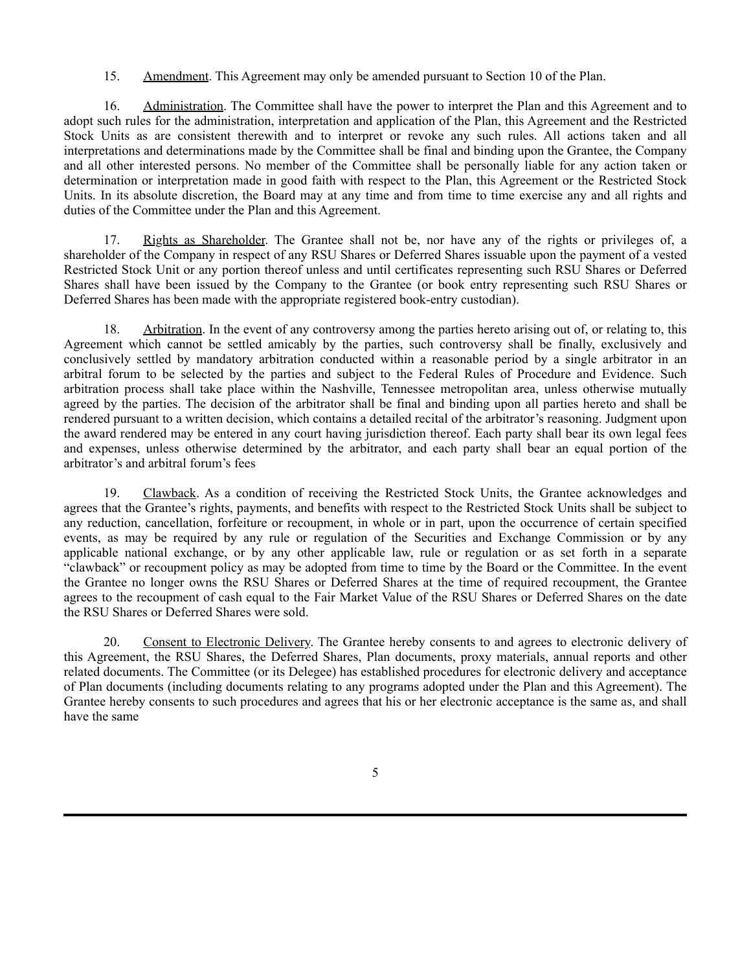15. Amendment. This Agreement may only be amended pursuant to Section 10 of the Plan.

16. Administration. The Committee shall have the power to interpret the Plan and this Agreement and to adopt such rules for the administration, interpretation and application of the Plan, this Agreement and the Restricted Stock Units as are consistent therewith and to interpret or revoke any such rules. All actions taken and all interpretations and determinations made by the Committee shall be final and binding upon the Grantee, the Company and all other interested persons. No member of the Committee shall be personally liable for any action taken or determination or interpretation made in good faith with respect to the Plan, this Agreement or the Restricted Stock Units. In its absolute discretion, the Board may at any time and from time to time exercise any and all rights and duties of the Committee under the Plan and this Agreement.

17. Rights as Shareholder. The Grantee shall not be, nor have any of the rights or privileges of, a shareholder of the Company in respect of any RSU Shares or Deferred Shares issuable upon the payment of a vested Restricted Stock Unit or any portion thereof unless and until certificates representing such RSU Shares or Deferred Shares shall have been issued by the Company to the Grantee (or book entry representing such RSU Shares or Deferred Shares has been made with the appropriate registered book-entry custodian).

18. Arbitration. In the event of any controversy among the parties hereto arising out of, or relating to, this Agreement which cannot be settled amicably by the parties, such controversy shall be finally, exclusively and conclusively settled by mandatory arbitration conducted within a reasonable period by a single arbitrator in an arbitral forum to be selected by the parties and subject to the Federal Rules of Procedure and Evidence. Such arbitration process shall take place within the Nashville, Tennessee metropolitan area, unless otherwise mutually agreed by the parties. The decision of the arbitrator shall be final and binding upon all parties hereto and shall be rendered pursuant to a written decision, which contains a detailed recital of the arbitrator's reasoning. Judgment upon the award rendered may be entered in any court having jurisdiction thereof. Each party shall bear its own legal fees and expenses, unless otherwise determined by the arbitrator, and each party shall bear an equal portion of the arbitrator's and arbitral forum's fees

19. Clawback. As a condition of receiving the Restricted Stock Units, the Grantee acknowledges and agrees that the Grantee's rights, payments, and benefits with respect to the Restricted Stock Units shall be subject to any reduction, cancellation, forfeiture or recoupment, in whole or in part, upon the occurrence of certain specified events, as may be required by any rule or regulation of the Securities and Exchange Commission or by any applicable national exchange, or by any other applicable law, rule or regulation or as set forth in a separate "clawback" or recoupment policy as may be adopted from time to time by the Board or the Committee. In the event the Grantee no longer owns the RSU Shares or Deferred Shares at the time of required recoupment, the Grantee agrees to the recoupment of cash equal to the Fair Market Value of the RSU Shares or Deferred Shares on the date the RSU Shares or Deferred Shares were sold.

20. Consent to Electronic Delivery. The Grantee hereby consents to and agrees to electronic delivery of this Agreement, the RSU Shares, the Deferred Shares, Plan documents, proxy materials, annual reports and other related documents. The Committee (or its Delegee) has established procedures for electronic delivery and acceptance of Plan documents (including documents relating to any programs adopted under the Plan and this Agreement). The Grantee hereby consents to such procedures and agrees that his or her electronic acceptance is the same as, and shall have the same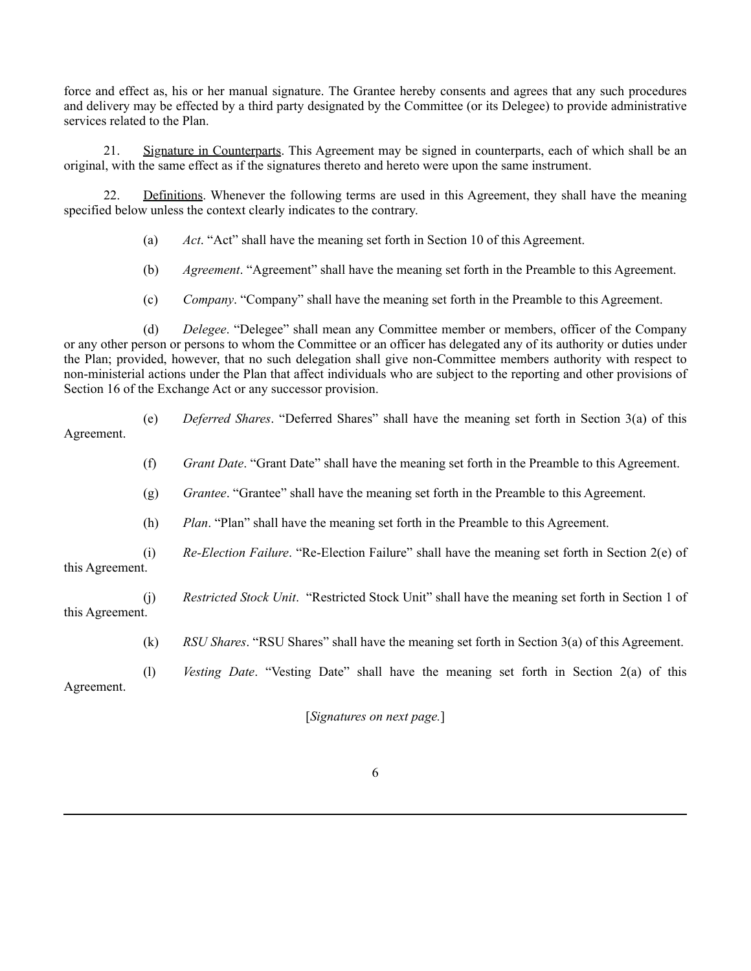force and effect as, his or her manual signature. The Grantee hereby consents and agrees that any such procedures and delivery may be effected by a third party designated by the Committee (or its Delegee) to provide administrative services related to the Plan.

21. Signature in Counterparts. This Agreement may be signed in counterparts, each of which shall be an original, with the same effect as if the signatures thereto and hereto were upon the same instrument.

22. Definitions. Whenever the following terms are used in this Agreement, they shall have the meaning specified below unless the context clearly indicates to the contrary.

- (a) *Act*. "Act" shall have the meaning set forth in Section 10 of this Agreement.
- (b) *Agreement*. "Agreement" shall have the meaning set forth in the Preamble to this Agreement.
- (c) *Company*. "Company" shall have the meaning set forth in the Preamble to this Agreement.

(d) *Delegee*. "Delegee" shall mean any Committee member or members, officer of the Company or any other person or persons to whom the Committee or an officer has delegated any of its authority or duties under the Plan; provided, however, that no such delegation shall give non-Committee members authority with respect to non-ministerial actions under the Plan that affect individuals who are subject to the reporting and other provisions of Section 16 of the Exchange Act or any successor provision.

| Agreement.      | (e) | <i>Deferred Shares.</i> "Deferred Shares" shall have the meaning set forth in Section 3(a) of this      |
|-----------------|-----|---------------------------------------------------------------------------------------------------------|
|                 | (f) | <i>Grant Date.</i> "Grant Date" shall have the meaning set forth in the Preamble to this Agreement.     |
|                 | (g) | <i>Grantee.</i> "Grantee" shall have the meaning set forth in the Preamble to this Agreement.           |
|                 | (h) | <i>Plan.</i> "Plan" shall have the meaning set forth in the Preamble to this Agreement.                 |
| this Agreement. | (i) | <i>Re-Election Failure.</i> "Re-Election Failure" shall have the meaning set forth in Section $2(e)$ of |
| this Agreement. | (j) | Restricted Stock Unit. "Restricted Stock Unit" shall have the meaning set forth in Section 1 of         |

(k) *RSU Shares*. "RSU Shares" shall have the meaning set forth in Section 3(a) of this Agreement.

(l) *Vesting Date*. "Vesting Date" shall have the meaning set forth in Section 2(a) of this

Agreement.

[*Signatures on next page.*]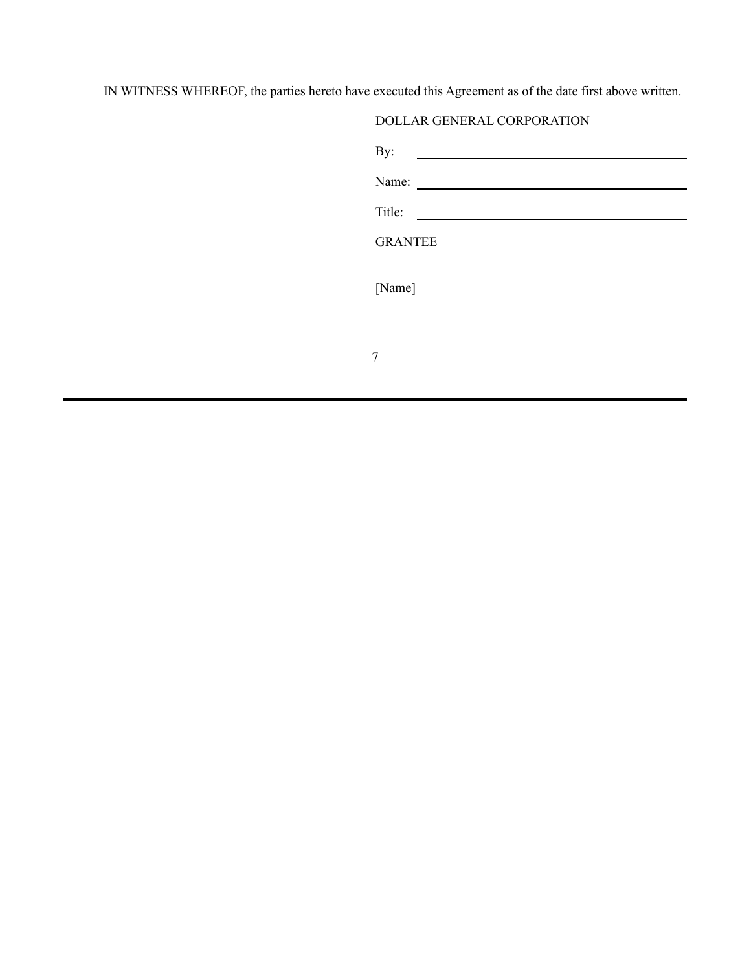IN WITNESS WHEREOF, the parties hereto have executed this Agreement as of the date first above written.

# DOLLAR GENERAL CORPORATION

| By:            |  |  |
|----------------|--|--|
| Name:          |  |  |
| Title:         |  |  |
| <b>GRANTEE</b> |  |  |
| [Name]         |  |  |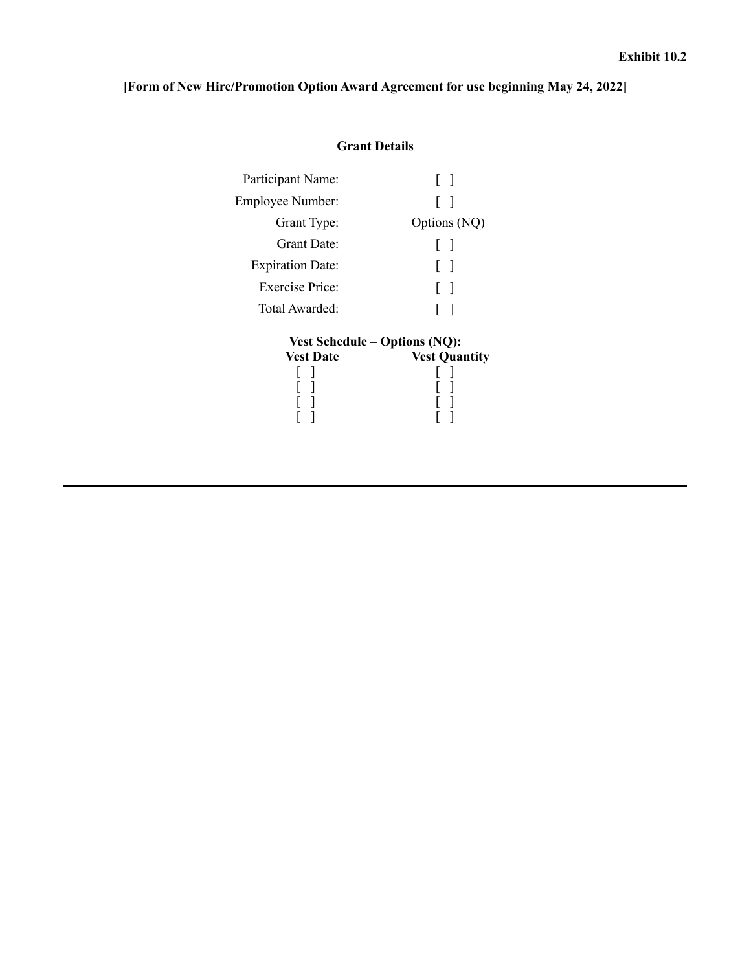# <span id="page-36-0"></span>**[Form of New Hire/Promotion Option Award Agreement for use beginning May 24, 2022]**

# **Grant Details**

| Participant Name:       |                                      |
|-------------------------|--------------------------------------|
| Employee Number:        |                                      |
| Grant Type:             | Options (NQ)                         |
| Grant Date:             | $\mathbf{I}$                         |
| <b>Expiration Date:</b> | $\Box$                               |
| Exercise Price:         | $\overline{\phantom{a}}$<br>L        |
| Total Awarded:          |                                      |
|                         | <b>Vest Schedule – Options (NQ):</b> |
| <b>Vest Date</b>        | <b>Vest Quantity</b>                 |
|                         |                                      |
|                         |                                      |
|                         |                                      |
|                         |                                      |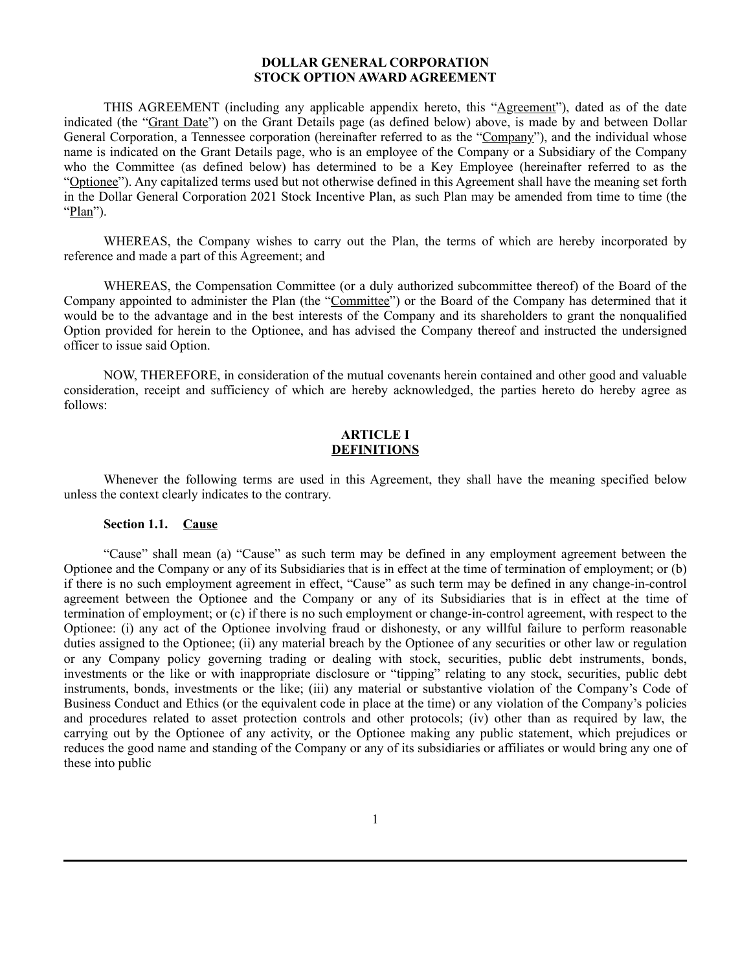# **DOLLAR GENERAL CORPORATION STOCK OPTION AWARD AGREEMENT**

THIS AGREEMENT (including any applicable appendix hereto, this "Agreement"), dated as of the date indicated (the "Grant Date") on the Grant Details page (as defined below) above, is made by and between Dollar General Corporation, a Tennessee corporation (hereinafter referred to as the "Company"), and the individual whose name is indicated on the Grant Details page, who is an employee of the Company or a Subsidiary of the Company who the Committee (as defined below) has determined to be a Key Employee (hereinafter referred to as the "Optionee"). Any capitalized terms used but not otherwise defined in this Agreement shall have the meaning set forth in the Dollar General Corporation 2021 Stock Incentive Plan, as such Plan may be amended from time to time (the "Plan").

WHEREAS, the Company wishes to carry out the Plan, the terms of which are hereby incorporated by reference and made a part of this Agreement; and

WHEREAS, the Compensation Committee (or a duly authorized subcommittee thereof) of the Board of the Company appointed to administer the Plan (the "Committee") or the Board of the Company has determined that it would be to the advantage and in the best interests of the Company and its shareholders to grant the nonqualified Option provided for herein to the Optionee, and has advised the Company thereof and instructed the undersigned officer to issue said Option.

NOW, THEREFORE, in consideration of the mutual covenants herein contained and other good and valuable consideration, receipt and sufficiency of which are hereby acknowledged, the parties hereto do hereby agree as follows:

# **ARTICLE I DEFINITIONS**

Whenever the following terms are used in this Agreement, they shall have the meaning specified below unless the context clearly indicates to the contrary.

# **Section 1.1. Cause**

"Cause" shall mean (a) "Cause" as such term may be defined in any employment agreement between the Optionee and the Company or any of its Subsidiaries that is in effect at the time of termination of employment; or (b) if there is no such employment agreement in effect, "Cause" as such term may be defined in any change-in-control agreement between the Optionee and the Company or any of its Subsidiaries that is in effect at the time of termination of employment; or (c) if there is no such employment or change-in-control agreement, with respect to the Optionee: (i) any act of the Optionee involving fraud or dishonesty, or any willful failure to perform reasonable duties assigned to the Optionee; (ii) any material breach by the Optionee of any securities or other law or regulation or any Company policy governing trading or dealing with stock, securities, public debt instruments, bonds, investments or the like or with inappropriate disclosure or "tipping" relating to any stock, securities, public debt instruments, bonds, investments or the like; (iii) any material or substantive violation of the Company's Code of Business Conduct and Ethics (or the equivalent code in place at the time) or any violation of the Company's policies and procedures related to asset protection controls and other protocols; (iv) other than as required by law, the carrying out by the Optionee of any activity, or the Optionee making any public statement, which prejudices or reduces the good name and standing of the Company or any of its subsidiaries or affiliates or would bring any one of these into public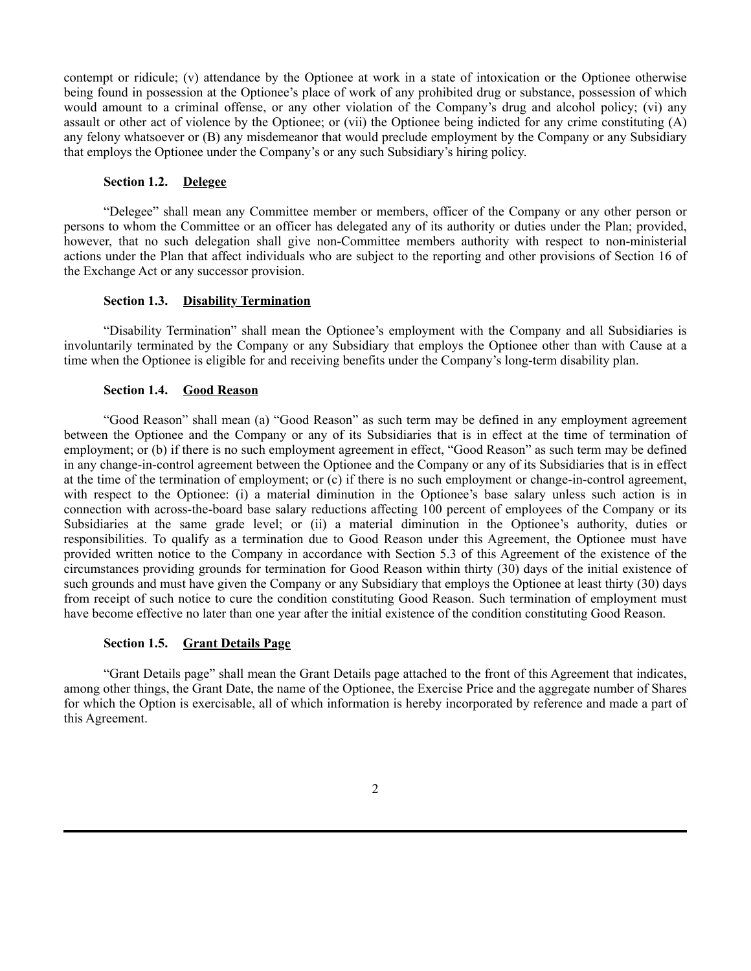contempt or ridicule; (v) attendance by the Optionee at work in a state of intoxication or the Optionee otherwise being found in possession at the Optionee's place of work of any prohibited drug or substance, possession of which would amount to a criminal offense, or any other violation of the Company's drug and alcohol policy; (vi) any assault or other act of violence by the Optionee; or (vii) the Optionee being indicted for any crime constituting (A) any felony whatsoever or (B) any misdemeanor that would preclude employment by the Company or any Subsidiary that employs the Optionee under the Company's or any such Subsidiary's hiring policy.

# **Section 1.2. Delegee**

"Delegee" shall mean any Committee member or members, officer of the Company or any other person or persons to whom the Committee or an officer has delegated any of its authority or duties under the Plan; provided, however, that no such delegation shall give non-Committee members authority with respect to non-ministerial actions under the Plan that affect individuals who are subject to the reporting and other provisions of Section 16 of the Exchange Act or any successor provision.

## **Section 1.3. Disability Termination**

"Disability Termination" shall mean the Optionee's employment with the Company and all Subsidiaries is involuntarily terminated by the Company or any Subsidiary that employs the Optionee other than with Cause at a time when the Optionee is eligible for and receiving benefits under the Company's long-term disability plan.

# **Section 1.4. Good Reason**

"Good Reason" shall mean (a) "Good Reason" as such term may be defined in any employment agreement between the Optionee and the Company or any of its Subsidiaries that is in effect at the time of termination of employment; or (b) if there is no such employment agreement in effect, "Good Reason" as such term may be defined in any change-in-control agreement between the Optionee and the Company or any of its Subsidiaries that is in effect at the time of the termination of employment; or (c) if there is no such employment or change-in-control agreement, with respect to the Optionee: (i) a material diminution in the Optionee's base salary unless such action is in connection with across-the-board base salary reductions affecting 100 percent of employees of the Company or its Subsidiaries at the same grade level; or (ii) a material diminution in the Optionee's authority, duties or responsibilities. To qualify as a termination due to Good Reason under this Agreement, the Optionee must have provided written notice to the Company in accordance with Section 5.3 of this Agreement of the existence of the circumstances providing grounds for termination for Good Reason within thirty (30) days of the initial existence of such grounds and must have given the Company or any Subsidiary that employs the Optionee at least thirty (30) days from receipt of such notice to cure the condition constituting Good Reason. Such termination of employment must have become effective no later than one year after the initial existence of the condition constituting Good Reason.

# **Section 1.5. Grant Details Page**

"Grant Details page" shall mean the Grant Details page attached to the front of this Agreement that indicates, among other things, the Grant Date, the name of the Optionee, the Exercise Price and the aggregate number of Shares for which the Option is exercisable, all of which information is hereby incorporated by reference and made a part of this Agreement.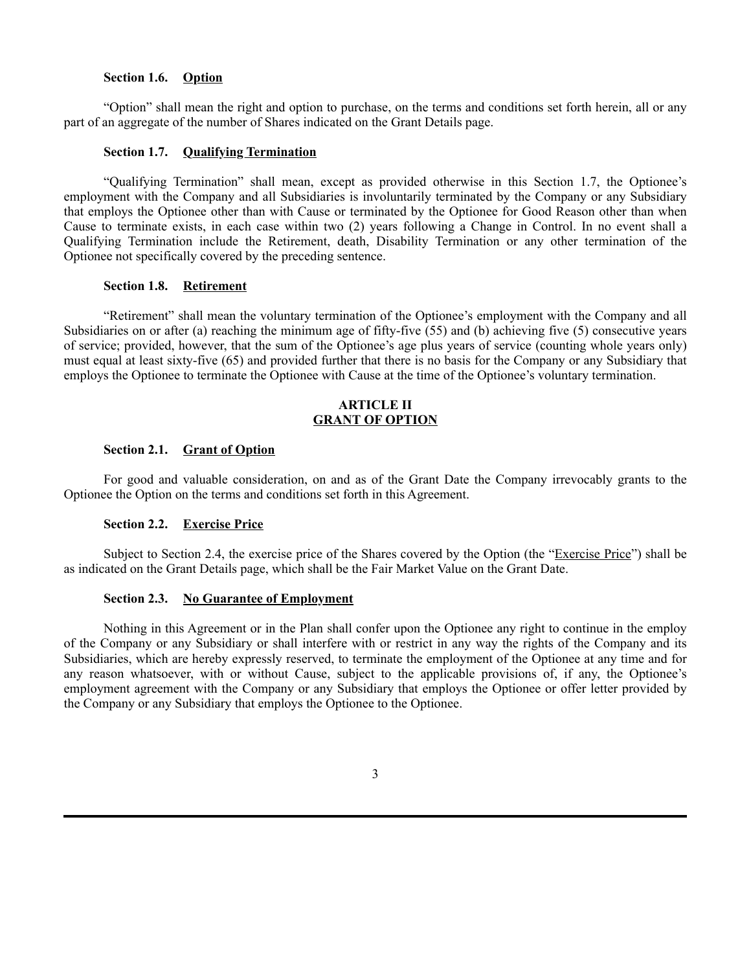# **Section 1.6. Option**

"Option" shall mean the right and option to purchase, on the terms and conditions set forth herein, all or any part of an aggregate of the number of Shares indicated on the Grant Details page.

## **Section 1.7. Qualifying Termination**

"Qualifying Termination" shall mean, except as provided otherwise in this Section 1.7, the Optionee's employment with the Company and all Subsidiaries is involuntarily terminated by the Company or any Subsidiary that employs the Optionee other than with Cause or terminated by the Optionee for Good Reason other than when Cause to terminate exists, in each case within two (2) years following a Change in Control. In no event shall a Qualifying Termination include the Retirement, death, Disability Termination or any other termination of the Optionee not specifically covered by the preceding sentence.

## **Section 1.8. Retirement**

"Retirement" shall mean the voluntary termination of the Optionee's employment with the Company and all Subsidiaries on or after (a) reaching the minimum age of fifty-five (55) and (b) achieving five (5) consecutive years of service; provided, however, that the sum of the Optionee's age plus years of service (counting whole years only) must equal at least sixty-five (65) and provided further that there is no basis for the Company or any Subsidiary that employs the Optionee to terminate the Optionee with Cause at the time of the Optionee's voluntary termination.

# **ARTICLE II GRANT OF OPTION**

## **Section 2.1. Grant of Option**

For good and valuable consideration, on and as of the Grant Date the Company irrevocably grants to the Optionee the Option on the terms and conditions set forth in this Agreement.

## **Section 2.2. Exercise Price**

Subject to Section 2.4, the exercise price of the Shares covered by the Option (the "Exercise Price") shall be as indicated on the Grant Details page, which shall be the Fair Market Value on the Grant Date.

## **Section 2.3. No Guarantee of Employment**

Nothing in this Agreement or in the Plan shall confer upon the Optionee any right to continue in the employ of the Company or any Subsidiary or shall interfere with or restrict in any way the rights of the Company and its Subsidiaries, which are hereby expressly reserved, to terminate the employment of the Optionee at any time and for any reason whatsoever, with or without Cause, subject to the applicable provisions of, if any, the Optionee's employment agreement with the Company or any Subsidiary that employs the Optionee or offer letter provided by the Company or any Subsidiary that employs the Optionee to the Optionee.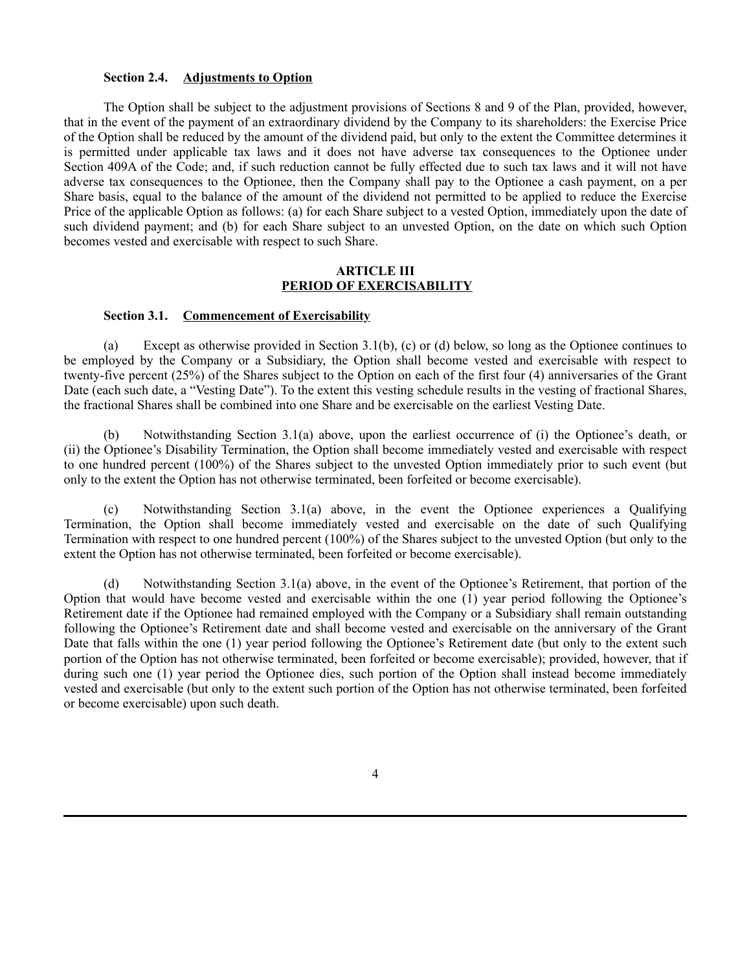# **Section 2.4. Adjustments to Option**

The Option shall be subject to the adjustment provisions of Sections 8 and 9 of the Plan, provided, however, that in the event of the payment of an extraordinary dividend by the Company to its shareholders: the Exercise Price of the Option shall be reduced by the amount of the dividend paid, but only to the extent the Committee determines it is permitted under applicable tax laws and it does not have adverse tax consequences to the Optionee under Section 409A of the Code; and, if such reduction cannot be fully effected due to such tax laws and it will not have adverse tax consequences to the Optionee, then the Company shall pay to the Optionee a cash payment, on a per Share basis, equal to the balance of the amount of the dividend not permitted to be applied to reduce the Exercise Price of the applicable Option as follows: (a) for each Share subject to a vested Option, immediately upon the date of such dividend payment; and (b) for each Share subject to an unvested Option, on the date on which such Option becomes vested and exercisable with respect to such Share.

# **ARTICLE III PERIOD OF EXERCISABILITY**

# **Section 3.1. Commencement of Exercisability**

(a) Except as otherwise provided in Section 3.1(b), (c) or (d) below, so long as the Optionee continues to be employed by the Company or a Subsidiary, the Option shall become vested and exercisable with respect to twenty-five percent (25%) of the Shares subject to the Option on each of the first four (4) anniversaries of the Grant Date (each such date, a "Vesting Date"). To the extent this vesting schedule results in the vesting of fractional Shares, the fractional Shares shall be combined into one Share and be exercisable on the earliest Vesting Date.

(b) Notwithstanding Section 3.1(a) above, upon the earliest occurrence of (i) the Optionee's death, or (ii) the Optionee's Disability Termination, the Option shall become immediately vested and exercisable with respect to one hundred percent (100%) of the Shares subject to the unvested Option immediately prior to such event (but only to the extent the Option has not otherwise terminated, been forfeited or become exercisable).

(c) Notwithstanding Section 3.1(a) above, in the event the Optionee experiences a Qualifying Termination, the Option shall become immediately vested and exercisable on the date of such Qualifying Termination with respect to one hundred percent (100%) of the Shares subject to the unvested Option (but only to the extent the Option has not otherwise terminated, been forfeited or become exercisable).

(d) Notwithstanding Section 3.1(a) above, in the event of the Optionee's Retirement, that portion of the Option that would have become vested and exercisable within the one (1) year period following the Optionee's Retirement date if the Optionee had remained employed with the Company or a Subsidiary shall remain outstanding following the Optionee's Retirement date and shall become vested and exercisable on the anniversary of the Grant Date that falls within the one (1) year period following the Optionee's Retirement date (but only to the extent such portion of the Option has not otherwise terminated, been forfeited or become exercisable); provided, however, that if during such one (1) year period the Optionee dies, such portion of the Option shall instead become immediately vested and exercisable (but only to the extent such portion of the Option has not otherwise terminated, been forfeited or become exercisable) upon such death.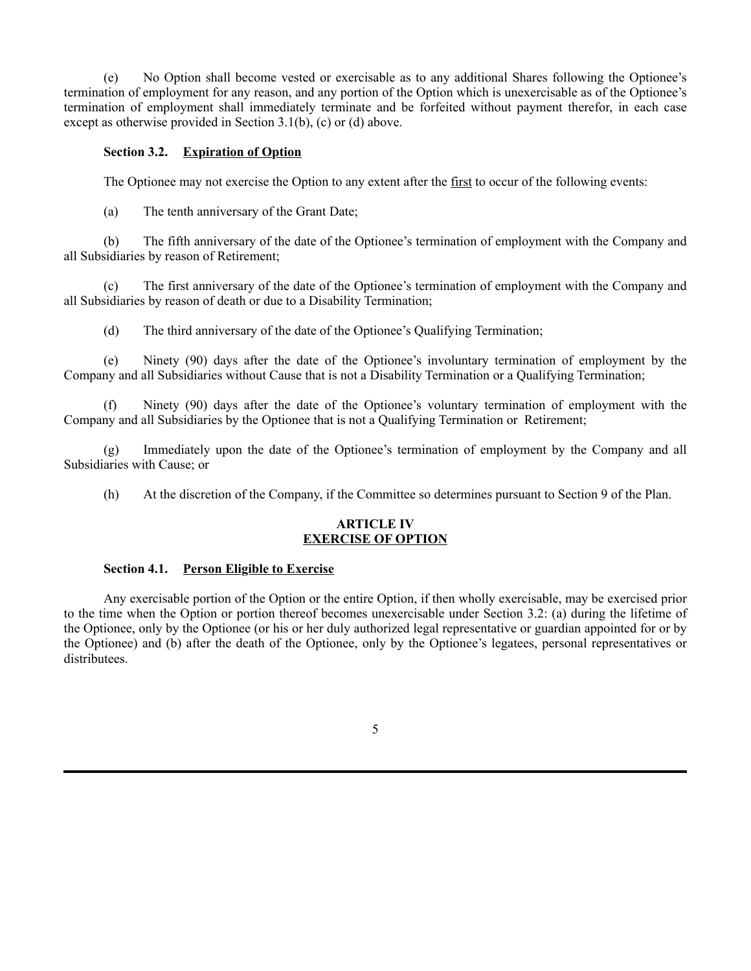(e) No Option shall become vested or exercisable as to any additional Shares following the Optionee's termination of employment for any reason, and any portion of the Option which is unexercisable as of the Optionee's termination of employment shall immediately terminate and be forfeited without payment therefor, in each case except as otherwise provided in Section 3.1(b), (c) or (d) above.

# **Section 3.2. Expiration of Option**

The Optionee may not exercise the Option to any extent after the first to occur of the following events:

(a) The tenth anniversary of the Grant Date;

(b) The fifth anniversary of the date of the Optionee's termination of employment with the Company and all Subsidiaries by reason of Retirement;

(c) The first anniversary of the date of the Optionee's termination of employment with the Company and all Subsidiaries by reason of death or due to a Disability Termination;

(d) The third anniversary of the date of the Optionee's Qualifying Termination;

(e) Ninety (90) days after the date of the Optionee's involuntary termination of employment by the Company and all Subsidiaries without Cause that is not a Disability Termination or a Qualifying Termination;

(f) Ninety (90) days after the date of the Optionee's voluntary termination of employment with the Company and all Subsidiaries by the Optionee that is not a Qualifying Termination or Retirement;

(g) Immediately upon the date of the Optionee's termination of employment by the Company and all Subsidiaries with Cause; or

(h) At the discretion of the Company, if the Committee so determines pursuant to Section 9 of the Plan.

# **ARTICLE IV EXERCISE OF OPTION**

# **Section 4.1. Person Eligible to Exercise**

Any exercisable portion of the Option or the entire Option, if then wholly exercisable, may be exercised prior to the time when the Option or portion thereof becomes unexercisable under Section 3.2: (a) during the lifetime of the Optionee, only by the Optionee (or his or her duly authorized legal representative or guardian appointed for or by the Optionee) and (b) after the death of the Optionee, only by the Optionee's legatees, personal representatives or distributees.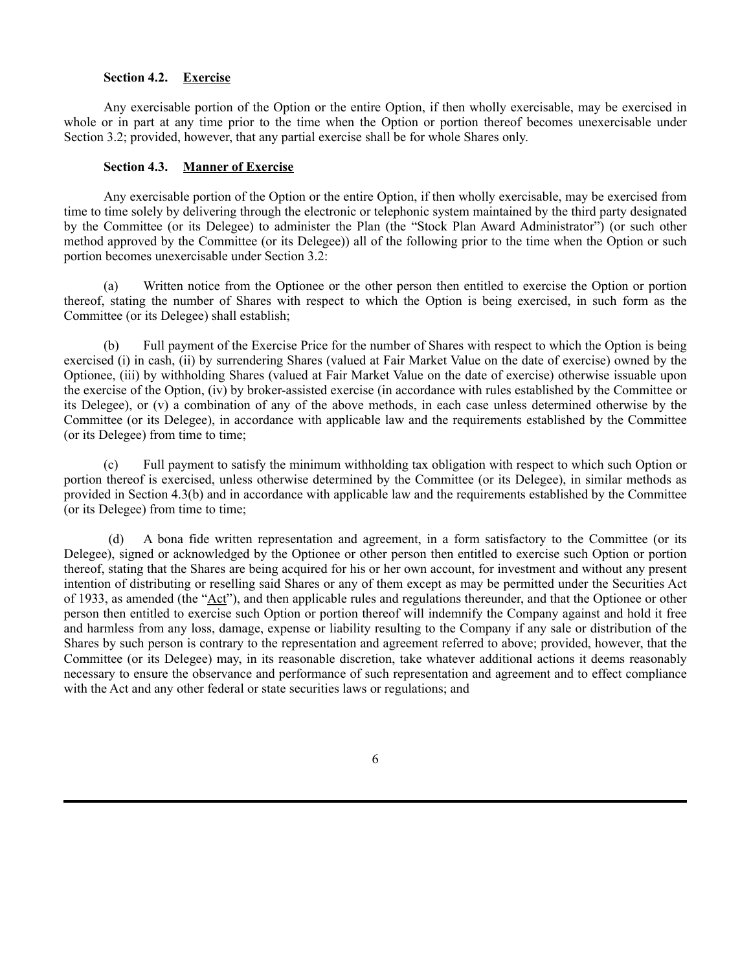# **Section 4.2. Exercise**

Any exercisable portion of the Option or the entire Option, if then wholly exercisable, may be exercised in whole or in part at any time prior to the time when the Option or portion thereof becomes unexercisable under Section 3.2; provided, however, that any partial exercise shall be for whole Shares only.

## **Section 4.3. Manner of Exercise**

Any exercisable portion of the Option or the entire Option, if then wholly exercisable, may be exercised from time to time solely by delivering through the electronic or telephonic system maintained by the third party designated by the Committee (or its Delegee) to administer the Plan (the "Stock Plan Award Administrator") (or such other method approved by the Committee (or its Delegee)) all of the following prior to the time when the Option or such portion becomes unexercisable under Section 3.2:

(a) Written notice from the Optionee or the other person then entitled to exercise the Option or portion thereof, stating the number of Shares with respect to which the Option is being exercised, in such form as the Committee (or its Delegee) shall establish;

(b) Full payment of the Exercise Price for the number of Shares with respect to which the Option is being exercised (i) in cash, (ii) by surrendering Shares (valued at Fair Market Value on the date of exercise) owned by the Optionee, (iii) by withholding Shares (valued at Fair Market Value on the date of exercise) otherwise issuable upon the exercise of the Option, (iv) by broker-assisted exercise (in accordance with rules established by the Committee or its Delegee), or (v) a combination of any of the above methods, in each case unless determined otherwise by the Committee (or its Delegee), in accordance with applicable law and the requirements established by the Committee (or its Delegee) from time to time;

(c) Full payment to satisfy the minimum withholding tax obligation with respect to which such Option or portion thereof is exercised, unless otherwise determined by the Committee (or its Delegee), in similar methods as provided in Section 4.3(b) and in accordance with applicable law and the requirements established by the Committee (or its Delegee) from time to time;

A bona fide written representation and agreement, in a form satisfactory to the Committee (or its Delegee), signed or acknowledged by the Optionee or other person then entitled to exercise such Option or portion thereof, stating that the Shares are being acquired for his or her own account, for investment and without any present intention of distributing or reselling said Shares or any of them except as may be permitted under the Securities Act of 1933, as amended (the "Act"), and then applicable rules and regulations thereunder, and that the Optionee or other person then entitled to exercise such Option or portion thereof will indemnify the Company against and hold it free and harmless from any loss, damage, expense or liability resulting to the Company if any sale or distribution of the Shares by such person is contrary to the representation and agreement referred to above; provided, however, that the Committee (or its Delegee) may, in its reasonable discretion, take whatever additional actions it deems reasonably necessary to ensure the observance and performance of such representation and agreement and to effect compliance with the Act and any other federal or state securities laws or regulations; and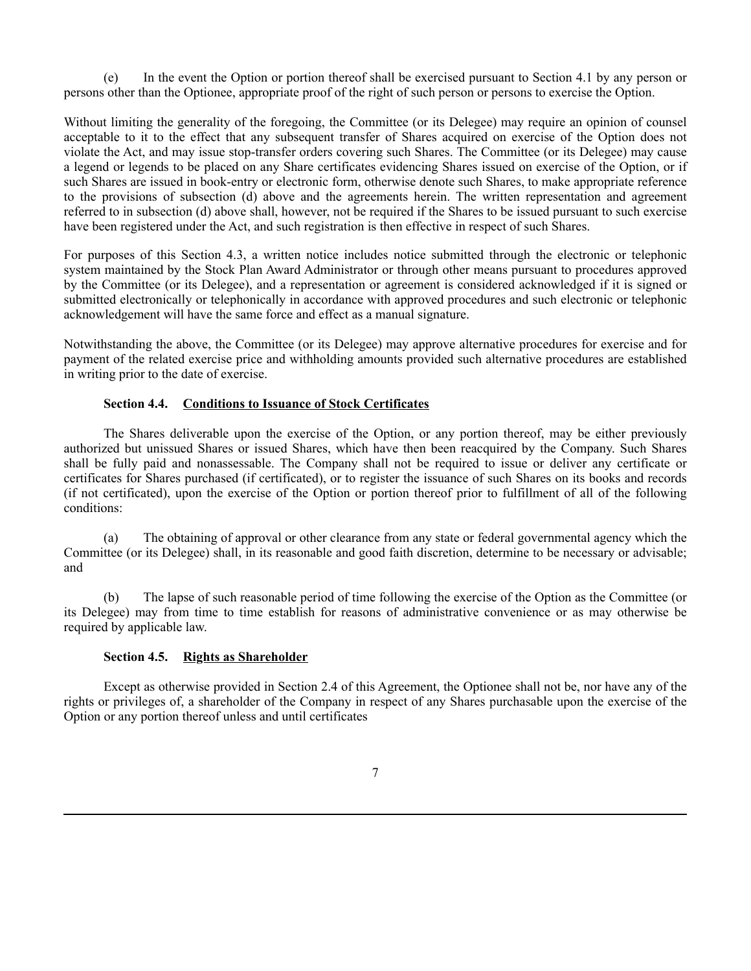(e) In the event the Option or portion thereof shall be exercised pursuant to Section 4.1 by any person or persons other than the Optionee, appropriate proof of the right of such person or persons to exercise the Option.

Without limiting the generality of the foregoing, the Committee (or its Delegee) may require an opinion of counsel acceptable to it to the effect that any subsequent transfer of Shares acquired on exercise of the Option does not violate the Act, and may issue stop-transfer orders covering such Shares. The Committee (or its Delegee) may cause a legend or legends to be placed on any Share certificates evidencing Shares issued on exercise of the Option, or if such Shares are issued in book-entry or electronic form, otherwise denote such Shares, to make appropriate reference to the provisions of subsection (d) above and the agreements herein. The written representation and agreement referred to in subsection (d) above shall, however, not be required if the Shares to be issued pursuant to such exercise have been registered under the Act, and such registration is then effective in respect of such Shares.

For purposes of this Section 4.3, a written notice includes notice submitted through the electronic or telephonic system maintained by the Stock Plan Award Administrator or through other means pursuant to procedures approved by the Committee (or its Delegee), and a representation or agreement is considered acknowledged if it is signed or submitted electronically or telephonically in accordance with approved procedures and such electronic or telephonic acknowledgement will have the same force and effect as a manual signature.

Notwithstanding the above, the Committee (or its Delegee) may approve alternative procedures for exercise and for payment of the related exercise price and withholding amounts provided such alternative procedures are established in writing prior to the date of exercise.

# **Section 4.4. Conditions to Issuance of Stock Certificates**

The Shares deliverable upon the exercise of the Option, or any portion thereof, may be either previously authorized but unissued Shares or issued Shares, which have then been reacquired by the Company. Such Shares shall be fully paid and nonassessable. The Company shall not be required to issue or deliver any certificate or certificates for Shares purchased (if certificated), or to register the issuance of such Shares on its books and records (if not certificated), upon the exercise of the Option or portion thereof prior to fulfillment of all of the following conditions:

(a) The obtaining of approval or other clearance from any state or federal governmental agency which the Committee (or its Delegee) shall, in its reasonable and good faith discretion, determine to be necessary or advisable; and

(b) The lapse of such reasonable period of time following the exercise of the Option as the Committee (or its Delegee) may from time to time establish for reasons of administrative convenience or as may otherwise be required by applicable law.

# **Section 4.5. Rights as Shareholder**

Except as otherwise provided in Section 2.4 of this Agreement, the Optionee shall not be, nor have any of the rights or privileges of, a shareholder of the Company in respect of any Shares purchasable upon the exercise of the Option or any portion thereof unless and until certificates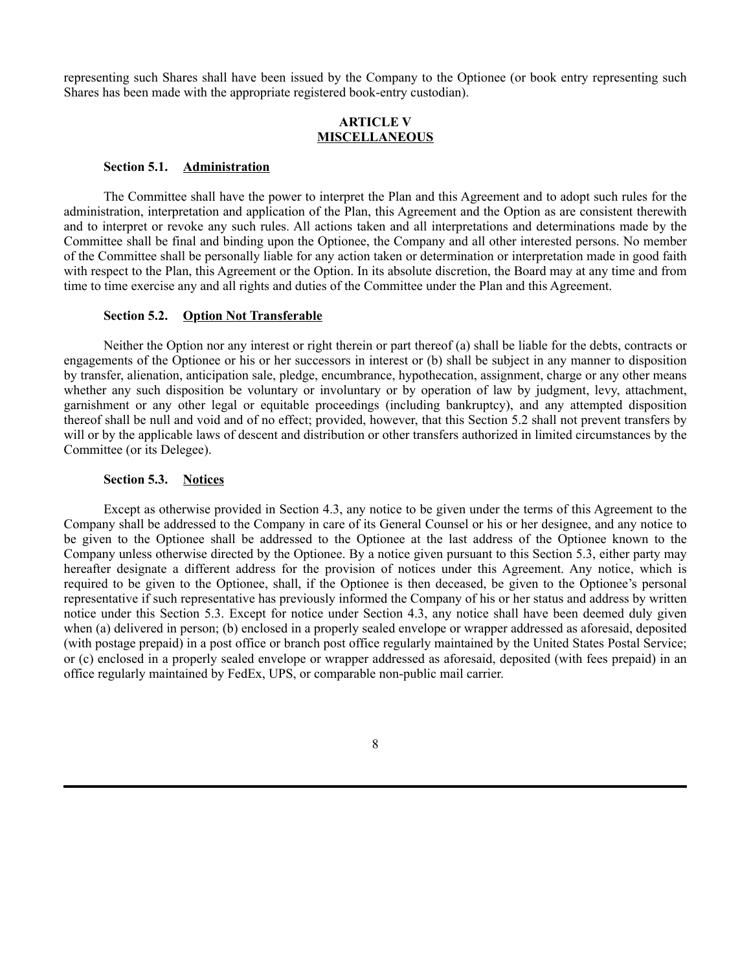representing such Shares shall have been issued by the Company to the Optionee (or book entry representing such Shares has been made with the appropriate registered book-entry custodian).

# **ARTICLE V MISCELLANEOUS**

### **Section 5.1. Administration**

The Committee shall have the power to interpret the Plan and this Agreement and to adopt such rules for the administration, interpretation and application of the Plan, this Agreement and the Option as are consistent therewith and to interpret or revoke any such rules. All actions taken and all interpretations and determinations made by the Committee shall be final and binding upon the Optionee, the Company and all other interested persons. No member of the Committee shall be personally liable for any action taken or determination or interpretation made in good faith with respect to the Plan, this Agreement or the Option. In its absolute discretion, the Board may at any time and from time to time exercise any and all rights and duties of the Committee under the Plan and this Agreement.

## **Section 5.2. Option Not Transferable**

Neither the Option nor any interest or right therein or part thereof (a) shall be liable for the debts, contracts or engagements of the Optionee or his or her successors in interest or (b) shall be subject in any manner to disposition by transfer, alienation, anticipation sale, pledge, encumbrance, hypothecation, assignment, charge or any other means whether any such disposition be voluntary or involuntary or by operation of law by judgment, levy, attachment, garnishment or any other legal or equitable proceedings (including bankruptcy), and any attempted disposition thereof shall be null and void and of no effect; provided, however, that this Section 5.2 shall not prevent transfers by will or by the applicable laws of descent and distribution or other transfers authorized in limited circumstances by the Committee (or its Delegee).

## **Section 5.3. Notices**

Except as otherwise provided in Section 4.3, any notice to be given under the terms of this Agreement to the Company shall be addressed to the Company in care of its General Counsel or his or her designee, and any notice to be given to the Optionee shall be addressed to the Optionee at the last address of the Optionee known to the Company unless otherwise directed by the Optionee. By a notice given pursuant to this Section 5.3, either party may hereafter designate a different address for the provision of notices under this Agreement. Any notice, which is required to be given to the Optionee, shall, if the Optionee is then deceased, be given to the Optionee's personal representative if such representative has previously informed the Company of his or her status and address by written notice under this Section 5.3. Except for notice under Section 4.3, any notice shall have been deemed duly given when (a) delivered in person; (b) enclosed in a properly sealed envelope or wrapper addressed as aforesaid, deposited (with postage prepaid) in a post office or branch post office regularly maintained by the United States Postal Service; or (c) enclosed in a properly sealed envelope or wrapper addressed as aforesaid, deposited (with fees prepaid) in an office regularly maintained by FedEx, UPS, or comparable non-public mail carrier.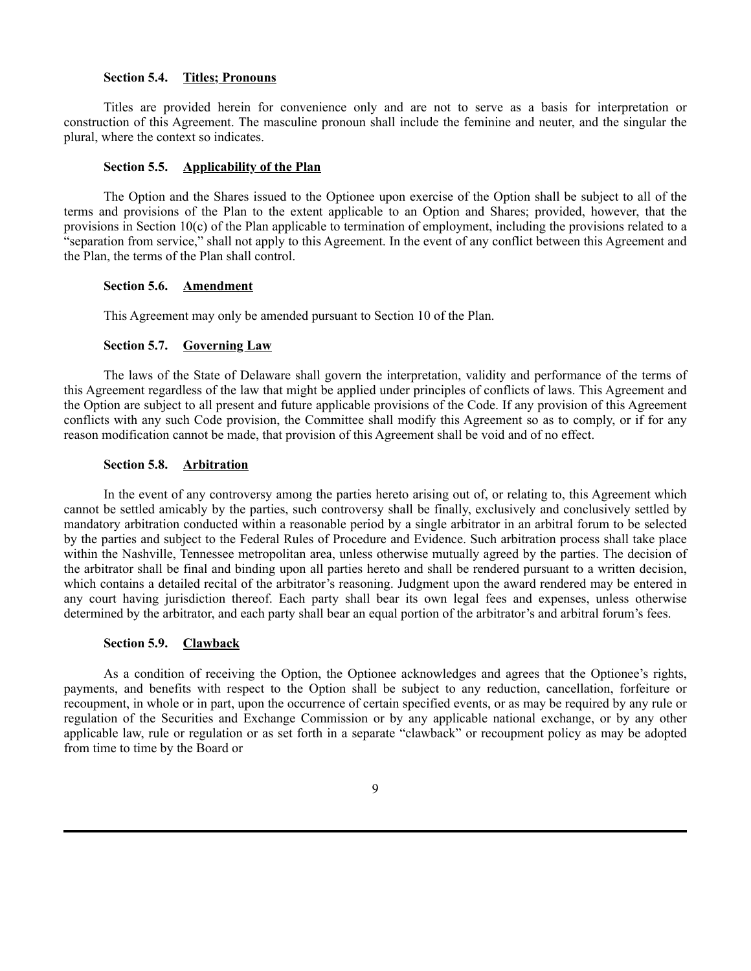## **Section 5.4. Titles; Pronouns**

Titles are provided herein for convenience only and are not to serve as a basis for interpretation or construction of this Agreement. The masculine pronoun shall include the feminine and neuter, and the singular the plural, where the context so indicates.

# **Section 5.5. Applicability of the Plan**

The Option and the Shares issued to the Optionee upon exercise of the Option shall be subject to all of the terms and provisions of the Plan to the extent applicable to an Option and Shares; provided, however, that the provisions in Section 10(c) of the Plan applicable to termination of employment, including the provisions related to a "separation from service," shall not apply to this Agreement. In the event of any conflict between this Agreement and the Plan, the terms of the Plan shall control.

## **Section 5.6. Amendment**

This Agreement may only be amended pursuant to Section 10 of the Plan.

## **Section 5.7. Governing Law**

The laws of the State of Delaware shall govern the interpretation, validity and performance of the terms of this Agreement regardless of the law that might be applied under principles of conflicts of laws. This Agreement and the Option are subject to all present and future applicable provisions of the Code. If any provision of this Agreement conflicts with any such Code provision, the Committee shall modify this Agreement so as to comply, or if for any reason modification cannot be made, that provision of this Agreement shall be void and of no effect.

# **Section 5.8. Arbitration**

In the event of any controversy among the parties hereto arising out of, or relating to, this Agreement which cannot be settled amicably by the parties, such controversy shall be finally, exclusively and conclusively settled by mandatory arbitration conducted within a reasonable period by a single arbitrator in an arbitral forum to be selected by the parties and subject to the Federal Rules of Procedure and Evidence. Such arbitration process shall take place within the Nashville, Tennessee metropolitan area, unless otherwise mutually agreed by the parties. The decision of the arbitrator shall be final and binding upon all parties hereto and shall be rendered pursuant to a written decision, which contains a detailed recital of the arbitrator's reasoning. Judgment upon the award rendered may be entered in any court having jurisdiction thereof. Each party shall bear its own legal fees and expenses, unless otherwise determined by the arbitrator, and each party shall bear an equal portion of the arbitrator's and arbitral forum's fees.

# **Section 5.9. Clawback**

As a condition of receiving the Option, the Optionee acknowledges and agrees that the Optionee's rights, payments, and benefits with respect to the Option shall be subject to any reduction, cancellation, forfeiture or recoupment, in whole or in part, upon the occurrence of certain specified events, or as may be required by any rule or regulation of the Securities and Exchange Commission or by any applicable national exchange, or by any other applicable law, rule or regulation or as set forth in a separate "clawback" or recoupment policy as may be adopted from time to time by the Board or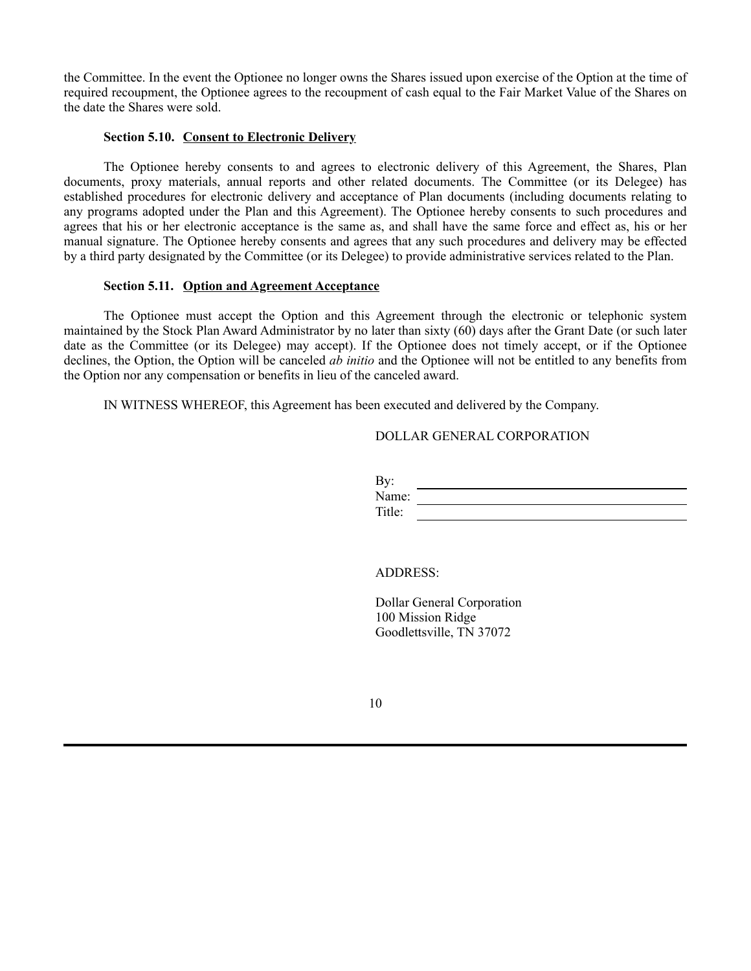the Committee. In the event the Optionee no longer owns the Shares issued upon exercise of the Option at the time of required recoupment, the Optionee agrees to the recoupment of cash equal to the Fair Market Value of the Shares on the date the Shares were sold.

## **Section 5.10. Consent to Electronic Delivery**

The Optionee hereby consents to and agrees to electronic delivery of this Agreement, the Shares, Plan documents, proxy materials, annual reports and other related documents. The Committee (or its Delegee) has established procedures for electronic delivery and acceptance of Plan documents (including documents relating to any programs adopted under the Plan and this Agreement). The Optionee hereby consents to such procedures and agrees that his or her electronic acceptance is the same as, and shall have the same force and effect as, his or her manual signature. The Optionee hereby consents and agrees that any such procedures and delivery may be effected by a third party designated by the Committee (or its Delegee) to provide administrative services related to the Plan.

# **Section 5.11. Option and Agreement Acceptance**

The Optionee must accept the Option and this Agreement through the electronic or telephonic system maintained by the Stock Plan Award Administrator by no later than sixty (60) days after the Grant Date (or such later date as the Committee (or its Delegee) may accept). If the Optionee does not timely accept, or if the Optionee declines, the Option, the Option will be canceled *ab initio* and the Optionee will not be entitled to any benefits from the Option nor any compensation or benefits in lieu of the canceled award.

IN WITNESS WHEREOF, this Agreement has been executed and delivered by the Company.

## DOLLAR GENERAL CORPORATION

| By:    |  |
|--------|--|
| Name:  |  |
| Title: |  |

# ADDRESS:

Dollar General Corporation 100 Mission Ridge Goodlettsville, TN 37072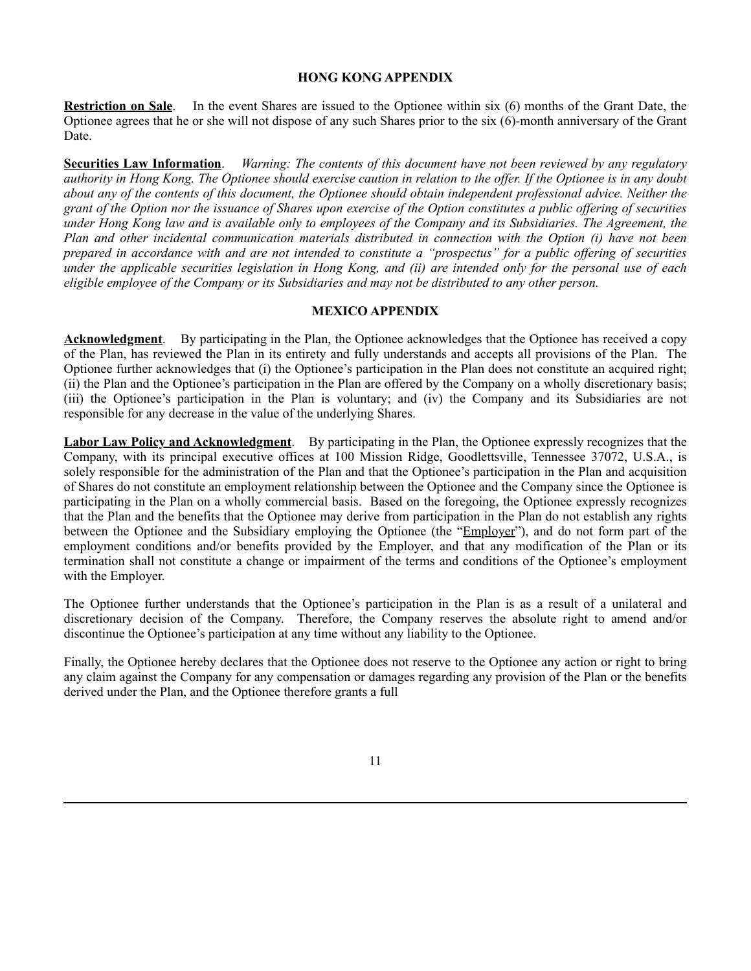# **HONG KONG APPENDIX**

**Restriction on Sale**. In the event Shares are issued to the Optionee within six (6) months of the Grant Date, the Optionee agrees that he or she will not dispose of any such Shares prior to the six (6)-month anniversary of the Grant Date.

**Securities Law Information**. *Warning: The contents of this document have not been reviewed by any regulatory authority in Hong Kong. The Optionee should exercise caution in relation to the offer. If the Optionee is in any doubt about any of the contents of this document, the Optionee should obtain independent professional advice. Neither the grant of the Option nor the issuance of Shares upon exercise of the Option constitutes a public offering of securities under Hong Kong law and is available only to employees of the Company and its Subsidiaries. The Agreement, the Plan and other incidental communication materials distributed in connection with the Option (i) have not been prepared in accordance with and are not intended to constitute a "prospectus" for a public offering of securities under the applicable securities legislation in Hong Kong, and (ii) are intended only for the personal use of each eligible employee of the Company or its Subsidiaries and may not be distributed to any other person.*

# **MEXICO APPENDIX**

**Acknowledgment**. By participating in the Plan, the Optionee acknowledges that the Optionee has received a copy of the Plan, has reviewed the Plan in its entirety and fully understands and accepts all provisions of the Plan. The Optionee further acknowledges that (i) the Optionee's participation in the Plan does not constitute an acquired right; (ii) the Plan and the Optionee's participation in the Plan are offered by the Company on a wholly discretionary basis; (iii) the Optionee's participation in the Plan is voluntary; and (iv) the Company and its Subsidiaries are not responsible for any decrease in the value of the underlying Shares.

**Labor Law Policy and Acknowledgment**. By participating in the Plan, the Optionee expressly recognizes that the Company, with its principal executive offices at 100 Mission Ridge, Goodlettsville, Tennessee 37072, U.S.A., is solely responsible for the administration of the Plan and that the Optionee's participation in the Plan and acquisition of Shares do not constitute an employment relationship between the Optionee and the Company since the Optionee is participating in the Plan on a wholly commercial basis. Based on the foregoing, the Optionee expressly recognizes that the Plan and the benefits that the Optionee may derive from participation in the Plan do not establish any rights between the Optionee and the Subsidiary employing the Optionee (the "Employer"), and do not form part of the employment conditions and/or benefits provided by the Employer, and that any modification of the Plan or its termination shall not constitute a change or impairment of the terms and conditions of the Optionee's employment with the Employer.

The Optionee further understands that the Optionee's participation in the Plan is as a result of a unilateral and discretionary decision of the Company. Therefore, the Company reserves the absolute right to amend and/or discontinue the Optionee's participation at any time without any liability to the Optionee.

Finally, the Optionee hereby declares that the Optionee does not reserve to the Optionee any action or right to bring any claim against the Company for any compensation or damages regarding any provision of the Plan or the benefits derived under the Plan, and the Optionee therefore grants a full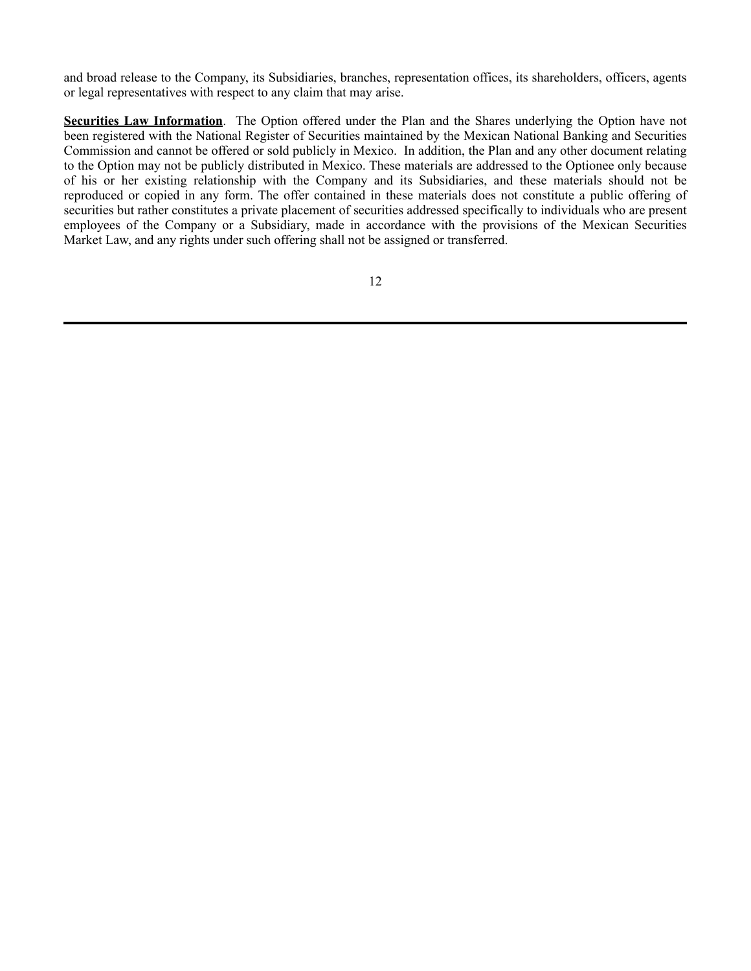and broad release to the Company, its Subsidiaries, branches, representation offices, its shareholders, officers, agents or legal representatives with respect to any claim that may arise.

**Securities Law Information**. The Option offered under the Plan and the Shares underlying the Option have not been registered with the National Register of Securities maintained by the Mexican National Banking and Securities Commission and cannot be offered or sold publicly in Mexico. In addition, the Plan and any other document relating to the Option may not be publicly distributed in Mexico. These materials are addressed to the Optionee only because of his or her existing relationship with the Company and its Subsidiaries, and these materials should not be reproduced or copied in any form. The offer contained in these materials does not constitute a public offering of securities but rather constitutes a private placement of securities addressed specifically to individuals who are present employees of the Company or a Subsidiary, made in accordance with the provisions of the Mexican Securities Market Law, and any rights under such offering shall not be assigned or transferred.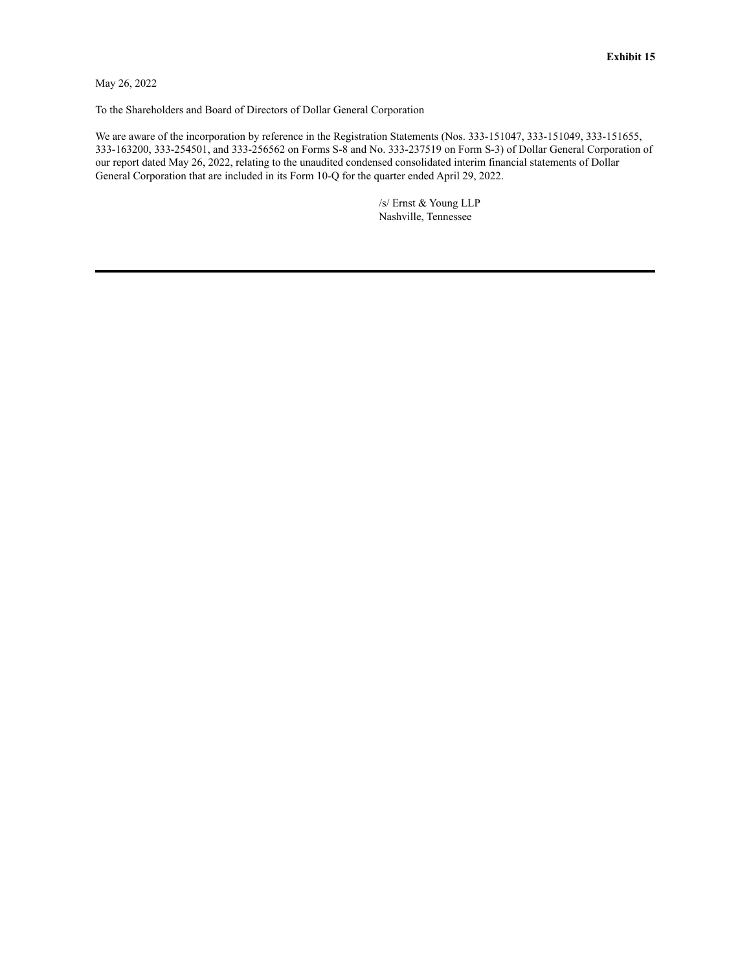<span id="page-49-0"></span>May 26, 2022

To the Shareholders and Board of Directors of Dollar General Corporation

We are aware of the incorporation by reference in the Registration Statements (Nos. 333-151047, 333-151049, 333-151655, 333-163200, 333-254501, and 333-256562 on Forms S-8 and No. 333-237519 on Form S-3) of Dollar General Corporation of our report dated May 26, 2022, relating to the unaudited condensed consolidated interim financial statements of Dollar General Corporation that are included in its Form 10-Q for the quarter ended April 29, 2022.

> /s/ Ernst & Young LLP Nashville, Tennessee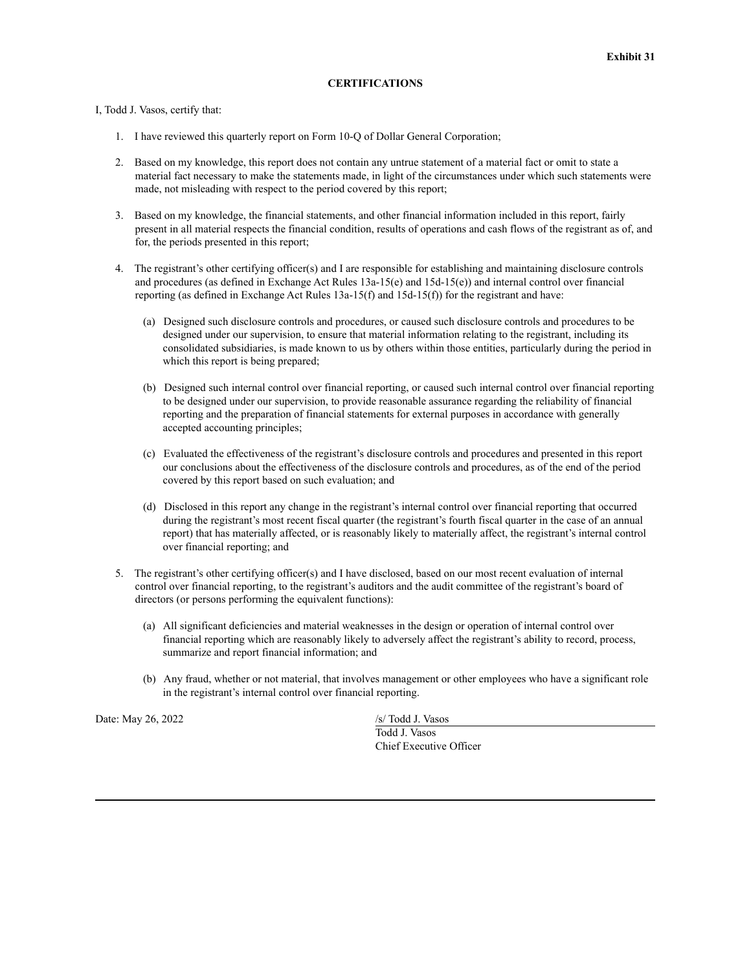### **CERTIFICATIONS**

### <span id="page-50-0"></span>I, Todd J. Vasos, certify that:

- 1. I have reviewed this quarterly report on Form 10-Q of Dollar General Corporation;
- 2. Based on my knowledge, this report does not contain any untrue statement of a material fact or omit to state a material fact necessary to make the statements made, in light of the circumstances under which such statements were made, not misleading with respect to the period covered by this report;
- 3. Based on my knowledge, the financial statements, and other financial information included in this report, fairly present in all material respects the financial condition, results of operations and cash flows of the registrant as of, and for, the periods presented in this report;
- 4. The registrant's other certifying officer(s) and I are responsible for establishing and maintaining disclosure controls and procedures (as defined in Exchange Act Rules 13a-15(e) and 15d-15(e)) and internal control over financial reporting (as defined in Exchange Act Rules 13a-15(f) and 15d-15(f)) for the registrant and have:
	- (a) Designed such disclosure controls and procedures, or caused such disclosure controls and procedures to be designed under our supervision, to ensure that material information relating to the registrant, including its consolidated subsidiaries, is made known to us by others within those entities, particularly during the period in which this report is being prepared;
	- (b) Designed such internal control over financial reporting, or caused such internal control over financial reporting to be designed under our supervision, to provide reasonable assurance regarding the reliability of financial reporting and the preparation of financial statements for external purposes in accordance with generally accepted accounting principles;
	- (c) Evaluated the effectiveness of the registrant's disclosure controls and procedures and presented in this report our conclusions about the effectiveness of the disclosure controls and procedures, as of the end of the period covered by this report based on such evaluation; and
	- (d) Disclosed in this report any change in the registrant's internal control over financial reporting that occurred during the registrant's most recent fiscal quarter (the registrant's fourth fiscal quarter in the case of an annual report) that has materially affected, or is reasonably likely to materially affect, the registrant's internal control over financial reporting; and
- 5. The registrant's other certifying officer(s) and I have disclosed, based on our most recent evaluation of internal control over financial reporting, to the registrant's auditors and the audit committee of the registrant's board of directors (or persons performing the equivalent functions):
	- (a) All significant deficiencies and material weaknesses in the design or operation of internal control over financial reporting which are reasonably likely to adversely affect the registrant's ability to record, process, summarize and report financial information; and
	- (b) Any fraud, whether or not material, that involves management or other employees who have a significant role in the registrant's internal control over financial reporting.

Date: May 26, 2022 /s/ Todd J. Vasos

Todd J. Vasos Chief Executive Officer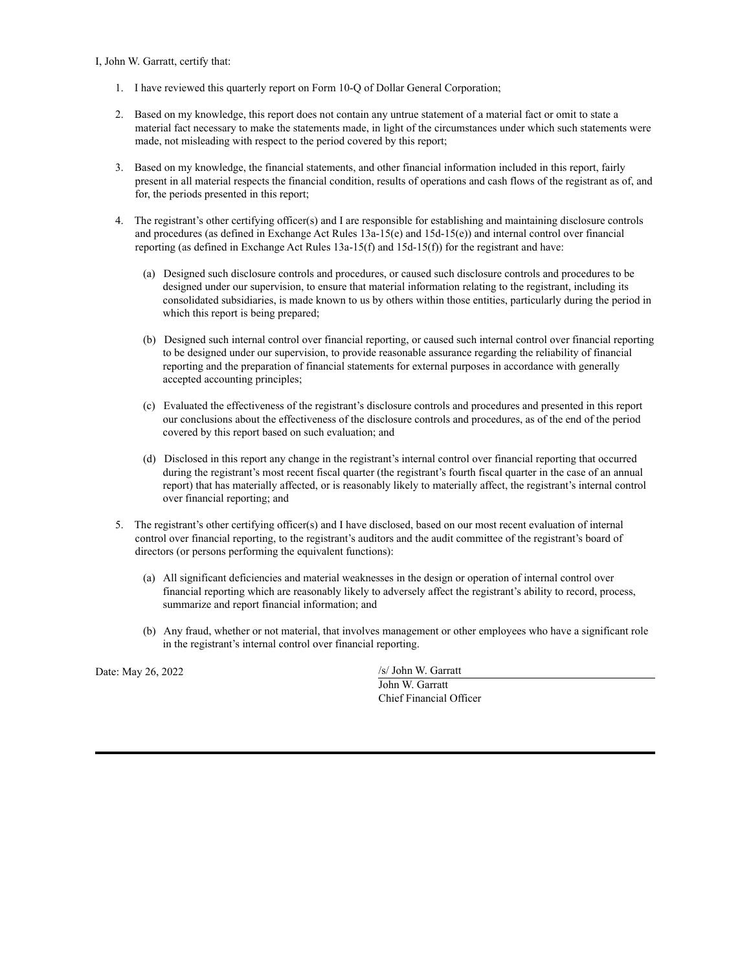### I, John W. Garratt, certify that:

- 1. I have reviewed this quarterly report on Form 10-Q of Dollar General Corporation;
- 2. Based on my knowledge, this report does not contain any untrue statement of a material fact or omit to state a material fact necessary to make the statements made, in light of the circumstances under which such statements were made, not misleading with respect to the period covered by this report;
- 3. Based on my knowledge, the financial statements, and other financial information included in this report, fairly present in all material respects the financial condition, results of operations and cash flows of the registrant as of, and for, the periods presented in this report;
- 4. The registrant's other certifying officer(s) and I are responsible for establishing and maintaining disclosure controls and procedures (as defined in Exchange Act Rules 13a-15(e) and 15d-15(e)) and internal control over financial reporting (as defined in Exchange Act Rules 13a-15(f) and 15d-15(f)) for the registrant and have:
	- (a) Designed such disclosure controls and procedures, or caused such disclosure controls and procedures to be designed under our supervision, to ensure that material information relating to the registrant, including its consolidated subsidiaries, is made known to us by others within those entities, particularly during the period in which this report is being prepared;
	- (b) Designed such internal control over financial reporting, or caused such internal control over financial reporting to be designed under our supervision, to provide reasonable assurance regarding the reliability of financial reporting and the preparation of financial statements for external purposes in accordance with generally accepted accounting principles;
	- (c) Evaluated the effectiveness of the registrant's disclosure controls and procedures and presented in this report our conclusions about the effectiveness of the disclosure controls and procedures, as of the end of the period covered by this report based on such evaluation; and
	- (d) Disclosed in this report any change in the registrant's internal control over financial reporting that occurred during the registrant's most recent fiscal quarter (the registrant's fourth fiscal quarter in the case of an annual report) that has materially affected, or is reasonably likely to materially affect, the registrant's internal control over financial reporting; and
- 5. The registrant's other certifying officer(s) and I have disclosed, based on our most recent evaluation of internal control over financial reporting, to the registrant's auditors and the audit committee of the registrant's board of directors (or persons performing the equivalent functions):
	- (a) All significant deficiencies and material weaknesses in the design or operation of internal control over financial reporting which are reasonably likely to adversely affect the registrant's ability to record, process, summarize and report financial information; and
	- (b) Any fraud, whether or not material, that involves management or other employees who have a significant role in the registrant's internal control over financial reporting.

Date: May 26, 2022

| /s/ John W. Garratt     |
|-------------------------|
| John W. Garratt         |
| Chief Financial Officer |